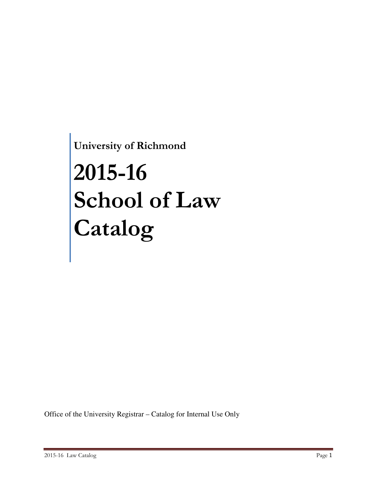**University of Richmond**

# **2015-16 School of Law Catalog**

Office of the University Registrar – Catalog for Internal Use Only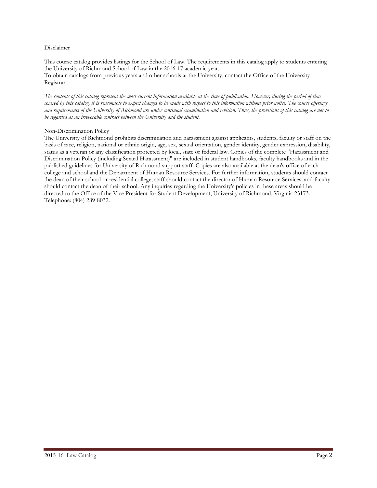#### Disclaimer

This course catalog provides listings for the School of Law. The requirements in this catalog apply to students entering the University of Richmond School of Law in the 2016-17 academic year. To obtain catalogs from previous years and other schools at the University, contact the Office of the University Registrar.

*The contents of this catalog represent the most current information available at the time of publication. However, during the period of time covered by this catalog, it is reasonable to expect changes to be made with respect to this information without prior notice. The course offerings and requirements of the University of Richmond are under continual examination and revision. Thus, the provisions of this catalog are not to be regarded as an irrevocable contract between the University and the student.*

#### Non-Discrimination Policy

The University of Richmond prohibits discrimination and harassment against applicants, students, faculty or staff on the basis of race, religion, national or ethnic origin, age, sex, sexual orientation, gender identity, gender expression, disability, status as a veteran or any classification protected by local, state or federal law. Copies of the complete "Harassment and Discrimination Policy (including Sexual Harassment)" are included in student handbooks, faculty handbooks and in the published guidelines for University of Richmond support staff. Copies are also available at the dean's office of each college and school and the Department of Human Resource Services. For further information, students should contact the dean of their school or residential college; staff should contact the director of Human Resource Services; and faculty should contact the dean of their school. Any inquiries regarding the University's policies in these areas should be directed to the Office of the Vice President for Student Development, University of Richmond, Virginia 23173. Telephone: (804) 289-8032.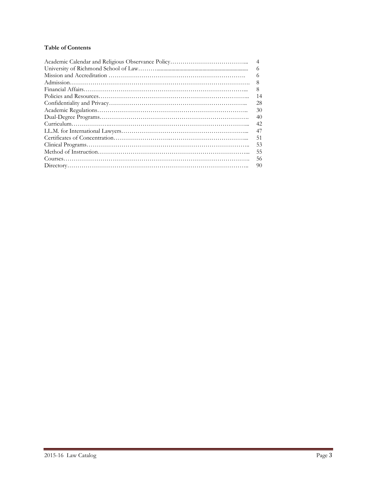#### **Table of Contents**

| $\overline{4}$ |
|----------------|
| 6              |
| 6              |
| 8              |
| 8              |
| 14             |
| 28             |
| 30             |
| 40             |
| 42             |
| 47             |
| 51             |
| 53             |
| 55             |
| 56             |
| 90             |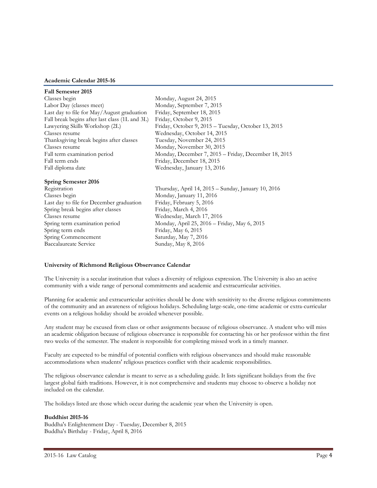#### **Academic Calendar 2015-16**

| <b>Fall Semester 2015</b>                      |                                                      |
|------------------------------------------------|------------------------------------------------------|
| Classes begin                                  | Monday, August 24, 2015                              |
| Labor Day (classes meet)                       | Monday, September 7, 2015                            |
| Last day to file for May/August graduation     | Friday, September 18, 2015                           |
| Fall break begins after last class (1L and 3L) | Friday, October 9, 2015                              |
| Lawyering Skills Workshop (2L)                 | Friday, October 9, 2015 – Tuesday, October 13, 2015  |
| Classes resume                                 | Wednesday, October 14, 2015                          |
| Thanksgiving break begins after classes        | Tuesday, November 24, 2015                           |
| Classes resume                                 | Monday, November 30, 2015                            |
| Fall term examination period                   | Monday, December 7, 2015 - Friday, December 18, 2015 |
| Fall term ends                                 | Friday, December 18, 2015                            |
| Fall diploma date                              | Wednesday, January 13, 2016                          |
| <b>Spring Semester 2016</b>                    |                                                      |
| Registration                                   | Thursday, April 14, 2015 – Sunday, January 10, 2016  |
| Classes begin                                  | Monday, January 11, 2016                             |
| Last day to file for December graduation       | Friday, February 5, 2016                             |
| Spring break begins after classes              | Friday, March 4, 2016                                |
| Classes resume                                 | Wednesday, March 17, 2016                            |
| Spring term examination period                 | Monday, April 25, 2016 - Friday, May 6, 2015         |
| Spring term ends                               | Friday, May 6, 2015                                  |

#### **University of Richmond Religious Observance Calendar**

Spring Commencement Saturday, May 7, 2016 Baccalaureate Service Sunday, May 8, 2016

The University is a secular institution that values a diversity of religious expression. The University is also an active community with a wide range of personal commitments and academic and extracurricular activities.

Planning for academic and extracurricular activities should be done with sensitivity to the diverse religious commitments of the community and an awareness of religious holidays. Scheduling large-scale, one-time academic or extra-curricular events on a religious holiday should be avoided whenever possible.

Any student may be excused from class or other assignments because of religious observance. A student who will miss an academic obligation because of religious observance is responsible for contacting his or her professor within the first two weeks of the semester. The student is responsible for completing missed work in a timely manner.

Faculty are expected to be mindful of potential conflicts with religious observances and should make reasonable accommodations when students' religious practices conflict with their academic responsibilities.

The religious observance calendar is meant to serve as a scheduling guide. It lists significant holidays from the five largest global faith traditions. However, it is not comprehensive and students may choose to observe a holiday not included on the calendar.

The holidays listed are those which occur during the academic year when the University is open.

#### **Buddhist 2015-16**

Buddha's Enlightenment Day - Tuesday, December 8, 2015 Buddha's Birthday - Friday, April 8, 2016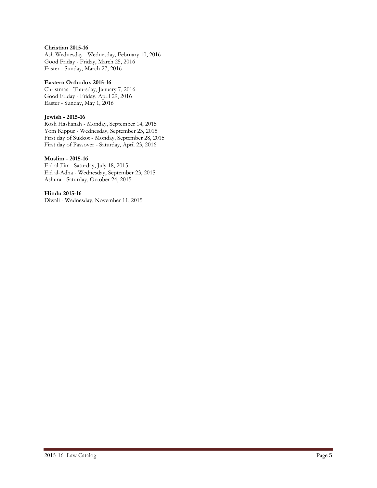#### **Christian 2015-16**

Ash Wednesday - Wednesday, February 10, 2016 Good Friday - Friday, March 25, 2016 Easter - Sunday, March 27, 2016

#### **Eastern Orthodox 2015-16**

Christmas - Thursday, January 7, 2016 Good Friday - Friday, April 29, 2016 Easter - Sunday, May 1, 2016

#### **Jewish - 2015-16**

Rosh Hashanah - Monday, September 14, 2015 Yom Kippur - Wednesday, September 23, 2015 First day of Sukkot - Monday, September 28, 2015 First day of Passover - Saturday, April 23, 2016

#### **Muslim - 2015-16**

Eid al-Fitr - Saturday, July 18, 2015 Eid al-Adha - Wednesday, September 23, 2015 Ashura - Saturday, October 24, 2015

#### **Hindu 2015-16**

Diwali - Wednesday, November 11, 2015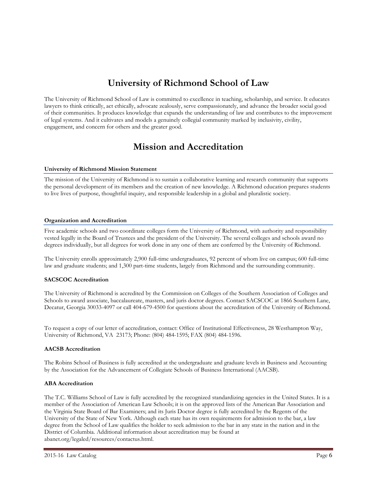# **University of Richmond School of Law**

The University of Richmond School of Law is committed to excellence in teaching, scholarship, and service. It educates lawyers to think critically, act ethically, advocate zealously, serve compassionately, and advance the broader social good of their communities. It produces knowledge that expands the understanding of law and contributes to the improvement of legal systems. And it cultivates and models a genuinely collegial community marked by inclusivity, civility, engagement, and concern for others and the greater good.

# **Mission and Accreditation**

#### **University of Richmond Mission Statement**

The mission of the University of Richmond is to sustain a collaborative learning and research community that supports the personal development of its members and the creation of new knowledge. A Richmond education prepares students to live lives of purpose, thoughtful inquiry, and responsible leadership in a global and pluralistic society.

#### **Organization and Accreditation**

Five academic schools and two coordinate colleges form the University of Richmond, with authority and responsibility vested legally in the Board of Trustees and the president of the University. The several colleges and schools award no degrees individually, but all degrees for work done in any one of them are conferred by the University of Richmond.

The University enrolls approximately 2,900 full-time undergraduates, 92 percent of whom live on campus; 600 full-time law and graduate students; and 1,300 part-time students, largely from Richmond and the surrounding community.

#### **SACSCOC Accreditation**

The University of Richmond is accredited by the Commission on Colleges of the Southern Association of Colleges and Schools to award associate, baccalaureate, masters, and juris doctor degrees. Contact SACSCOC at 1866 Southern Lane, Decatur, Georgia 30033-4097 or call 404-679-4500 for questions about the accreditation of the University of Richmond.

To request a copy of our letter of accreditation, contact: Office of Institutional Effectiveness, 28 Westhampton Way, University of Richmond, VA 23173; Phone: (804) 484-1595; FAX (804) 484-1596.

#### **AACSB Accreditation**

The Robins School of Business is fully accredited at the undergraduate and graduate levels in Business and Accounting by the Association for the Advancement of Collegiate Schools of Business International (AACSB).

#### **ABA Accreditation**

The T.C. Williams School of Law is fully accredited by the recognized standardizing agencies in the United States. It is a member of the Association of American Law Schools; it is on the approved lists of the American Bar Association and the Virginia State Board of Bar Examiners; and its Juris Doctor degree is fully accredited by the Regents of the University of the State of New York. Although each state has its own requirements for admission to the bar, a law degree from the School of Law qualifies the holder to seek admission to the bar in any state in the nation and in the District of Columbia. Additional information about accreditation may be found at abanet.org/legaled/resources/contactus.html.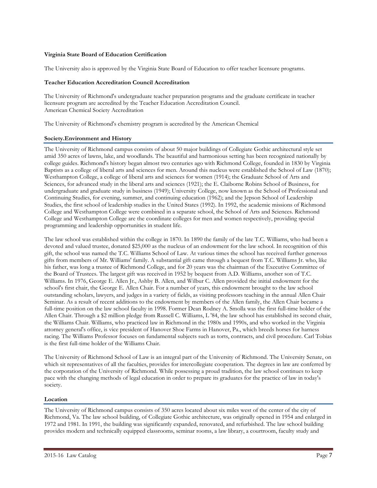#### **Virginia State Board of Education Certification**

The University also is approved by the Virginia State Board of Education to offer teacher licensure programs.

#### **Teacher Education Accreditation Council Accreditation**

The University of Richmond's undergraduate teacher preparation programs and the graduate certificate in teacher licensure program are accredited by the Teacher Education Accreditation Council. American Chemical Society Accreditation

The University of Richmond's chemistry program is accredited by the American Chemical

#### **Society.Environment and History**

The University of Richmond campus consists of about 50 major buildings of Collegiate Gothic architectural style set amid 350 acres of lawns, lake, and woodlands. The beautiful and harmonious setting has been recognized nationally by college guides. Richmond's history began almost two centuries ago with Richmond College, founded in 1830 by Virginia Baptists as a college of liberal arts and sciences for men. Around this nucleus were established the School of Law (1870); Westhampton College, a college of liberal arts and sciences for women (1914); the Graduate School of Arts and Sciences, for advanced study in the liberal arts and sciences (1921); the E. Claiborne Robins School of Business, for undergraduate and graduate study in business (1949); University College, now known as the School of Professional and Continuing Studies, for evening, summer, and continuing education (1962); and the Jepson School of Leadership Studies, the first school of leadership studies in the United States (1992). In 1992, the academic missions of Richmond College and Westhampton College were combined in a separate school, the School of Arts and Sciences. Richmond College and Westhampton College are the coordinate colleges for men and women respectively, providing special programming and leadership opportunities in student life.

The law school was established within the college in 1870. In 1890 the family of the late T.C. Williams, who had been a devoted and valued trustee, donated \$25,000 as the nucleus of an endowment for the law school. In recognition of this gift, the school was named the T.C. Williams School of Law. At various times the school has received further generous gifts from members of Mr. Williams' family. A substantial gift came through a bequest from T.C. Williams Jr. who, like his father, was long a trustee of Richmond College, and for 20 years was the chairman of the Executive Committee of the Board of Trustees. The largest gift was received in 1952 by bequest from A.D. Williams, another son of T.C. Williams. In 1976, George E. Allen Jr., Ashby B. Allen, and Wilbur C. Allen provided the initial endowment for the school's first chair, the George E. Allen Chair. For a number of years, this endowment brought to the law school outstanding scholars, lawyers, and judges in a variety of fields, as visiting professors teaching in the annual Allen Chair Seminar. As a result of recent additions to the endowment by members of the Allen family, the Allen Chair became a full-time position on the law school faculty in 1998. Former Dean Rodney A. Smolla was the first full-time holder of the Allen Chair. Through a \$2 million pledge from Russell C. Williams, L '84, the law school has established its second chair, the Williams Chair. Williams, who practiced law in Richmond in the 1980s and 1990s, and who worked in the Virginia attorney general's office, is vice president of Hanover Shoe Farms in Hanover, Pa., which breeds horses for harness racing. The Williams Professor focuses on fundamental subjects such as torts, contracts, and civil procedure. Carl Tobias is the first full-time holder of the Williams Chair.

The University of Richmond School of Law is an integral part of the University of Richmond. The University Senate, on which sit representatives of all the faculties, provides for intercollegiate cooperation. The degrees in law are conferred by the corporation of the University of Richmond. While possessing a proud tradition, the law school continues to keep pace with the changing methods of legal education in order to prepare its graduates for the practice of law in today's society.

#### **Location**

The University of Richmond campus consists of 350 acres located about six miles west of the center of the city of Richmond, Va. The law school building, of Collegiate Gothic architecture, was originally opened in 1954 and enlarged in 1972 and 1981. In 1991, the building was significantly expanded, renovated, and refurbished. The law school building provides modern and technically equipped classrooms, seminar rooms, a law library, a courtroom, faculty study and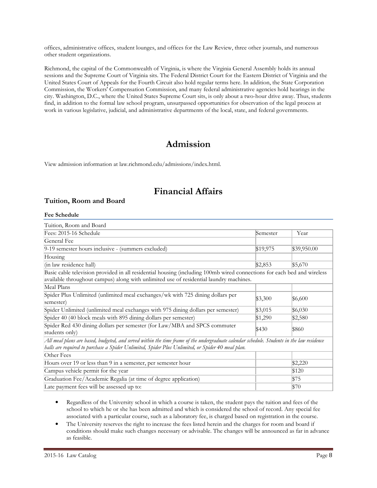offices, administrative offices, student lounges, and offices for the Law Review, three other journals, and numerous other student organizations.

Richmond, the capital of the Commonwealth of Virginia, is where the Virginia General Assembly holds its annual sessions and the Supreme Court of Virginia sits. The Federal District Court for the Eastern District of Virginia and the United States Court of Appeals for the Fourth Circuit also hold regular terms here. In addition, the State Corporation Commission, the Workers' Compensation Commission, and many federal administrative agencies hold hearings in the city. Washington, D.C., where the United States Supreme Court sits, is only about a two-hour drive away. Thus, students find, in addition to the formal law school program, unsurpassed opportunities for observation of the legal process at work in various legislative, judicial, and administrative departments of the local, state, and federal governments.

## **Admission**

View admission information at law.richmond.edu/admissions/index.html.

# **Financial Affairs**

#### **Tuition, Room and Board**

#### **Fee Schedule**

| Tuition, Room and Board                                                                                                                                                                                                                         |          |             |
|-------------------------------------------------------------------------------------------------------------------------------------------------------------------------------------------------------------------------------------------------|----------|-------------|
| Fees: 2015-16 Schedule                                                                                                                                                                                                                          | Semester | Year        |
| General Fee                                                                                                                                                                                                                                     |          |             |
| 9-19 semester hours inclusive - (summers excluded)                                                                                                                                                                                              | \$19,975 | \$39,950.00 |
| Housing                                                                                                                                                                                                                                         |          |             |
| (in law residence hall)                                                                                                                                                                                                                         | \$2,853  | \$5,670     |
| Basic cable television provided in all residential housing (including 100mb wired connections for each bed and wireless<br>available throughout campus) along with unlimited use of residential laundry machines.                               |          |             |
| Meal Plans                                                                                                                                                                                                                                      |          |             |
| Spider Plus Unlimited (unlimited meal exchanges/wk with 725 dining dollars per<br>semester)                                                                                                                                                     | \$3,300  | \$6,600     |
| Spider Unlimited (unlimited meal exchanges with 975 dining dollars per semester)                                                                                                                                                                | \$3,015  | \$6,030     |
| Spider 40 (40 block meals with 895 dining dollars per semester)                                                                                                                                                                                 | \$1,290  | \$2,580     |
| Spider Red 430 dining dollars per semester (for Law/MBA and SPCS commuter<br>students only)                                                                                                                                                     | \$430    | \$860       |
| All meal plans are based, budgeted, and served within the time frame of the undergraduate calendar schedule. Students in the law residence<br>halls are required to purchase a Spider Unlimited, Spider Plus Unlimited, or Spider 40 meal plan. |          |             |
| Other Fees                                                                                                                                                                                                                                      |          |             |
| Hours over 19 or less than 9 in a semester, per semester hour                                                                                                                                                                                   |          | \$2,220     |
| Campus vehicle permit for the year                                                                                                                                                                                                              |          | \$120       |
| Graduation Fee/Academic Regalia (at time of degree application)                                                                                                                                                                                 |          | \$75        |

• Regardless of the University school in which a course is taken, the student pays the tuition and fees of the school to which he or she has been admitted and which is considered the school of record. Any special fee associated with a particular course, such as a laboratory fee, is charged based on registration in the course.

Late payment fees will be assessed up to:  $$70$ 

The University reserves the right to increase the fees listed herein and the charges for room and board if conditions should make such changes necessary or advisable. The changes will be announced as far in advance as feasible.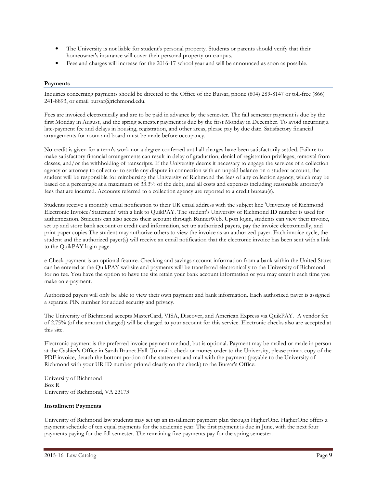- The University is not liable for student's personal property. Students or parents should verify that their homeowner's insurance will cover their personal property on campus.
- Fees and charges will increase for the 2016-17 school year and will be announced as soon as possible.

#### **Payments**

Inquiries concerning payments should be directed to the Office of the Bursar, phone (804) 289-8147 or toll-free (866) 241-8893, or email bursar@richmond.edu.

Fees are invoiced electronically and are to be paid in advance by the semester. The fall semester payment is due by the first Monday in August, and the spring semester payment is due by the first Monday in December. To avoid incurring a late-payment fee and delays in housing, registration, and other areas, please pay by due date. Satisfactory financial arrangements for room and board must be made before occupancy.

No credit is given for a term's work nor a degree conferred until all charges have been satisfactorily settled. Failure to make satisfactory financial arrangements can result in delay of graduation, denial of registration privileges, removal from classes, and/or the withholding of transcripts. If the University deems it necessary to engage the services of a collection agency or attorney to collect or to settle any dispute in connection with an unpaid balance on a student account, the student will be responsible for reimbursing the University of Richmond the fees of any collection agency, which may be based on a percentage at a maximum of 33.3% of the debt, and all costs and expenses including reasonable attorney's fees that are incurred. Accounts referred to a collection agency are reported to a credit bureau(s).

Students receive a monthly email notification to their UR email address with the subject line 'University of Richmond Electronic Invoice/Statement' with a link to QuikPAY. The student's University of Richmond ID number is used for authentication. Students can also access their account through BannerWeb. Upon login, students can view their invoice, set up and store bank account or credit card information, set up authorized payers, pay the invoice electronically, and print paper copies.The student may authorize others to view the invoice as an authorized payer. Each invoice cycle, the student and the authorized payer(s) will receive an email notification that the electronic invoice has been sent with a link to the QuikPAY login page.

e-Check payment is an optional feature. Checking and savings account information from a bank within the United States can be entered at the QuikPAY website and payments will be transferred electronically to the University of Richmond for no fee. You have the option to have the site retain your bank account information or you may enter it each time you make an e-payment.

Authorized payers will only be able to view their own payment and bank information. Each authorized payer is assigned a separate PIN number for added security and privacy.

The University of Richmond accepts MasterCard, VISA, Discover, and American Express via QuikPAY. A vendor fee of 2.75% (of the amount charged) will be charged to your account for this service. Electronic checks also are accepted at this site.

Electronic payment is the preferred invoice payment method, but is optional. Payment may be mailed or made in person at the Cashier's Office in Sarah Brunet Hall. To mail a check or money order to the University, please print a copy of the PDF invoice, detach the bottom portion of the statement and mail with the payment (payable to the University of Richmond with your UR ID number printed clearly on the check) to the Bursar's Office:

University of Richmond Box R University of Richmond, VA 23173

#### **Installment Payments**

University of Richmond law students may set up an installment payment plan through HigherOne. HigherOne offers a payment schedule of ten equal payments for the academic year. The first payment is due in June, with the next four payments paying for the fall semester. The remaining five payments pay for the spring semester.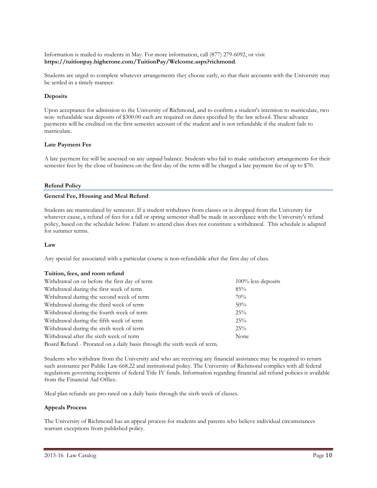Information is mailed to students in May. For more information, call (877) 279-6092, or visit **https://tuitionpay.higherone.com/TuitionPay/Welcome.aspx?richmond**.

Students are urged to complete whatever arrangements they choose early, so that their accounts with the University may be settled in a timely manner.

#### **Deposits**

Upon acceptance for admission to the University of Richmond, and to confirm a student's intention to matriculate, two non- refundable seat deposits of \$300.00 each are required on dates specified by the law school. These advance payments will be credited on the first semester account of the student and is not refundable if the student fails to matriculate.

#### **Late Payment Fee**

A late payment fee will be assessed on any unpaid balance. Students who fail to make satisfactory arrangements for their semester fees by the close of business on the first day of the term will be charged a late payment fee of up to \$70.

#### **Refund Policy**

#### **General Fee, Housing and Meal Refund**

Students are matriculated by semester. If a student withdraws from classes or is dropped from the University for whatever cause, a refund of fees for a fall or spring semester shall be made in accordance with the University's refund policy, based on the schedule below. Failure to attend class does not constitute a withdrawal. This schedule is adapted for summer terms.

#### **Law**

Any special fee associated with a particular course is non-refundable after the first day of class.

#### **Tuition, fees, and room refund**

| Withdrawal on or before the first day of term                            | $100\%$ less deposits |  |
|--------------------------------------------------------------------------|-----------------------|--|
| Withdrawal during the first week of term                                 | 85%                   |  |
| Withdrawal during the second week of term                                | 70%                   |  |
| Withdrawal during the third week of term                                 | 50%                   |  |
| Withdrawal during the fourth week of term                                | 25%                   |  |
| Withdrawal during the fifth week of term                                 | 25%                   |  |
| Withdrawal during the sixth week of term                                 | 25%                   |  |
| Withdrawal after the sixth week of term                                  | None                  |  |
| Board Refund - Prorated on a daily basis through the sixth week of term. |                       |  |

Students who withdraw from the University and who are receiving any financial assistance may be required to return such assistance per Public Law 668.22 and institutional policy. The University of Richmond complies with all federal regulations governing recipients of federal Title IV funds. Information regarding financial aid refund policies is available from the Financial Aid Office.

Meal plan refunds are pro-rated on a daily basis through the sixth week of classes.

#### **Appeals Process**

The University of Richmond has an appeal process for students and parents who believe individual circumstances warrant exceptions from published policy.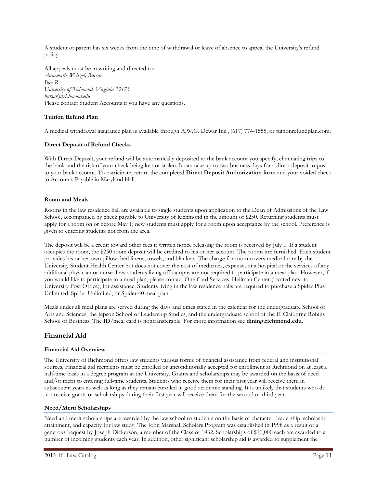A student or parent has six weeks from the time of withdrawal or leave of absence to appeal the University's refund policy.

All appeals must be in writing and directed to: *Annemarie Weitzel, Bursar Box R University of Richmond, Virginia 23173 bursar@richmond.edu* Please contact Student Accounts if you have any questions.

#### **Tuition Refund Plan**

A medical withdrawal insurance plan is available through A.W.G. Dewar Inc., (617) 774-1555, or tuitionrefundplan.com.

#### **Direct Deposit of Refund Checks**

With Direct Deposit, your refund will be automatically deposited to the bank account you specify, eliminating trips to the bank and the risk of your check being lost or stolen. It can take up to two business days for a direct deposit to post to your bank account. To participate, return the completed **Direct Deposit Authorization form** and your voided check to Accounts Payable in Maryland Hall.

#### **Room and Meals**

Rooms in the law residence hall are available to single students upon application to the Dean of Admissions of the Law School, accompanied by check payable to University of Richmond in the amount of \$250. Returning students must apply for a room on or before May 1; new students must apply for a room upon acceptance by the school. Preference is given to entering students not from the area.

The deposit will be a credit toward other fees if written notice releasing the room is received by July 1. If a student occupies the room, the \$250 room deposit will be credited to his or her account. The rooms are furnished. Each student provides his or her own pillow, bed linens, towels, and blankets. The charge for room covers medical care by the University Student Health Center but does not cover the cost of medicines, expenses at a hospital or the services of any additional physician or nurse. Law students living off-campus are not required to participate in a meal plan. However, if you would like to participate in a meal plan, please contact One Card Services, Heilman Center (located next to University Post Office), for assistance. Students living in the law residence halls are required to purchase a Spider Plus Unlimited, Spider Unlimited, or Spider 40 meal plan.

Meals under all meal plans are served during the days and times stated in the calendar for the undergraduate School of Arts and Sciences, the Jepson School of Leadership Studies, and the undergraduate school of the E. Claiborne Robins School of Business. The ID/meal card is nontransferable. For more information see **dining.richmond.edu**.

#### **Financial Aid**

#### **Financial Aid Overview**

The University of Richmond offers law students various forms of financial assistance from federal and institutional sources. Financial aid recipients must be enrolled or unconditionally accepted for enrollment at Richmond on at least a half-time basis in a degree program at the University. Grants and scholarships may be awarded on the basis of need and/or merit to entering full-time students. Students who receive them for their first year will receive them in subsequent years as well as long as they remain enrolled in good academic standing. It is unlikely that students who do not receive grants or scholarships during their first year will receive them for the second or third year.

#### **Need/Merit Scholarships**

Need and merit scholarships are awarded by the law school to students on the basis of character, leadership, scholastic attainment, and capacity for law study. The John Marshall Scholars Program was established in 1998 as a result of a generous bequest by Joseph Dickerson, a member of the Class of 1932. Scholarships of \$10,000 each are awarded to a number of incoming students each year. In addition, other significant scholarship aid is awarded to supplement the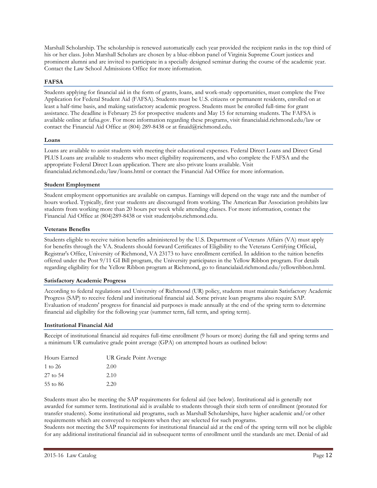Marshall Scholarship. The scholarship is renewed automatically each year provided the recipient ranks in the top third of his or her class. John Marshall Scholars are chosen by a blue-ribbon panel of Virginia Supreme Court justices and prominent alumni and are invited to participate in a specially designed seminar during the course of the academic year. Contact the Law School Admissions Office for more information.

#### **FAFSA**

Students applying for financial aid in the form of grants, loans, and work-study opportunities, must complete the Free Application for Federal Student Aid (FAFSA). Students must be U.S. citizens or permanent residents, enrolled on at least a half-time basis, and making satisfactory academic progress. Students must be enrolled full-time for grant assistance. The deadline is February 25 for prospective students and May 15 for returning students. The FAFSA is available online at fafsa.gov. For more information regarding these programs, visit financialaid.richmond.edu/law or contact the Financial Aid Office at (804) 289-8438 or at finaid@richmond.edu.

#### **Loans**

Loans are available to assist students with meeting their educational expenses. Federal Direct Loans and Direct Grad PLUS Loans are available to students who meet eligibility requirements, and who complete the FAFSA and the appropriate Federal Direct Loan application. There are also private loans available. Visit financialaid.richmond.edu/law/loans.html or contact the Financial Aid Office for more information.

#### **Student Employment**

Student employment opportunities are available on campus. Earnings will depend on the wage rate and the number of hours worked. Typically, first year students are discouraged from working. The American Bar Association prohibits law students from working more than 20 hours per week while attending classes. For more information, contact the Financial Aid Office at (804)289-8438 or visit studentjobs.richmond.edu.

#### **Veterans Benefits**

Students eligible to receive tuition benefits administered by the U.S. Department of Veterans Affairs (VA) must apply for benefits through the VA. Students should forward Certificates of Eligibility to the Veterans Certifying Official, Registrar's Office, University of Richmond, VA 23173 to have enrollment certified. In addition to the tuition benefits offered under the Post 9/11 GI Bill program, the University participates in the Yellow Ribbon program. For details regarding eligibility for the Yellow Ribbon program at Richmond, go to financialaid.richmond.edu/yellowribbon.html.

#### **Satisfactory Academic Progress**

According to federal regulations and University of Richmond (UR) policy, students must maintain Satisfactory Academic Progress (SAP) to receive federal and institutional financial aid. Some private loan programs also require SAP. Evaluation of students' progress for financial aid purposes is made annually at the end of the spring term to determine financial aid eligibility for the following year (summer term, fall term, and spring term).

#### **Institutional Financial Aid**

Receipt of institutional financial aid requires full-time enrollment (9 hours or more) during the fall and spring terms and a minimum UR cumulative grade point average (GPA) on attempted hours as outlined below:

| Hours Earned | UR Grade Point Average |
|--------------|------------------------|
| 1 to 26      | 2.00                   |
| 27 to 54     | 2.10                   |
| 55 to 86     | 2.20                   |

Students must also be meeting the SAP requirements for federal aid (see below). Institutional aid is generally not awarded for summer term. Institutional aid is available to students through their sixth term of enrollment (prorated for transfer students). Some institutional aid programs, such as Marshall Scholarships, have higher academic and/or other requirements which are conveyed to recipients when they are selected for such programs.

Students not meeting the SAP requirements for institutional financial aid at the end of the spring term will not be eligible for any additional institutional financial aid in subsequent terms of enrollment until the standards are met. Denial of aid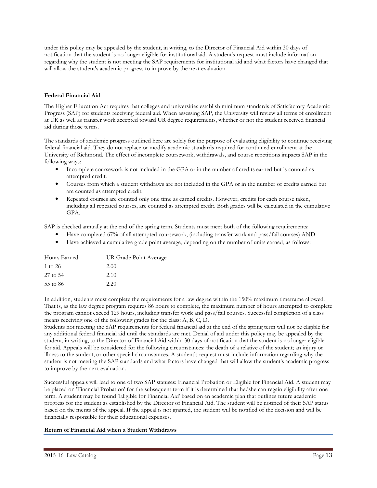under this policy may be appealed by the student, in writing, to the Director of Financial Aid within 30 days of notification that the student is no longer eligible for institutional aid. A student's request must include information regarding why the student is not meeting the SAP requirements for institutional aid and what factors have changed that will allow the student's academic progress to improve by the next evaluation.

#### **Federal Financial Aid**

The Higher Education Act requires that colleges and universities establish minimum standards of Satisfactory Academic Progress (SAP) for students receiving federal aid. When assessing SAP, the University will review all terms of enrollment at UR as well as transfer work accepted toward UR degree requirements, whether or not the student received financial aid during those terms.

The standards of academic progress outlined here are solely for the purpose of evaluating eligibility to continue receiving federal financial aid. They do not replace or modify academic standards required for continued enrollment at the University of Richmond. The effect of incomplete coursework, withdrawals, and course repetitions impacts SAP in the following ways:

- Incomplete coursework is not included in the GPA or in the number of credits earned but is counted as attempted credit.
- Courses from which a student withdraws are not included in the GPA or in the number of credits earned but are counted as attempted credit.
- Repeated courses are counted only one time as earned credits. However, credits for each course taken, including all repeated courses, are counted as attempted credit. Both grades will be calculated in the cumulative GPA.

SAP is checked annually at the end of the spring term. Students must meet both of the following requirements:

- Have completed 67% of all attempted coursework, (including transfer work and pass/fail courses) AND
- Have achieved a cumulative grade point average, depending on the number of units earned, as follows:

| Hours Earned | UR Grade Point Average |
|--------------|------------------------|
| 1 to 26      | 2.00                   |
| 27 to 54     | 2.10                   |
| 55 to 86     | 2.20                   |

In addition, students must complete the requirements for a law degree within the 150% maximum timeframe allowed. That is, as the law degree program requires 86 hours to complete, the maximum number of hours attempted to complete the program cannot exceed 129 hours, including transfer work and pass/fail courses. Successful completion of a class means receiving one of the following grades for the class: A, B, C, D.

Students not meeting the SAP requirements for federal financial aid at the end of the spring term will not be eligible for any additional federal financial aid until the standards are met. Denial of aid under this policy may be appealed by the student, in writing, to the Director of Financial Aid within 30 days of notification that the student is no longer eligible for aid. Appeals will be considered for the following circumstances: the death of a relative of the student; an injury or illness to the student; or other special circumstances. A student's request must include information regarding why the student is not meeting the SAP standards and what factors have changed that will allow the student's academic progress to improve by the next evaluation.

Successful appeals will lead to one of two SAP statuses: Financial Probation or Eligible for Financial Aid. A student may be placed on 'Financial Probation' for the subsequent term if it is determined that he/she can regain eligibility after one term. A student may be found 'Eligible for Financial Aid' based on an academic plan that outlines future academic progress for the student as established by the Director of Financial Aid. The student will be notified of their SAP status based on the merits of the appeal. If the appeal is not granted, the student will be notified of the decision and will be financially responsible for their educational expenses.

#### **Return of Financial Aid when a Student Withdraws**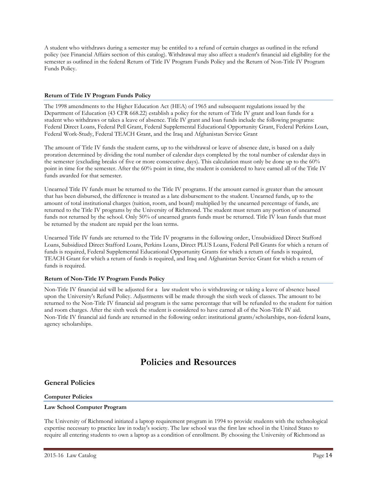A student who withdraws during a semester may be entitled to a refund of certain charges as outlined in the refund policy (see Financial Affairs section of this catalog). Withdrawal may also affect a student's financial aid eligibility for the semester as outlined in the federal Return of Title IV Program Funds Policy and the Return of Non-Title IV Program Funds Policy.

#### **Return of Title IV Program Funds Policy**

The 1998 amendments to the Higher Education Act (HEA) of 1965 and subsequent regulations issued by the Department of Education (43 CFR 668.22) establish a policy for the return of Title IV grant and loan funds for a student who withdraws or takes a leave of absence. Title IV grant and loan funds include the following programs: Federal Direct Loans, Federal Pell Grant, Federal Supplemental Educational Opportunity Grant, Federal Perkins Loan, Federal Work-Study, Federal TEACH Grant, and the Iraq and Afghanistan Service Grant

The amount of Title IV funds the student earns, up to the withdrawal or leave of absence date, is based on a daily proration determined by dividing the total number of calendar days completed by the total number of calendar days in the semester (excluding breaks of five or more consecutive days). This calculation must only be done up to the 60% point in time for the semester. After the 60% point in time, the student is considered to have earned all of the Title IV funds awarded for that semester.

Unearned Title IV funds must be returned to the Title IV programs. If the amount earned is greater than the amount that has been disbursed, the difference is treated as a late disbursement to the student. Unearned funds, up to the amount of total institutional charges (tuition, room, and board) multiplied by the unearned percentage of funds, are returned to the Title IV programs by the University of Richmond. The student must return any portion of unearned funds not returned by the school. Only 50% of unearned grants funds must be returned. Title IV loan funds that must be returned by the student are repaid per the loan terms.

Unearned Title IV funds are returned to the Title IV programs in the following order:, Unsubsidized Direct Stafford Loans, Subsidized Direct Stafford Loans, Perkins Loans, Direct PLUS Loans, Federal Pell Grants for which a return of funds is required, Federal Supplemental Educational Opportunity Grants for which a return of funds is required, TEACH Grant for which a return of funds is required, and Iraq and Afghanistan Service Grant for which a return of funds is required.

#### **Return of Non-Title IV Program Funds Policy**

Non-Title IV financial aid will be adjusted for a law student who is withdrawing or taking a leave of absence based upon the University's Refund Policy. Adjustments will be made through the sixth week of classes. The amount to be returned to the Non-Title IV financial aid program is the same percentage that will be refunded to the student for tuition and room charges. After the sixth week the student is considered to have earned all of the Non-Title IV aid. Non-Title IV financial aid funds are returned in the following order: institutional grants/scholarships, non-federal loans, agency scholarships.

## **Policies and Resources**

#### **General Policies**

#### **Computer Policies**

#### **Law School Computer Program**

The University of Richmond initiated a laptop requirement program in 1994 to provide students with the technological expertise necessary to practice law in today's society. The law school was the first law school in the United States to require all entering students to own a laptop as a condition of enrollment. By choosing the University of Richmond as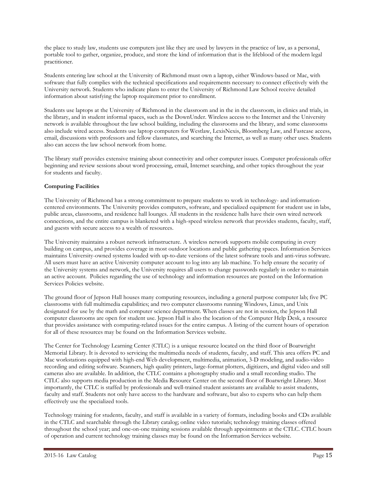the place to study law, students use computers just like they are used by lawyers in the practice of law, as a personal, portable tool to gather, organize, produce, and store the kind of information that is the lifeblood of the modern legal practitioner.

Students entering law school at the University of Richmond must own a laptop, either Windows-based or Mac, with software that fully complies with the technical specifications and requirements necessary to connect effectively with the University network. Students who indicate plans to enter the University of Richmond Law School receive detailed information about satisfying the laptop requirement prior to enrollment.

Students use laptops at the University of Richmond in the classroom and in the in the classroom, in clinics and trials, in the library, and in student informal spaces, such as the DownUnder. Wireless access to the Internet and the University network is available throughout the law school building, including the classrooms and the library, and some classrooms also include wired access. Students use laptop computers for Westlaw, LexisNexis, Bloomberg Law, and Fastcase access, email, discussions with professors and fellow classmates, and searching the Internet, as well as many other uses. Students also can access the law school network from home.

The library staff provides extensive training about connectivity and other computer issues. Computer professionals offer beginning and review sessions about word processing, email, Internet searching, and other topics throughout the year for students and faculty.

#### **Computing Facilities**

The University of Richmond has a strong commitment to prepare students to work in technology- and informationcentered environments. The University provides computers, software, and specialized equipment for student use in labs, public areas, classrooms, and residence hall lounges. All students in the residence halls have their own wired network connections, and the entire campus is blanketed with a high-speed wireless network that provides students, faculty, staff, and guests with secure access to a wealth of resources.

The University maintains a robust network infrastructure. A wireless network supports mobile computing in every building on campus, and provides coverage in most outdoor locations and public gathering spaces. Information Services maintains University-owned systems loaded with up-to-date versions of the latest software tools and anti-virus software. All users must have an active University computer account to log into any lab machine. To help ensure the security of the University systems and network, the University requires all users to change passwords regularly in order to maintain an active account. Policies regarding the use of technology and information resources are posted on the Information Services Policies website.

The ground floor of Jepson Hall houses many computing resources, including a general purpose computer lab; five PC classrooms with full multimedia capabilities; and two computer classrooms running Windows, Linux, and Unix designated for use by the math and computer science department. When classes are not in session, the Jepson Hall computer classrooms are open for student use. Jepson Hall is also the location of the Computer Help Desk, a resource that provides assistance with computing-related issues for the entire campus. A listing of the current hours of operation for all of these resources may be found on the Information Services website.

The Center for Technology Learning Center (CTLC) is a unique resource located on the third floor of Boatwright Memorial Library. It is devoted to servicing the multimedia needs of students, faculty, and staff. This area offers PC and Mac workstations equipped with high-end Web development, multimedia, animation, 3-D modeling, and audio-video recording and editing software. Scanners, high quality printers, large-format plotters, digitizers, and digital video and still cameras also are available. In addition, the CTLC contains a photography studio and a small recording studio. The CTLC also supports media production in the Media Resource Center on the second floor of Boatwright Library. Most importantly, the CTLC is staffed by professionals and well-trained student assistants are available to assist students, faculty and staff. Students not only have access to the hardware and software, but also to experts who can help them effectively use the specialized tools.

Technology training for students, faculty, and staff is available in a variety of formats, including books and CDs available in the CTLC and searchable through the Library catalog; online video tutorials; technology training classes offered throughout the school year; and one-on-one training sessions available through appointments at the CTLC. CTLC hours of operation and current technology training classes may be found on the Information Services website.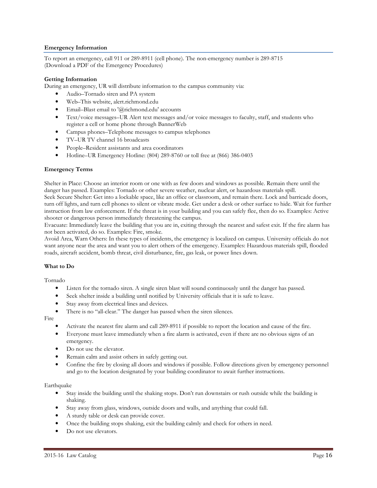#### **Emergency Information**

To report an emergency, call 911 or 289-8911 (cell phone). The non-emergency number is 289-8715 (Download a PDF of the Emergency Procedures)

#### **Getting Information**

During an emergency, UR will distribute information to the campus community via:

- Audio–Tornado siren and PA system
- Web–This website, alert.richmond.edu
- Email–Blast email to '@richmond.edu' accounts
- Text/voice messages–UR Alert text messages and/or voice messages to faculty, staff, and students who register a cell or home phone through BannerWeb
- Campus phones–Telephone messages to campus telephones
- TV–UR TV channel 16 broadcasts
- People–Resident assistants and area coordinators
- Hotline–UR Emergency Hotline: (804) 289-8760 or toll free at (866) 386-0403

#### **Emergency Terms**

Shelter in Place: Choose an interior room or one with as few doors and windows as possible. Remain there until the danger has passed. Examples: Tornado or other severe weather, nuclear alert, or hazardous materials spill.

Seek Secure Shelter: Get into a lockable space, like an office or classroom, and remain there. Lock and barricade doors, turn off lights, and turn cell phones to silent or vibrate mode. Get under a desk or other surface to hide. Wait for further instruction from law enforcement. If the threat is in your building and you can safely flee, then do so. Examples: Active shooter or dangerous person immediately threatening the campus.

Evacuate: Immediately leave the building that you are in, exiting through the nearest and safest exit. If the fire alarm has not been activated, do so. Examples: Fire, smoke.

Avoid Area, Warn Others: In these types of incidents, the emergency is localized on campus. University officials do not want anyone near the area and want you to alert others of the emergency. Examples: Hazardous materials spill, flooded roads, aircraft accident, bomb threat, civil disturbance, fire, gas leak, or power lines down.

## **What to Do**

Tornado

- Listen for the tornado siren. A single siren blast will sound continuously until the danger has passed.
- Seek shelter inside a building until notified by University officials that it is safe to leave.
- Stay away from electrical lines and devices.
- There is no "all-clear." The danger has passed when the siren silences.

Fire

- Activate the nearest fire alarm and call 289-8911 if possible to report the location and cause of the fire.
- Everyone must leave immediately when a fire alarm is activated, even if there are no obvious signs of an emergency.
- Do not use the elevator.
- Remain calm and assist others in safely getting out.
- Confine the fire by closing all doors and windows if possible. Follow directions given by emergency personnel and go to the location designated by your building coordinator to await further instructions.

Earthquake

- Stay inside the building until the shaking stops. Don't run downstairs or rush outside while the building is shaking.
- Stay away from glass, windows, outside doors and walls, and anything that could fall.
- A sturdy table or desk can provide cover.
- Once the building stops shaking, exit the building calmly and check for others in need.
- Do not use elevators.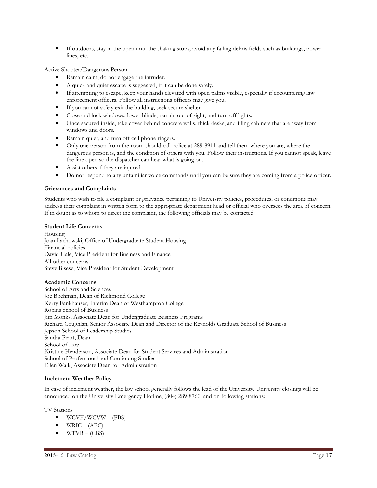• If outdoors, stay in the open until the shaking stops, avoid any falling debris fields such as buildings, power lines, etc.

Active Shooter/Dangerous Person

- Remain calm, do not engage the intruder.
- A quick and quiet escape is suggested, if it can be done safely.
- If attempting to escape, keep your hands elevated with open palms visible, especially if encountering law enforcement officers. Follow all instructions officers may give you.
- If you cannot safely exit the building, seek secure shelter.
- Close and lock windows, lower blinds, remain out of sight, and turn off lights.
- Once secured inside, take cover behind concrete walls, thick desks, and filing cabinets that are away from windows and doors.
- Remain quiet, and turn off cell phone ringers.
- Only one person from the room should call police at 289-8911 and tell them where you are, where the dangerous person is, and the condition of others with you. Follow their instructions. If you cannot speak, leave the line open so the dispatcher can hear what is going on.
- Assist others if they are injured.
- Do not respond to any unfamiliar voice commands until you can be sure they are coming from a police officer.

#### **Grievances and Complaints**

Students who wish to file a complaint or grievance pertaining to University policies, procedures, or conditions may address their complaint in written form to the appropriate department head or official who oversees the area of concern. If in doubt as to whom to direct the complaint, the following officials may be contacted:

#### **Student Life Concerns**

Housing Joan Lachowski, Office of Undergraduate Student Housing Financial policies David Hale, Vice President for Business and Finance All other concerns Steve Bisese, Vice President for Student Development

#### **Academic Concerns**

School of Arts and Sciences Joe Boehman, Dean of Richmond College Kerry Fankhauser, Interim Dean of Westhampton College Robins School of Business Jim Monks, Associate Dean for Undergraduate Business Programs Richard Coughlan, Senior Associate Dean and Director of the Reynolds Graduate School of Business Jepson School of Leadership Studies Sandra Peart, Dean School of Law Kristine Henderson, Associate Dean for Student Services and Administration School of Professional and Continuing Studies Ellen Walk, Associate Dean for Administration

#### **Inclement Weather Policy**

In case of inclement weather, the law school generally follows the lead of the University. University closings will be announced on the University Emergency Hotline, (804) 289-8760, and on following stations:

TV Stations

- WCVE/WCVW (PBS)
- $WRIC (ABC)$
- $\bullet$  WTVR (CBS)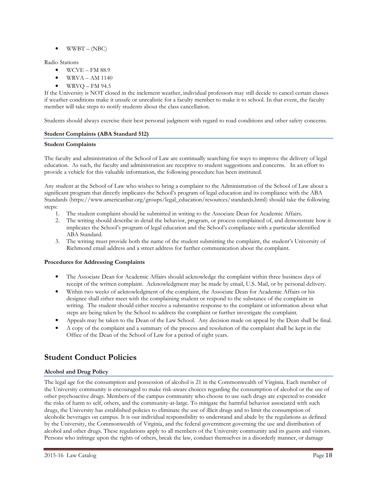$\bullet$  WWBT – (NBC)

Radio Stations

- $\bullet$  WCVE FM 88.9
- WRVA AM 1140
- $\bullet$  WRVQ FM 94.5

If the University is NOT closed in the inclement weather, individual professors may still decide to cancel certain classes if weather conditions make it unsafe or unrealistic for a faculty member to make it to school. In that event, the faculty member will take steps to notify students about the class cancellation.

Students should always exercise their best personal judgment with regard to road conditions and other safety concerns.

#### **Student Complaints (ABA Standard 512)**

#### **Student Complaints**

The faculty and administration of the School of Law are continually searching for ways to improve the delivery of legal education. As such, the faculty and administration are receptive to student suggestions and concerns. In an effort to provide a vehicle for this valuable information, the following procedure has been instituted.

Any student at the School of Law who wishes to bring a complaint to the Administration of the School of Law about a significant program that directly implicates the School's program of legal education and its compliance with the ABA Standards (https://www.americanbar.org/groups/legal\_education/resources/standards.html) should take the following steps:

- 1. The student complaint should be submitted in writing to the Associate Dean for Academic Affairs.
- 2. The writing should describe in detail the behavior, program, or process complained of, and demonstrate how it implicates the School's program of legal education and the School's compliance with a particular identified ABA Standard.
- 3. The writing must provide both the name of the student submitting the complaint, the student's University of Richmond email address and a street address for further communication about the complaint.

#### **Procedures for Addressing Complaints**

- The Associate Dean for Academic Affairs should acknowledge the complaint within three business days of receipt of the written complaint. Acknowledgment may be made by email, U.S. Mail, or by personal delivery.
- Within two weeks of acknowledgment of the complaint, the Associate Dean for Academic Affairs or his designee shall either meet with the complaining student or respond to the substance of the complaint in writing. The student should either receive a substantive response to the complaint or information about what steps are being taken by the School to address the complaint or further investigate the complaint.
- Appeals may be taken to the Dean of the Law School. Any decision made on appeal by the Dean shall be final.
- A copy of the complaint and a summary of the process and resolution of the complaint shall be kept in the Office of the Dean of the School of Law for a period of eight years.

## **Student Conduct Policies**

#### **Alcohol and Drug Policy**

The legal age for the consumption and possession of alcohol is 21 in the Commonwealth of Virginia. Each member of the University community is encouraged to make risk-aware choices regarding the consumption of alcohol or the use of other psychoactive drugs. Members of the campus community who choose to use such drugs are expected to consider the risks of harm to self, others, and the community-at-large. To mitigate the harmful behavior associated with such drugs, the University has established policies to eliminate the use of illicit drugs and to limit the consumption of alcoholic beverages on campus. It is our individual responsibility to understand and abide by the regulations as defined by the University, the Commonwealth of Virginia, and the federal government governing the use and distribution of alcohol and other drugs. These regulations apply to all members of the University community and its guests and visitors. Persons who infringe upon the rights of others, break the law, conduct themselves in a disorderly manner, or damage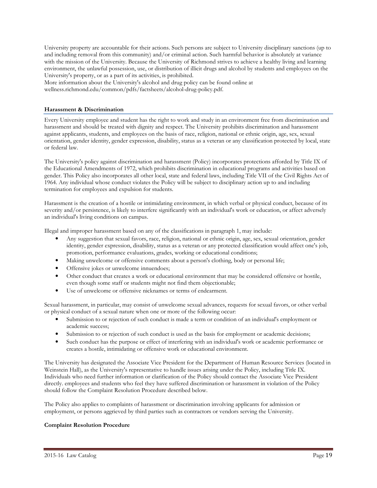University property are accountable for their actions. Such persons are subject to University disciplinary sanctions (up to and including removal from this community) and/or criminal action. Such harmful behavior is absolutely at variance with the mission of the University. Because the University of Richmond strives to achieve a healthy living and learning environment, the unlawful possession, use, or distribution of illicit drugs and alcohol by students and employees on the University's property, or as a part of its activities, is prohibited.

More information about the University's alcohol and drug policy can be found online at wellness.richmond.edu/common/pdfs/factsheets/alcohol-drug-policy.pdf.

#### **Harassment & Discrimination**

Every University employee and student has the right to work and study in an environment free from discrimination and harassment and should be treated with dignity and respect. The University prohibits discrimination and harassment against applicants, students, and employees on the basis of race, religion, national or ethnic origin, age, sex, sexual orientation, gender identity, gender expression, disability, status as a veteran or any classification protected by local, state or federal law.

The University's policy against discrimination and harassment (Policy) incorporates protections afforded by Title IX of the Educational Amendments of 1972, which prohibits discrimination in educational programs and activities based on gender. This Policy also incorporates all other local, state and federal laws, including Title VII of the Civil Rights Act of 1964. Any individual whose conduct violates the Policy will be subject to disciplinary action up to and including termination for employees and expulsion for students.

Harassment is the creation of a hostile or intimidating environment, in which verbal or physical conduct, because of its severity and/or persistence, is likely to interfere significantly with an individual's work or education, or affect adversely an individual's living conditions on campus.

Illegal and improper harassment based on any of the classifications in paragraph 1, may include:

- Any suggestion that sexual favors, race, religion, national or ethnic origin, age, sex, sexual orientation, gender identity, gender expression, disability, status as a veteran or any protected classification would affect one's job, promotion, performance evaluations, grades, working or educational conditions;
- Making unwelcome or offensive comments about a person's clothing, body or personal life;
- Offensive jokes or unwelcome innuendoes;
- Other conduct that creates a work or educational environment that may be considered offensive or hostile, even though some staff or students might not find them objectionable;
- Use of unwelcome or offensive nicknames or terms of endearment.

Sexual harassment, in particular, may consist of unwelcome sexual advances, requests for sexual favors, or other verbal or physical conduct of a sexual nature when one or more of the following occur:

- Submission to or rejection of such conduct is made a term or condition of an individual's employment or academic success;
- Submission to or rejection of such conduct is used as the basis for employment or academic decisions;
- Such conduct has the purpose or effect of interfering with an individual's work or academic performance or creates a hostile, intimidating or offensive work or educational environment.

The University has designated the Associate Vice President for the Department of Human Resource Services (located in Weinstein Hall), as the University's representative to handle issues arising under the Policy, including Title IX. Individuals who need further information or clarification of the Policy should contact the Associate Vice President directly. employees and students who feel they have suffered discrimination or harassment in violation of the Policy should follow the Complaint Resolution Procedure described below.

The Policy also applies to complaints of harassment or discrimination involving applicants for admission or employment, or persons aggrieved by third parties such as contractors or vendors serving the University.

#### **Complaint Resolution Procedure**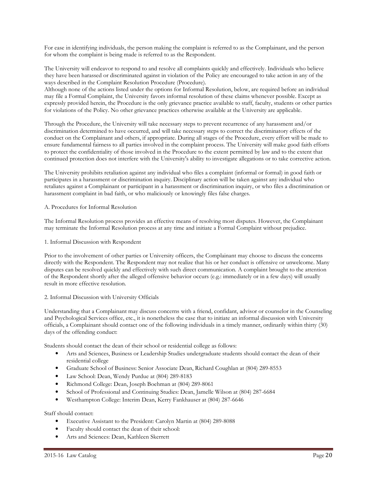For ease in identifying individuals, the person making the complaint is referred to as the Complainant, and the person for whom the complaint is being made is referred to as the Respondent.

The University will endeavor to respond to and resolve all complaints quickly and effectively. Individuals who believe they have been harassed or discriminated against in violation of the Policy are encouraged to take action in any of the ways described in the Complaint Resolution Procedure (Procedure).

Although none of the actions listed under the options for Informal Resolution, below, are required before an individual may file a Formal Complaint, the University favors informal resolution of these claims whenever possible. Except as expressly provided herein, the Procedure is the only grievance practice available to staff, faculty, students or other parties for violations of the Policy. No other grievance practices otherwise available at the University are applicable.

Through the Procedure, the University will take necessary steps to prevent recurrence of any harassment and/or discrimination determined to have occurred, and will take necessary steps to correct the discriminatory effects of the conduct on the Complainant and others, if appropriate. During all stages of the Procedure, every effort will be made to ensure fundamental fairness to all parties involved in the complaint process. The University will make good faith efforts to protect the confidentiality of those involved in the Procedure to the extent permitted by law and to the extent that continued protection does not interfere with the University's ability to investigate allegations or to take corrective action.

The University prohibits retaliation against any individual who files a complaint (informal or formal) in good faith or participates in a harassment or discrimination inquiry. Disciplinary action will be taken against any individual who retaliates against a Complainant or participant in a harassment or discrimination inquiry, or who files a discrimination or harassment complaint in bad faith, or who maliciously or knowingly files false charges.

#### A. Procedures for Informal Resolution

The Informal Resolution process provides an effective means of resolving most disputes. However, the Complainant may terminate the Informal Resolution process at any time and initiate a Formal Complaint without prejudice.

#### 1. Informal Discussion with Respondent

Prior to the involvement of other parties or University officers, the Complainant may choose to discuss the concerns directly with the Respondent. The Respondent may not realize that his or her conduct is offensive or unwelcome. Many disputes can be resolved quickly and effectively with such direct communication. A complaint brought to the attention of the Respondent shortly after the alleged offensive behavior occurs (e.g.: immediately or in a few days) will usually result in more effective resolution.

#### 2. Informal Discussion with University Officials

Understanding that a Complainant may discuss concerns with a friend, confidant, advisor or counselor in the Counseling and Psychological Services office, etc., it is nonetheless the case that to initiate an informal discussion with University officials, a Complainant should contact one of the following individuals in a timely manner, ordinarily within thirty (30) days of the offending conduct:

Students should contact the dean of their school or residential college as follows:

- Arts and Sciences, Business or Leadership Studies undergraduate students should contact the dean of their residential college
- Graduate School of Business: Senior Associate Dean, Richard Coughlan at (804) 289-8553
- Law School: Dean, Wendy Purdue at (804) 289-8183
- Richmond College: Dean, Joseph Boehman at (804) 289-8061
- School of Professional and Continuing Studies: Dean, Jamelle Wilson at (804) 287-6684
- Westhampton College: Interim Dean, Kerry Fankhauser at (804) 287-6646

#### Staff should contact:

- Executive Assistant to the President: Carolyn Martin at (804) 289-8088
- Faculty should contact the dean of their school:
- Arts and Sciences: Dean, Kathleen Skerrett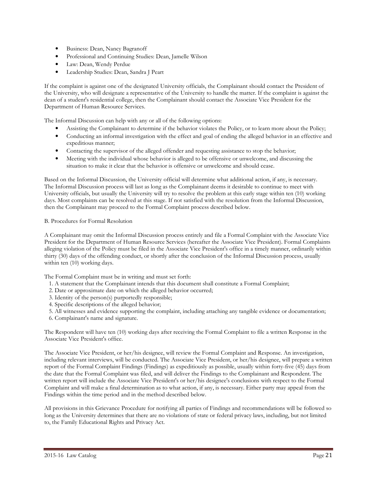- Business: Dean, Nancy Bagranoff
- Professional and Continuing Studies: Dean, Jamelle Wilson
- Law: Dean, Wendy Perdue
- Leadership Studies: Dean, Sandra J Peart

If the complaint is against one of the designated University officials, the Complainant should contact the President of the University, who will designate a representative of the University to handle the matter. If the complaint is against the dean of a student's residential college, then the Complainant should contact the Associate Vice President for the Department of Human Resource Services.

The Informal Discussion can help with any or all of the following options:

- Assisting the Complainant to determine if the behavior violates the Policy, or to learn more about the Policy;
- Conducting an informal investigation with the effect and goal of ending the alleged behavior in an effective and expeditious manner;
- Contacting the supervisor of the alleged offender and requesting assistance to stop the behavior;
- Meeting with the individual whose behavior is alleged to be offensive or unwelcome, and discussing the situation to make it clear that the behavior is offensive or unwelcome and should cease.

Based on the Informal Discussion, the University official will determine what additional action, if any, is necessary. The Informal Discussion process will last as long as the Complainant deems it desirable to continue to meet with University officials, but usually the University will try to resolve the problem at this early stage within ten (10) working days. Most complaints can be resolved at this stage. If not satisfied with the resolution from the Informal Discussion, then the Complainant may proceed to the Formal Complaint process described below.

#### B. Procedures for Formal Resolution

A Complainant may omit the Informal Discussion process entirely and file a Formal Complaint with the Associate Vice President for the Department of Human Resource Services (hereafter the Associate Vice President). Formal Complaints alleging violation of the Policy must be filed in the Associate Vice President's office in a timely manner, ordinarily within thirty (30) days of the offending conduct, or shortly after the conclusion of the Informal Discussion process, usually within ten (10) working days.

The Formal Complaint must be in writing and must set forth:

- 1. A statement that the Complainant intends that this document shall constitute a Formal Complaint;
- 2. Date or approximate date on which the alleged behavior occurred;
- 3. Identity of the person(s) purportedly responsible;
- 4. Specific descriptions of the alleged behavior;
- 5. All witnesses and evidence supporting the complaint, including attaching any tangible evidence or documentation;
- 6. Complainant's name and signature.

The Respondent will have ten (10) working days after receiving the Formal Complaint to file a written Response in the Associate Vice President's office.

The Associate Vice President, or her/his designee, will review the Formal Complaint and Response. An investigation, including relevant interviews, will be conducted. The Associate Vice President, or her/his designee, will prepare a written report of the Formal Complaint Findings (Findings) as expeditiously as possible, usually within forty-five (45) days from the date that the Formal Complaint was filed, and will deliver the Findings to the Complainant and Respondent. The written report will include the Associate Vice President's or her/his designee's conclusions with respect to the Formal Complaint and will make a final determination as to what action, if any, is necessary. Either party may appeal from the Findings within the time period and in the method described below.

All provisions in this Grievance Procedure for notifying all parties of Findings and recommendations will be followed so long as the University determines that there are no violations of state or federal privacy laws, including, but not limited to, the Family Educational Rights and Privacy Act.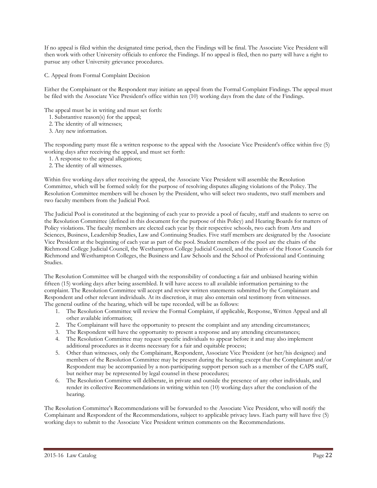If no appeal is filed within the designated time period, then the Findings will be final. The Associate Vice President will then work with other University officials to enforce the Findings. If no appeal is filed, then no party will have a right to pursue any other University grievance procedures.

C. Appeal from Formal Complaint Decision

Either the Complainant or the Respondent may initiate an appeal from the Formal Complaint Findings. The appeal must be filed with the Associate Vice President's office within ten (10) working days from the date of the Findings.

The appeal must be in writing and must set forth:

- 1. Substantive reason(s) for the appeal;
- 2. The identity of all witnesses;
- 3. Any new information.

The responding party must file a written response to the appeal with the Associate Vice President's office within five (5) working days after receiving the appeal, and must set forth:

- 1. A response to the appeal allegations;
- 2. The identity of all witnesses.

Within five working days after receiving the appeal, the Associate Vice President will assemble the Resolution Committee, which will be formed solely for the purpose of resolving disputes alleging violations of the Policy. The Resolution Committee members will be chosen by the President, who will select two students, two staff members and two faculty members from the Judicial Pool.

The Judicial Pool is constituted at the beginning of each year to provide a pool of faculty, staff and students to serve on the Resolution Committee (defined in this document for the purpose of this Policy) and Hearing Boards for matters of Policy violations. The faculty members are elected each year by their respective schools, two each from Arts and Sciences, Business, Leadership Studies, Law and Continuing Studies. Five staff members are designated by the Associate Vice President at the beginning of each year as part of the pool. Student members of the pool are the chairs of the Richmond College Judicial Council, the Westhampton College Judicial Council, and the chairs of the Honor Councils for Richmond and Westhampton Colleges, the Business and Law Schools and the School of Professional and Continuing Studies.

The Resolution Committee will be charged with the responsibility of conducting a fair and unbiased hearing within fifteen (15) working days after being assembled. It will have access to all available information pertaining to the complaint. The Resolution Committee will accept and review written statements submitted by the Complainant and Respondent and other relevant individuals. At its discretion, it may also entertain oral testimony from witnesses. The general outline of the hearing, which will be tape recorded, will be as follows:

- 1. The Resolution Committee will review the Formal Complaint, if applicable, Response, Written Appeal and all other available information;
- 2. The Complainant will have the opportunity to present the complaint and any attending circumstances;
- 3. The Respondent will have the opportunity to present a response and any attending circumstances;
- 4. The Resolution Committee may request specific individuals to appear before it and may also implement additional procedures as it deems necessary for a fair and equitable process;
- 5. Other than witnesses, only the Complainant, Respondent, Associate Vice President (or her/his designee) and members of the Resolution Committee may be present during the hearing; except that the Complainant and/or Respondent may be accompanied by a non-participating support person such as a member of the CAPS staff, but neither may be represented by legal counsel in these procedures;
- 6. The Resolution Committee will deliberate, in private and outside the presence of any other individuals, and render its collective Recommendations in writing within ten (10) working days after the conclusion of the hearing.

The Resolution Committee's Recommendations will be forwarded to the Associate Vice President, who will notify the Complainant and Respondent of the Recommendations, subject to applicable privacy laws. Each party will have five (5) working days to submit to the Associate Vice President written comments on the Recommendations.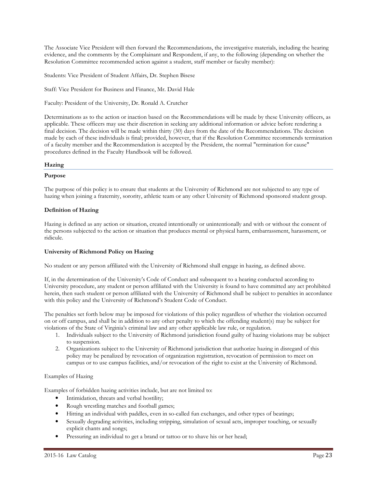The Associate Vice President will then forward the Recommendations, the investigative materials, including the hearing evidence, and the comments by the Complainant and Respondent, if any, to the following (depending on whether the Resolution Committee recommended action against a student, staff member or faculty member):

Students: Vice President of Student Affairs, Dr. Stephen Bisese

Staff: Vice President for Business and Finance, Mr. David Hale

Faculty: President of the University, Dr. Ronald A. Crutcher

Determinations as to the action or inaction based on the Recommendations will be made by these University officers, as applicable. These officers may use their discretion in seeking any additional information or advice before rendering a final decision. The decision will be made within thirty (30) days from the date of the Recommendations. The decision made by each of these individuals is final; provided, however, that if the Resolution Committee recommends termination of a faculty member and the Recommendation is accepted by the President, the normal "termination for cause" procedures defined in the Faculty Handbook will be followed.

#### **Hazing**

#### **Purpose**

The purpose of this policy is to ensure that students at the University of Richmond are not subjected to any type of hazing when joining a fraternity, sorority, athletic team or any other University of Richmond sponsored student group.

#### **Definition of Hazing**

Hazing is defined as any action or situation, created intentionally or unintentionally and with or without the consent of the persons subjected to the action or situation that produces mental or physical harm, embarrassment, harassment, or ridicule.

#### **University of Richmond Policy on Hazing**

No student or any person affiliated with the University of Richmond shall engage in hazing, as defined above.

If, in the determination of the University's Code of Conduct and subsequent to a hearing conducted according to University procedure, any student or person affiliated with the University is found to have committed any act prohibited herein, then such student or person affiliated with the University of Richmond shall be subject to penalties in accordance with this policy and the University of Richmond's Student Code of Conduct.

The penalties set forth below may be imposed for violations of this policy regardless of whether the violation occurred on or off campus, and shall be in addition to any other penalty to which the offending student(s) may be subject for violations of the State of Virginia's criminal law and any other applicable law rule, or regulation.

- 1. Individuals subject to the University of Richmond jurisdiction found guilty of hazing violations may be subject to suspension.
- 2. Organizations subject to the University of Richmond jurisdiction that authorize hazing in disregard of this policy may be penalized by revocation of organization registration, revocation of permission to meet on campus or to use campus facilities, and/or revocation of the right to exist at the University of Richmond.

#### Examples of Hazing

Examples of forbidden hazing activities include, but are not limited to:

- Intimidation, threats and verbal hostility;
- Rough wrestling matches and football games;
- Hitting an individual with paddles, even in so-called fun exchanges, and other types of beatings;
- Sexually degrading activities, including stripping, simulation of sexual acts, improper touching, or sexually explicit chants and songs;
- Pressuring an individual to get a brand or tattoo or to shave his or her head;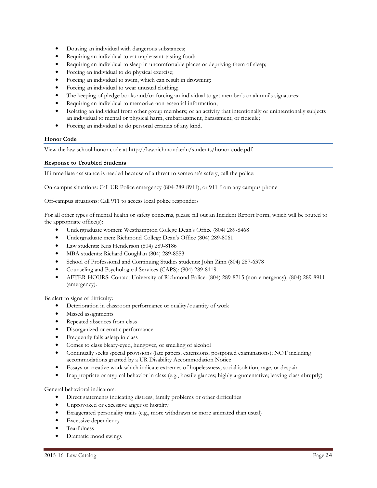- Dousing an individual with dangerous substances;
- Requiring an individual to eat unpleasant-tasting food;
- Requiring an individual to sleep in uncomfortable places or depriving them of sleep;
- Forcing an individual to do physical exercise;
- Forcing an individual to swim, which can result in drowning;
- Forcing an individual to wear unusual clothing;
- The keeping of pledge books and/or forcing an individual to get member's or alumni's signatures;
- Requiring an individual to memorize non-essential information;
- Isolating an individual from other group members; or an activity that intentionally or unintentionally subjects an individual to mental or physical harm, embarrassment, harassment, or ridicule;
- Forcing an individual to do personal errands of any kind.

#### **Honor Code**

View the law school honor code at http://law.richmond.edu/students/honor-code.pdf.

#### **Response to Troubled Students**

If immediate assistance is needed because of a threat to someone's safety, call the police:

On-campus situations: Call UR Police emergency (804-289-8911); or 911 from any campus phone

Off-campus situations: Call 911 to access local police responders

For all other types of mental health or safety concerns, please fill out an Incident Report Form, which will be routed to the appropriate office(s):

- Undergraduate women: Westhampton College Dean's Office (804) 289-8468
- Undergraduate men: Richmond College Dean's Office (804) 289-8061
- Law students: Kris Henderson (804) 289-8186
- MBA students: Richard Coughlan (804) 289-8553
- School of Professional and Continuing Studies students: John Zinn (804) 287-6378
- Counseling and Psychological Services (CAPS): (804) 289-8119.
- AFTER-HOURS: Contact University of Richmond Police: (804) 289-8715 (non-emergency), (804) 289-8911 (emergency).

Be alert to signs of difficulty:

- Deterioration in classroom performance or quality/quantity of work
- Missed assignments
- Repeated absences from class
- Disorganized or erratic performance
- Frequently falls asleep in class
- Comes to class bleary-eyed, hungover, or smelling of alcohol
- Continually seeks special provisions (late papers, extensions, postponed examinations); NOT including accommodations granted by a UR Disability Accommodation Notice
- Essays or creative work which indicate extremes of hopelessness, social isolation, rage, or despair
- Inappropriate or atypical behavior in class (e.g., hostile glances; highly argumentative; leaving class abruptly)

General behavioral indicators:

- Direct statements indicating distress, family problems or other difficulties
- Unprovoked or excessive anger or hostility
- Exaggerated personality traits (e.g., more withdrawn or more animated than usual)
- Excessive dependency
- Tearfulness
- Dramatic mood swings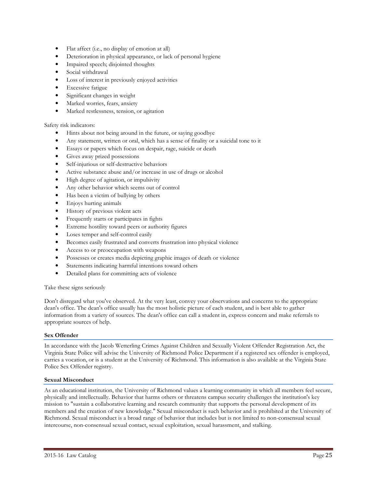- Flat affect (i.e., no display of emotion at all)
- Deterioration in physical appearance, or lack of personal hygiene
- Impaired speech; disjointed thoughts
- Social withdrawal
- Loss of interest in previously enjoyed activities
- Excessive fatigue
- Significant changes in weight
- Marked worries, fears, anxiety
- Marked restlessness, tension, or agitation

#### Safety risk indicators:

- Hints about not being around in the future, or saying goodbye
- Any statement, written or oral, which has a sense of finality or a suicidal tone to it
- Essays or papers which focus on despair, rage, suicide or death
- Gives away prized possessions
- Self-injurious or self-destructive behaviors
- Active substance abuse and/or increase in use of drugs or alcohol
- High degree of agitation, or impulsivity
- Any other behavior which seems out of control
- Has been a victim of bullying by others
- Enjoys hurting animals
- History of previous violent acts
- Frequently starts or participates in fights
- Extreme hostility toward peers or authority figures
- Loses temper and self-control easily
- Becomes easily frustrated and converts frustration into physical violence
- Access to or preoccupation with weapons
- Possesses or creates media depicting graphic images of death or violence
- Statements indicating harmful intentions toward others
- Detailed plans for committing acts of violence

#### Take these signs seriously

Don't disregard what you've observed. At the very least, convey your observations and concerns to the appropriate dean's office. The dean's office usually has the most holistic picture of each student, and is best able to gather information from a variety of sources. The dean's office can call a student in, express concern and make referrals to appropriate sources of help.

#### **Sex Offender**

In accordance with the Jacob Wetterling Crimes Against Children and Sexually Violent Offender Registration Act, the Virginia State Police will advise the University of Richmond Police Department if a registered sex offender is employed, carries a vocation, or is a student at the University of Richmond. This information is also available at the Virginia State Police Sex Offender registry.

#### **Sexual Misconduct**

As an educational institution, the University of Richmond values a learning community in which all members feel secure, physically and intellectually. Behavior that harms others or threatens campus security challenges the institution's key mission to "sustain a collaborative learning and research community that supports the personal development of its members and the creation of new knowledge." Sexual misconduct is such behavior and is prohibited at the University of Richmond. Sexual misconduct is a broad range of behavior that includes but is not limited to non-consensual sexual intercourse, non-consensual sexual contact, sexual exploitation, sexual harassment, and stalking.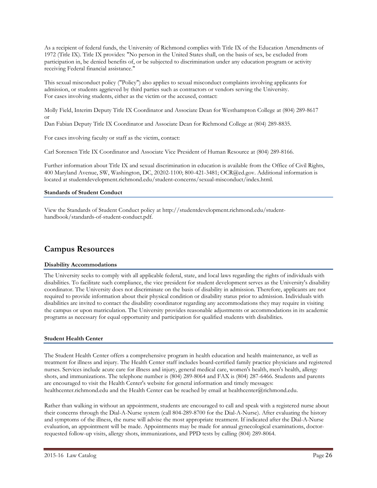As a recipient of federal funds, the University of Richmond complies with Title IX of the Education Amendments of 1972 (Title IX). Title IX provides: "No person in the United States shall, on the basis of sex, be excluded from participation in, be denied benefits of, or be subjected to discrimination under any education program or activity receiving Federal financial assistance."

This sexual misconduct policy ("Policy") also applies to sexual misconduct complaints involving applicants for admission, or students aggrieved by third parties such as contractors or vendors serving the University. For cases involving students, either as the victim or the accused, contact:

Molly Field, Interim Deputy Title IX Coordinator and Associate Dean for Westhampton College at (804) 289-8617 or

Dan Fabian Deputy Title IX Coordinator and Associate Dean for Richmond College at (804) 289-8835.

For cases involving faculty or staff as the victim, contact:

Carl Sorensen Title IX Coordinator and Associate Vice President of Human Resource at (804) 289-8166.

Further information about Title IX and sexual discrimination in education is available from the Office of Civil Rights, 400 Maryland Avenue, SW, Washington, DC, 20202-1100; 800-421-3481; OCR@ed.gov. Additional information is located at studentdevelopment.richmond.edu/student-concerns/sexual-misconduct/index.html.

#### **Standards of Student Conduct**

View the Standards of Student Conduct policy at http://studentdevelopment.richmond.edu/studenthandbook/standards-of-student-conduct.pdf.

## **Campus Resources**

#### **Disability Accommodations**

The University seeks to comply with all applicable federal, state, and local laws regarding the rights of individuals with disabilities. To facilitate such compliance, the vice president for student development serves as the University's disability coordinator. The University does not discriminate on the basis of disability in admission. Therefore, applicants are not required to provide information about their physical condition or disability status prior to admission. Individuals with disabilities are invited to contact the disability coordinator regarding any accommodations they may require in visiting the campus or upon matriculation. The University provides reasonable adjustments or accommodations in its academic programs as necessary for equal opportunity and participation for qualified students with disabilities.

#### **Student Health Center**

The Student Health Center offers a comprehensive program in health education and health maintenance, as well as treatment for illness and injury. The Health Center staff includes board-certified family practice physicians and registered nurses. Services include acute care for illness and injury, general medical care, women's health, men's health, allergy shots, and immunizations. The telephone number is (804) 289-8064 and FAX is (804) 287-6466. Students and parents are encouraged to visit the Health Center's website for general information and timely messages: healthcenter.richmond.edu and the Health Center can be reached by email at healthcenter@richmond.edu.

Rather than walking in without an appointment, students are encouraged to call and speak with a registered nurse about their concerns through the Dial-A-Nurse system (call 804-289-8700 for the Dial-A-Nurse). After evaluating the history and symptoms of the illness, the nurse will advise the most appropriate treatment. If indicated after the Dial-A-Nurse evaluation, an appointment will be made. Appointments may be made for annual gynecological examinations, doctorrequested follow-up visits, allergy shots, immunizations, and PPD tests by calling (804) 289-8064.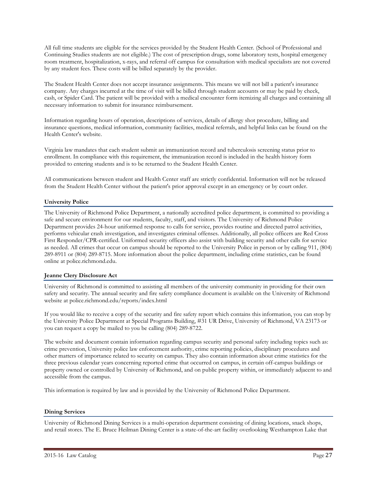All full time students are eligible for the services provided by the Student Health Center. (School of Professional and Continuing Studies students are not eligible.) The cost of prescription drugs, some laboratory tests, hospital emergency room treatment, hospitalization, x-rays, and referral off campus for consultation with medical specialists are not covered by any student fees. These costs will be billed separately by the provider.

The Student Health Center does not accept insurance assignments. This means we will not bill a patient's insurance company. Any charges incurred at the time of visit will be billed through student accounts or may be paid by check, cash, or Spider Card. The patient will be provided with a medical encounter form itemizing all charges and containing all necessary information to submit for insurance reimbursement.

Information regarding hours of operation, descriptions of services, details of allergy shot procedure, billing and insurance questions, medical information, community facilities, medical referrals, and helpful links can be found on the Health Center's website.

Virginia law mandates that each student submit an immunization record and tuberculosis screening status prior to enrollment. In compliance with this requirement, the immunization record is included in the health history form provided to entering students and is to be returned to the Student Health Center.

All communications between student and Health Center staff are strictly confidential. Information will not be released from the Student Health Center without the patient's prior approval except in an emergency or by court order.

#### **University Police**

The University of Richmond Police Department, a nationally accredited police department, is committed to providing a safe and secure environment for our students, faculty, staff, and visitors. The University of Richmond Police Department provides 24-hour uniformed response to calls for service, provides routine and directed patrol activities, performs vehicular crash investigation, and investigates criminal offenses. Additionally, all police officers are Red Cross First Responder/CPR-certified. Uniformed security officers also assist with building security and other calls for service as needed. All crimes that occur on campus should be reported to the University Police in person or by calling 911, (804) 289-8911 or (804) 289-8715. More information about the police department, including crime statistics, can be found online at police.richmond.edu.

#### **Jeanne Clery Disclosure Act**

University of Richmond is committed to assisting all members of the university community in providing for their own safety and security. The annual security and fire safety compliance document is available on the University of Richmond website at police.richmond.edu/reports/index.html

If you would like to receive a copy of the security and fire safety report which contains this information, you can stop by the University Police Department at Special Programs Building, #31 UR Drive, University of Richmond, VA 23173 or you can request a copy be mailed to you be calling (804) 289-8722.

The website and document contain information regarding campus security and personal safety including topics such as: crime prevention, University police law enforcement authority, crime reporting policies, disciplinary procedures and other matters of importance related to security on campus. They also contain information about crime statistics for the three previous calendar years concerning reported crime that occurred on campus, in certain off-campus buildings or property owned or controlled by University of Richmond, and on public property within, or immediately adjacent to and accessible from the campus.

This information is required by law and is provided by the University of Richmond Police Department.

#### **Dining Services**

University of Richmond Dining Services is a multi-operation department consisting of dining locations, snack shops, and retail stores. The E. Bruce Heilman Dining Center is a state-of-the-art facility overlooking Westhampton Lake that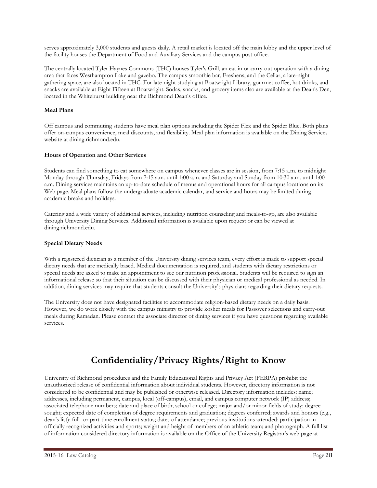serves approximately 3,000 students and guests daily. A retail market is located off the main lobby and the upper level of the facility houses the Department of Food and Auxiliary Services and the campus post office.

The centrally located Tyler Haynes Commons (THC) houses Tyler's Grill, an eat-in or carry-out operation with a dining area that faces Westhampton Lake and gazebo. The campus smoothie bar, Freshens, and the Cellar, a late-night gathering space, are also located in THC. For late-night studying at Boatwright Library, gourmet coffee, hot drinks, and snacks are available at Eight Fifteen at Boatwright. Sodas, snacks, and grocery items also are available at the Dean's Den, located in the Whitehurst building near the Richmond Dean's office.

#### **Meal Plans**

Off campus and commuting students have meal plan options including the Spider Flex and the Spider Blue. Both plans offer on-campus convenience, meal discounts, and flexibility. Meal plan information is available on the Dining Services website at dining.richmond.edu.

#### **Hours of Operation and Other Services**

Students can find something to eat somewhere on campus whenever classes are in session, from 7:15 a.m. to midnight Monday through Thursday, Fridays from 7:15 a.m. until 1:00 a.m. and Saturday and Sunday from 10:30 a.m. until 1:00 a.m. Dining services maintains an up-to-date schedule of menus and operational hours for all campus locations on its Web page. Meal plans follow the undergraduate academic calendar, and service and hours may be limited during academic breaks and holidays.

Catering and a wide variety of additional services, including nutrition counseling and meals-to-go, are also available through University Dining Services. Additional information is available upon request or can be viewed at dining.richmond.edu.

#### **Special Dietary Needs**

With a registered dietician as a member of the University dining services team, every effort is made to support special dietary needs that are medically based. Medical documentation is required, and students with dietary restrictions or special needs are asked to make an appointment to see our nutrition professional. Students will be required to sign an informational release so that their situation can be discussed with their physician or medical professional as needed. In addition, dining services may require that students consult the University's physicians regarding their dietary requests.

The University does not have designated facilities to accommodate religion-based dietary needs on a daily basis. However, we do work closely with the campus ministry to provide kosher meals for Passover selections and carry-out meals during Ramadan. Please contact the associate director of dining services if you have questions regarding available services.

# **Confidentiality/Privacy Rights/Right to Know**

University of Richmond procedures and the Family Educational Rights and Privacy Act (FERPA) prohibit the unauthorized release of confidential information about individual students. However, directory information is not considered to be confidential and may be published or otherwise released. Directory information includes: name; addresses, including permanent, campus, local (off-campus), email, and campus computer network (IP) address; associated telephone numbers; date and place of birth; school or college; major and/or minor fields of study; degree sought; expected date of completion of degree requirements and graduation; degrees conferred; awards and honors (e.g., dean's list); full- or part-time enrollment status; dates of attendance; previous institutions attended; participation in officially recognized activities and sports; weight and height of members of an athletic team; and photograph. A full list of information considered directory information is available on the Office of the University Registrar's web page at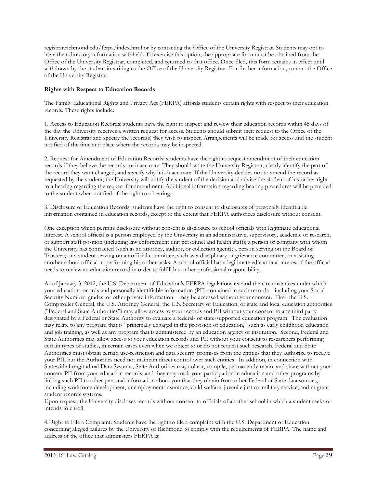registrar.richmond.edu/ferpa/index.html or by contacting the Office of the University Registrar. Students may opt to have their directory information withheld. To exercise this option, the appropriate form must be obtained from the Office of the University Registrar, completed, and returned to that office. Once filed, this form remains in effect until withdrawn by the student in writing to the Office of the University Registrar. For further information, contact the Office of the University Registrar.

#### **Rights with Respect to Education Records**

The Family Educational Rights and Privacy Act (FERPA) affords students certain rights with respect to their education records. These rights include:

1. Access to Education Records: students have the right to inspect and review their education records within 45 days of the day the University receives a written request for access. Students should submit their request to the Office of the University Registrar and specify the record(s) they wish to inspect. Arrangements will be made for access and the student notified of the time and place where the records may be inspected.

2. Request for Amendment of Education Records: students have the right to request amendment of their education records if they believe the records are inaccurate. They should write the University Registrar, clearly identify the part of the record they want changed, and specify why it is inaccurate. If the University decides not to amend the record as requested by the student, the University will notify the student of the decision and advise the student of his or her right to a hearing regarding the request for amendment. Additional information regarding hearing procedures will be provided to the student when notified of the right to a hearing.

3. Disclosure of Education Records: students have the right to consent to disclosures of personally identifiable information contained in education records, except to the extent that FERPA authorizes disclosure without consent.

One exception which permits disclosure without consent is disclosure to school officials with legitimate educational interest. A school official is a person employed by the University in an administrative, supervisory, academic or research, or support staff position (including law enforcement unit personnel and health staff); a person or company with whom the University has contracted (such as an attorney, auditor, or collection agent); a person serving on the Board of Trustees; or a student serving on an official committee, such as a disciplinary or grievance committee, or assisting another school official in performing his or her tasks. A school official has a legitimate educational interest if the official needs to review an education record in order to fulfill his or her professional responsibility.

As of January 3, 2012, the U.S. Department of Education's FERPA regulations expand the circumstances under which your education records and personally identifiable information (PII) contained in such records—including your Social Security Number, grades, or other private information—may be accessed without your consent. First, the U.S. Comptroller General, the U.S. Attorney General, the U.S. Secretary of Education, or state and local education authorities ("Federal and State Authorities") may allow access to your records and PII without your consent to any third party designated by a Federal or State Authority to evaluate a federal- or state-supported education program. The evaluation may relate to any program that is "principally engaged in the provision of education," such as early childhood education and job training, as well as any program that is administered by an education agency or institution. Second, Federal and State Authorities may allow access to your education records and PII without your consent to researchers performing certain types of studies, in certain cases even when we object to or do not request such research. Federal and State Authorities must obtain certain use-restriction and data security promises from the entities that they authorize to receive your PII, but the Authorities need not maintain direct control over such entities. In addition, in connection with Statewide Longitudinal Data Systems, State Authorities may collect, compile, permanently retain, and share without your consent PII from your education records, and they may track your participation in education and other programs by linking such PII to other personal information about you that they obtain from other Federal or State data sources, including workforce development, unemployment insurance, child welfare, juvenile justice, military service, and migrant student records systems.

Upon request, the University discloses records without consent to officials of another school in which a student seeks or intends to enroll.

4. Right to File a Complaint: Students have the right to file a complaint with the U.S. Department of Education concerning alleged failures by the University of Richmond to comply with the requirements of FERPA. The name and address of the office that administers FERPA is: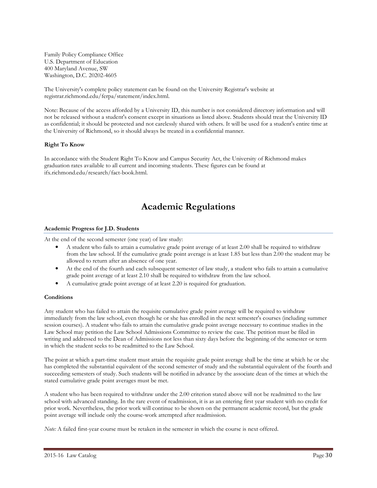Family Policy Compliance Office U.S. Department of Education 400 Maryland Avenue, SW Washington, D.C. 20202-4605

The University's complete policy statement can be found on the University Registrar's website at registrar.richmond.edu/ferpa/statement/index.html.

Note: Because of the access afforded by a University ID, this number is not considered directory information and will not be released without a student's consent except in situations as listed above. Students should treat the University ID as confidential; it should be protected and not carelessly shared with others. It will be used for a student's entire time at the University of Richmond, so it should always be treated in a confidential manner.

#### **Right To Know**

In accordance with the Student Right To Know and Campus Security Act, the University of Richmond makes graduation rates available to all current and incoming students. These figures can be found at ifx.richmond.edu/research/fact-book.html.

# **Academic Regulations**

#### **Academic Progress for J.D. Students**

At the end of the second semester (one year) of law study:

- A student who fails to attain a cumulative grade point average of at least 2.00 shall be required to withdraw from the law school. If the cumulative grade point average is at least 1.85 but less than 2.00 the student may be allowed to return after an absence of one year.
- At the end of the fourth and each subsequent semester of law study, a student who fails to attain a cumulative grade point average of at least 2.10 shall be required to withdraw from the law school.
- A cumulative grade point average of at least 2.20 is required for graduation.

#### **Conditions**

Any student who has failed to attain the requisite cumulative grade point average will be required to withdraw immediately from the law school, even though he or she has enrolled in the next semester's courses (including summer session courses). A student who fails to attain the cumulative grade point average necessary to continue studies in the Law School may petition the Law School Admissions Committee to review the case. The petition must be filed in writing and addressed to the Dean of Admissions not less than sixty days before the beginning of the semester or term in which the student seeks to be readmitted to the Law School.

The point at which a part-time student must attain the requisite grade point average shall be the time at which he or she has completed the substantial equivalent of the second semester of study and the substantial equivalent of the fourth and succeeding semesters of study. Such students will be notified in advance by the associate dean of the times at which the stated cumulative grade point averages must be met.

A student who has been required to withdraw under the 2.00 criterion stated above will not be readmitted to the law school with advanced standing. In the rare event of readmission, it is as an entering first year student with no credit for prior work. Nevertheless, the prior work will continue to be shown on the permanent academic record, but the grade point average will include only the course-work attempted after readmission.

*Note:* A failed first-year course must be retaken in the semester in which the course is next offered.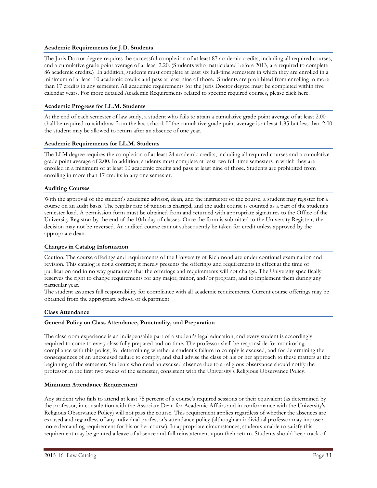#### **Academic Requirements for J.D. Students**

The Juris Doctor degree requires the successful completion of at least 87 academic credits, including all required courses, and a cumulative grade point average of at least 2.20. (Students who matriculated before 2013, are required to complete 86 academic credits.) In addition, students must complete at least six full-time semesters in which they are enrolled in a minimum of at least 10 academic credits and pass at least nine of those. Students are prohibited from enrolling in more than 17 credits in any semester. All academic requirements for the Juris Doctor degree must be completed within five calendar years. For more detailed Academic Requirements related to specific required courses, please click here.

#### **Academic Progress for LL.M. Students**

At the end of each semester of law study, a student who fails to attain a cumulative grade point average of at least 2.00 shall be required to withdraw from the law school. If the cumulative grade point average is at least 1.85 but less than 2.00 the student may be allowed to return after an absence of one year.

#### **Academic Requirements for LL.M. Students**

The LLM degree requires the completion of at least 24 academic credits, including all required courses and a cumulative grade point average of 2.00. In addition, students must complete at least two full-time semesters in which they are enrolled in a minimum of at least 10 academic credits and pass at least nine of those. Students are prohibited from enrolling in more than 17 credits in any one semester.

#### **Auditing Courses**

With the approval of the student's academic advisor, dean, and the instructor of the course, a student may register for a course on an audit basis. The regular rate of tuition is charged, and the audit course is counted as a part of the student's semester load. A permission form must be obtained from and returned with appropriate signatures to the Office of the University Registrar by the end of the 10th day of classes. Once the form is submitted to the University Registrar, the decision may not be reversed. An audited course cannot subsequently be taken for credit unless approved by the appropriate dean.

#### **Changes in Catalog Information**

Caution: The course offerings and requirements of the University of Richmond are under continual examination and revision. This catalog is not a contract; it merely presents the offerings and requirements in effect at the time of publication and in no way guarantees that the offerings and requirements will not change. The University specifically reserves the right to change requirements for any major, minor, and/or program, and to implement them during any particular year.

The student assumes full responsibility for compliance with all academic requirements. Current course offerings may be obtained from the appropriate school or department.

#### **Class Attendance**

#### **General Policy on Class Attendance, Punctuality, and Preparation**

The classroom experience is an indispensable part of a student's legal education, and every student is accordingly required to come to every class fully prepared and on time. The professor shall be responsible for monitoring compliance with this policy, for determining whether a student's failure to comply is excused, and for determining the consequences of an unexcused failure to comply, and shall advise the class of his or her approach to these matters at the beginning of the semester. Students who need an excused absence due to a religious observance should notify the professor in the first two weeks of the semester, consistent with the University's Religious Observance Policy.

#### **Minimum Attendance Requirement**

Any student who fails to attend at least 75 percent of a course's required sessions or their equivalent (as determined by the professor, in consultation with the Associate Dean for Academic Affairs and in conformance with the University's Religious Observance Policy) will not pass the course. This requirement applies regardless of whether the absences are excused and regardless of any individual professor's attendance policy (although an individual professor may impose a more demanding requirement for his or her course). In appropriate circumstances, students unable to satisfy this requirement may be granted a leave of absence and full reinstatement upon their return. Students should keep track of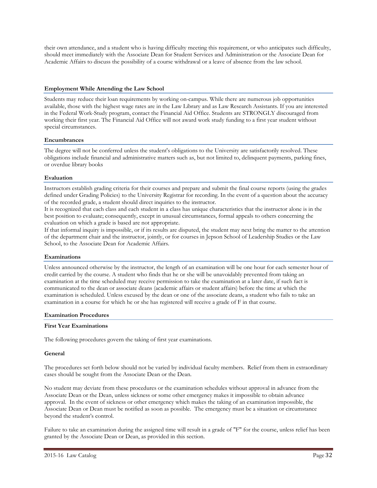their own attendance, and a student who is having difficulty meeting this requirement, or who anticipates such difficulty, should meet immediately with the Associate Dean for Student Services and Administration or the Associate Dean for Academic Affairs to discuss the possibility of a course withdrawal or a leave of absence from the law school.

#### **Employment While Attending the Law School**

Students may reduce their loan requirements by working on-campus. While there are numerous job opportunities available, those with the highest wage rates are in the Law Library and as Law Research Assistants. If you are interested in the Federal Work-Study program, contact the Financial Aid Office. Students are STRONGLY discouraged from working their first year. The Financial Aid Office will not award work study funding to a first year student without special circumstances.

#### **Encumbrances**

The degree will not be conferred unless the student's obligations to the University are satisfactorily resolved. These obligations include financial and administrative matters such as, but not limited to, delinquent payments, parking fines, or overdue library books

#### **Evaluation**

Instructors establish grading criteria for their courses and prepare and submit the final course reports (using the grades defined under Grading Policies) to the University Registrar for recording. In the event of a question about the accuracy of the recorded grade, a student should direct inquiries to the instructor.

It is recognized that each class and each student in a class has unique characteristics that the instructor alone is in the best position to evaluate; consequently, except in unusual circumstances, formal appeals to others concerning the evaluation on which a grade is based are not appropriate.

If that informal inquiry is impossible, or if its results are disputed, the student may next bring the matter to the attention of the department chair and the instructor, jointly, or for courses in Jepson School of Leadership Studies or the Law School, to the Associate Dean for Academic Affairs.

#### **Examinations**

Unless announced otherwise by the instructor, the length of an examination will be one hour for each semester hour of credit carried by the course. A student who finds that he or she will be unavoidably prevented from taking an examination at the time scheduled may receive permission to take the examination at a later date, if such fact is communicated to the dean or associate deans (academic affairs or student affairs) before the time at which the examination is scheduled. Unless excused by the dean or one of the associate deans, a student who fails to take an examination in a course for which he or she has registered will receive a grade of F in that course.

#### **Examination Procedures**

#### **First Year Examinations**

The following procedures govern the taking of first year examinations.

#### **General**

The procedures set forth below should not be varied by individual faculty members. Relief from them in extraordinary cases should be sought from the Associate Dean or the Dean.

No student may deviate from these procedures or the examination schedules without approval in advance from the Associate Dean or the Dean, unless sickness or some other emergency makes it impossible to obtain advance approval. In the event of sickness or other emergency which makes the taking of an examination impossible, the Associate Dean or Dean must be notified as soon as possible. The emergency must be a situation or circumstance beyond the student's control.

Failure to take an examination during the assigned time will result in a grade of "F" for the course, unless relief has been granted by the Associate Dean or Dean, as provided in this section.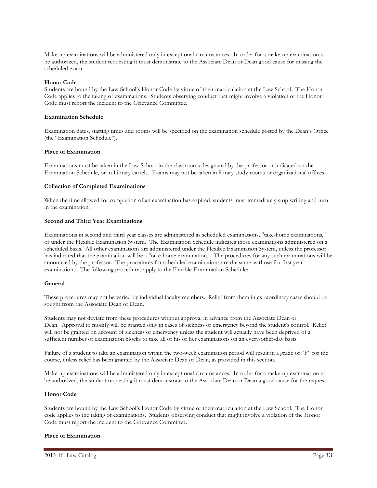Make-up examinations will be administered only in exceptional circumstances. In order for a make-up examination to be authorized, the student requesting it must demonstrate to the Associate Dean or Dean good cause for missing the scheduled exam.

#### **Honor Code**

Students are bound by the Law School's Honor Code by virtue of their matriculation at the Law School. The Honor Code applies to the taking of examinations. Students observing conduct that might involve a violation of the Honor Code must report the incident to the Grievance Committee.

#### **Examination Schedule**

Examination dates, starting times and rooms will be specified on the examination schedule posted by the Dean's Office (the "Examination Schedule").

#### **Place of Examination**

Examinations must be taken in the Law School in the classrooms designated by the professor or indicated on the Examination Schedule, or in Library carrels. Exams may not be taken in library study rooms or organizational offices.

#### **Collection of Completed Examinations**

When the time allowed for completion of an examination has expired, students must immediately stop writing and turn in the examination.

#### **Second and Third Year Examinations**

Examinations in second and third year classes are administered as scheduled examinations, "take-home examinations," or under the Flexible Examination System. The Examination Schedule indicates those examinations administered on a scheduled basis. All other examinations are administered under the Flexible Examination System, unless the professor has indicated that the examination will be a "take-home examination." The procedures for any such examinations will be announced by the professor. The procedures for scheduled examinations are the same as those for first year examinations. The following procedures apply to the Flexible Examination Schedule:

#### **General**

These procedures may not be varied by individual faculty members. Relief from them in extraordinary cases should be sought from the Associate Dean or Dean.

Students may not deviate from these procedures without approval in advance from the Associate Dean or Dean. Approval to modify will be granted only in cases of sickness or emergency beyond the student's control. Relief will not be granted on account of sickness or emergency unless the student will actually have been deprived of a sufficient number of examination blocks to take all of his or her examinations on an every-other-day basis.

Failure of a student to take an examination within the two-week examination period will result in a grade of "F" for the course, unless relief has been granted by the Associate Dean or Dean, as provided in this section.

Make-up examinations will be administered only in exceptional circumstances. In order for a make-up examination to be authorized, the student requesting it must demonstrate to the Associate Dean or Dean a good cause for the request.

#### **Honor Code**

Students are bound by the Law School's Honor Code by virtue of their matriculation at the Law School. The Honor code applies to the taking of examinations. Students observing conduct that might involve a violation of the Honor Code must report the incident to the Grievance Committee.

#### **Place of Examination**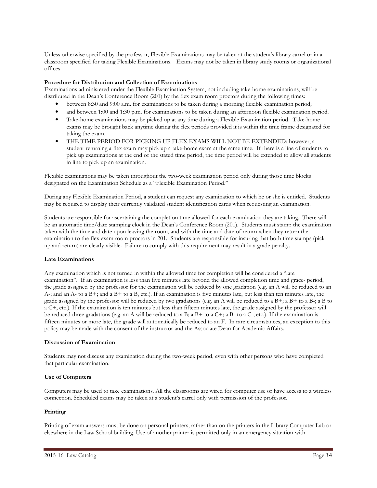Unless otherwise specified by the professor, Flexible Examinations may be taken at the student's library carrel or in a classroom specified for taking Flexible Examinations. Exams may not be taken in library study rooms or organizational offices.

#### **Procedure for Distribution and Collection of Examinations**

Examinations administered under the Flexible Examination System, not including take-home examinations, will be distributed in the Dean's Conference Room (201) by the flex exam room proctors during the following times:

- between 8:30 and 9:00 a.m. for examinations to be taken during a morning flexible examination period;
- and between 1:00 and 1:30 p.m. for examinations to be taken during an afternoon flexible examination period.
- Take-home examinations may be picked up at any time during a Flexible Examination period. Take-home exams may be brought back anytime during the flex periods provided it is within the time frame designated for taking the exam.
- THE TIME PERIOD FOR PICKING UP FLEX EXAMS WILL NOT BE EXTENDED; however, a student returning a flex exam may pick up a take-home exam at the same time. If there is a line of students to pick up examinations at the end of the stated time period, the time period will be extended to allow all students in line to pick up an examination.

Flexible examinations may be taken throughout the two-week examination period only during those time blocks designated on the Examination Schedule as a "Flexible Examination Period."

During any Flexible Examination Period, a student can request any examination to which he or she is entitled. Students may be required to display their currently validated student identification cards when requesting an examination.

Students are responsible for ascertaining the completion time allowed for each examination they are taking. There will be an automatic time/date stamping clock in the Dean's Conference Room (201). Students must stamp the examination taken with the time and date upon leaving the room, and with the time and date of return when they return the examination to the flex exam room proctors in 201. Students are responsible for insuring that both time stamps (pickup and return) are clearly visible. Failure to comply with this requirement may result in a grade penalty.

#### **Late Examinations**

Any examination which is not turned in within the allowed time for completion will be considered a "late examination". If an examination is less than five minutes late beyond the allowed completion time and grace- period, the grade assigned by the professor for the examination will be reduced by one gradation (e.g. an A will be reduced to an A-; and an A- to a B+; and a B+ to a B, etc.). If an examination is five minutes late, but less than ten minutes late, the grade assigned by the professor will be reduced by two gradations (e.g. an A will be reduced to a  $B+$ ; a  $B+$  to a  $B-$ ; a  $B$  to a C+, etc.). If the examination is ten minutes but less than fifteen minutes late, the grade assigned by the professor will be reduced three gradations (e.g. an A will be reduced to a B; a B+ to a C+; a B- to a C-; etc.). If the examination is fifteen minutes or more late, the grade will automatically be reduced to an F. In rare circumstances, an exception to this policy may be made with the consent of the instructor and the Associate Dean for Academic Affairs.

#### **Discussion of Examination**

Students may not discuss any examination during the two-week period, even with other persons who have completed that particular examination.

#### **Use of Computers**

Computers may be used to take examinations. All the classrooms are wired for computer use or have access to a wireless connection. Scheduled exams may be taken at a student's carrel only with permission of the professor.

#### **Printing**

Printing of exam answers must be done on personal printers, rather than on the printers in the Library Computer Lab or elsewhere in the Law School building. Use of another printer is permitted only in an emergency situation with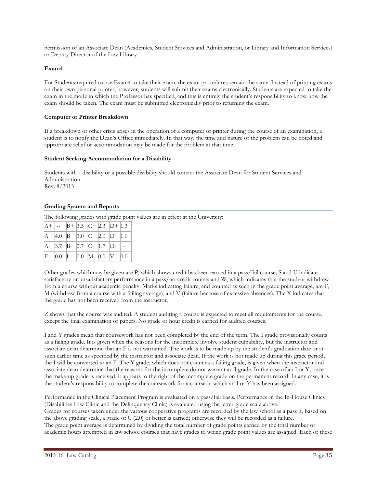permission of an Associate Dean (Academics, Student Services and Administration, or Library and Information Services) or Deputy Director of the Law Library.

#### **Exam4**

For Students required to use Exam4 to take their exam, the exam procedures remain the same. Instead of printing exams on their own personal printer, however, students will submit their exams electronically. Students are expected to take the exam in the mode in which the Professor has specified, and this is entirely the student's responsibility to know how the exam should be taken. The exam must be submitted electronically prior to returning the exam.

#### **Computer or Printer Breakdown**

If a breakdown or other crisis arises in the operation of a computer or printer during the course of an examination, a student is to notify the Dean's Office immediately. In that way, the time and nature of the problem can be noted and appropriate relief or accommodation may be made for the problem at that time.

#### **Student Seeking Accommodation for a Disability**

Students with a disability or a possible disability should contact the Associate Dean for Student Services and Administration. Rev. 8/2013

#### **Grading System and Reports**

The following grades with grade point values are in effect at the University:

|  |  | $ A+ -- B+ 3.3 C+ 2.3 D+ 1.3 $                                                                     |  |
|--|--|----------------------------------------------------------------------------------------------------|--|
|  |  | $\begin{array}{ c c c c c c c c c } \hline \end{array}$ 4.0 <b>B</b> 3.0 <b>C</b> 2.0 <b>D</b> 1.0 |  |
|  |  |                                                                                                    |  |
|  |  | $F$ 0.0 1 0.0 M 0.0 V 0.0                                                                          |  |

Other grades which may be given are P, which shows credit has been earned in a pass/fail course; S and U indicate satisfactory or unsatisfactory performance in a pass/no-credit course; and W, which indicates that the student withdrew from a course without academic penalty. Marks indicating failure, and counted as such in the grade point average, are F, M (withdrew from a course with a failing average), and V (failure because of excessive absences). The X indicates that the grade has not been received from the instructor.

Z shows that the course was audited. A student auditing a course is expected to meet all requirements for the course, except the final examination or papers. No grade or hour credit is earned for audited courses.

I and Y grades mean that coursework has not been completed by the end of the term. The I grade provisionally counts as a failing grade. It is given when the reasons for the incomplete involve student culpability, but the instructor and associate dean determine that an F is not warranted. The work is to be made up by the student's graduation date or at such earlier time as specified by the instructor and associate dean. If the work is not made up during this grace period, the I will be converted to an F. The Y grade, which does not count as a failing grade, is given when the instructor and associate dean determine that the reasons for the incomplete do not warrant an I grade. In the case of an I or Y, once the make-up grade is received, it appears to the right of the incomplete grade on the permanent record. In any case, it is the student's responsibility to complete the coursework for a course in which an I or Y has been assigned.

Performance in the Clinical Placement Program is evaluated on a pass/fail basis. Performance in the In-House Clinics (Disabilities Law Clinic and the Delinquency Clinic) is evaluated using the letter-grade scale above. Grades for courses taken under the various cooperative programs are recorded by the law school as a pass if, based on the above grading scale, a grade of C (2.0) or better is earned; otherwise they will be recorded as a failure. The grade point average is determined by dividing the total number of grade points earned by the total number of academic hours attempted in law school courses that have grades to which grade point values are assigned. Each of these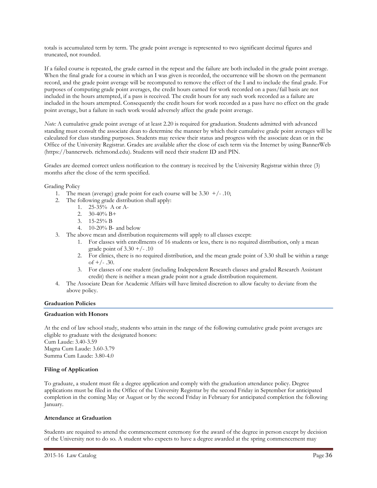totals is accumulated term by term. The grade point average is represented to two significant decimal figures and truncated, not rounded.

If a failed course is repeated, the grade earned in the repeat and the failure are both included in the grade point average. When the final grade for a course in which an I was given is recorded, the occurrence will be shown on the permanent record, and the grade point average will be recomputed to remove the effect of the I and to include the final grade. For purposes of computing grade point averages, the credit hours earned for work recorded on a pass/fail basis are not included in the hours attempted, if a pass is received. The credit hours for any such work recorded as a failure are included in the hours attempted. Consequently the credit hours for work recorded as a pass have no effect on the grade point average, but a failure in such work would adversely affect the grade point average.

*Note:* A cumulative grade point average of at least 2.20 is required for graduation. Students admitted with advanced standing must consult the associate dean to determine the manner by which their cumulative grade point averages will be calculated for class standing purposes. Students may review their status and progress with the associate dean or in the Office of the University Registrar. Grades are available after the close of each term via the Internet by using BannerWeb (https://bannerweb. richmond.edu). Students will need their student ID and PIN.

Grades are deemed correct unless notification to the contrary is received by the University Registrar within three (3) months after the close of the term specified.

Grading Policy

- 1. The mean (average) grade point for each course will be  $3.30 + (-10)$ ;
- 2. The following grade distribution shall apply:
	- 1. 25-35% A or A-
	- 2.  $30-40\% \text{ B}+$
	- 3. 15-25% B
	- 4. 10-20% B- and below
- 3. The above mean and distribution requirements will apply to all classes except:
	- 1. For classes with enrollments of 16 students or less, there is no required distribution, only a mean grade point of  $3.30 + (-1.10)$
	- 2. For clinics, there is no required distribution, and the mean grade point of 3.30 shall be within a range of  $+/- .30$ .
	- 3. For classes of one student (including Independent Research classes and graded Research Assistant credit) there is neither a mean grade point nor a grade distribution requirement.
- 4. The Associate Dean for Academic Affairs will have limited discretion to allow faculty to deviate from the above policy.

#### **Graduation Policies**

#### **Graduation with Honors**

At the end of law school study, students who attain in the range of the following cumulative grade point averages are eligible to graduate with the designated honors: Cum Laude: 3.40-3.59 Magna Cum Laude: 3.60-3.79 Summa Cum Laude: 3.80-4.0

#### **Filing of Application**

To graduate, a student must file a degree application and comply with the graduation attendance policy. Degree applications must be filed in the Office of the University Registrar by the second Friday in September for anticipated completion in the coming May or August or by the second Friday in February for anticipated completion the following January.

#### **Attendance at Graduation**

Students are required to attend the commencement ceremony for the award of the degree in person except by decision of the University not to do so. A student who expects to have a degree awarded at the spring commencement may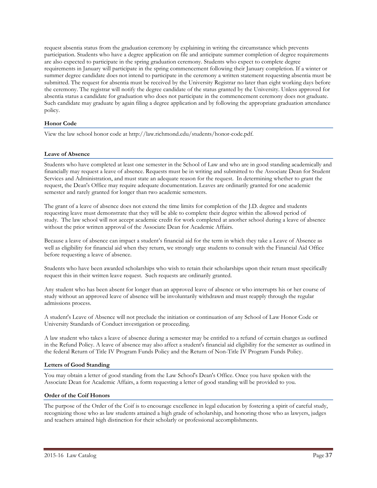request absentia status from the graduation ceremony by explaining in writing the circumstance which prevents participation. Students who have a degree application on file and anticipate summer completion of degree requirements are also expected to participate in the spring graduation ceremony. Students who expect to complete degree requirements in January will participate in the spring commencement following their January completion. If a winter or summer degree candidate does not intend to participate in the ceremony a written statement requesting absentia must be submitted. The request for absentia must be received by the University Registrar no later than eight working days before the ceremony. The registrar will notify the degree candidate of the status granted by the University. Unless approved for absentia status a candidate for graduation who does not participate in the commencement ceremony does not graduate. Such candidate may graduate by again filing a degree application and by following the appropriate graduation attendance policy.

## **Honor Code**

View the law school honor code at http://law.richmond.edu/students/honor-code.pdf.

#### **Leave of Absence**

Students who have completed at least one semester in the School of Law and who are in good standing academically and financially may request a leave of absence. Requests must be in writing and submitted to the Associate Dean for Student Services and Administration, and must state an adequate reason for the request. In determining whether to grant the request, the Dean's Office may require adequate documentation. Leaves are ordinarily granted for one academic semester and rarely granted for longer than two academic semesters.

The grant of a leave of absence does not extend the time limits for completion of the J.D. degree and students requesting leave must demonstrate that they will be able to complete their degree within the allowed period of study. The law school will not accept academic credit for work completed at another school during a leave of absence without the prior written approval of the Associate Dean for Academic Affairs.

Because a leave of absence can impact a student's financial aid for the term in which they take a Leave of Absence as well as eligibility for financial aid when they return, we strongly urge students to consult with the Financial Aid Office before requesting a leave of absence.

Students who have been awarded scholarships who wish to retain their scholarships upon their return must specifically request this in their written leave request. Such requests are ordinarily granted.

Any student who has been absent for longer than an approved leave of absence or who interrupts his or her course of study without an approved leave of absence will be involuntarily withdrawn and must reapply through the regular admissions process.

A student's Leave of Absence will not preclude the initiation or continuation of any School of Law Honor Code or University Standards of Conduct investigation or proceeding.

A law student who takes a leave of absence during a semester may be entitled to a refund of certain charges as outlined in the Refund Policy. A leave of absence may also affect a student's financial aid eligibility for the semester as outlined in the federal Return of Title IV Program Funds Policy and the Return of Non-Title IV Program Funds Policy.

#### **Letters of Good Standing**

You may obtain a letter of good standing from the Law School's Dean's Office. Once you have spoken with the Associate Dean for Academic Affairs, a form requesting a letter of good standing will be provided to you.

#### **Order of the Coif Honors**

The purpose of the Order of the Coif is to encourage excellence in legal education by fostering a spirit of careful study, recognizing those who as law students attained a high grade of scholarship, and honoring those who as lawyers, judges and teachers attained high distinction for their scholarly or professional accomplishments.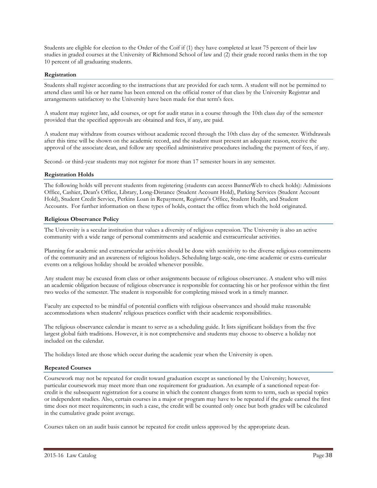Students are eligible for election to the Order of the Coif if (1) they have completed at least 75 percent of their law studies in graded courses at the University of Richmond School of law and (2) their grade record ranks them in the top 10 percent of all graduating students.

## **Registration**

Students shall register according to the instructions that are provided for each term. A student will not be permitted to attend class until his or her name has been entered on the official roster of that class by the University Registrar and arrangements satisfactory to the University have been made for that term's fees.

A student may register late, add courses, or opt for audit status in a course through the 10th class day of the semester provided that the specified approvals are obtained and fees, if any, are paid.

A student may withdraw from courses without academic record through the 10th class day of the semester. Withdrawals after this time will be shown on the academic record, and the student must present an adequate reason, receive the approval of the associate dean, and follow any specified administrative procedures including the payment of fees, if any.

Second- or third-year students may not register for more than 17 semester hours in any semester.

## **Registration Holds**

The following holds will prevent students from registering (students can access BannerWeb to check holds): Admissions Office, Cashier, Dean's Office, Library, Long-Distance (Student Account Hold), Parking Services (Student Account Hold), Student Credit Service, Perkins Loan in Repayment, Registrar's Office, Student Health, and Student Accounts. For further information on these types of holds, contact the office from which the hold originated.

## **Religious Observance Policy**

The University is a secular institution that values a diversity of religious expression. The University is also an active community with a wide range of personal commitments and academic and extracurricular activities.

Planning for academic and extracurricular activities should be done with sensitivity to the diverse religious commitments of the community and an awareness of religious holidays. Scheduling large-scale, one-time academic or extra-curricular events on a religious holiday should be avoided whenever possible.

Any student may be excused from class or other assignments because of religious observance. A student who will miss an academic obligation because of religious observance is responsible for contacting his or her professor within the first two weeks of the semester. The student is responsible for completing missed work in a timely manner.

Faculty are expected to be mindful of potential conflicts with religious observances and should make reasonable accommodations when students' religious practices conflict with their academic responsibilities.

The religious observance calendar is meant to serve as a scheduling guide. It lists significant holidays from the five largest global faith traditions. However, it is not comprehensive and students may choose to observe a holiday not included on the calendar.

The holidays listed are those which occur during the academic year when the University is open.

## **Repeated Courses**

Coursework may not be repeated for credit toward graduation except as sanctioned by the University; however, particular coursework may meet more than one requirement for graduation. An example of a sanctioned repeat-forcredit is the subsequent registration for a course in which the content changes from term to term, such as special topics or independent studies. Also, certain courses in a major or program may have to be repeated if the grade earned the first time does not meet requirements; in such a case, the credit will be counted only once but both grades will be calculated in the cumulative grade point average.

Courses taken on an audit basis cannot be repeated for credit unless approved by the appropriate dean.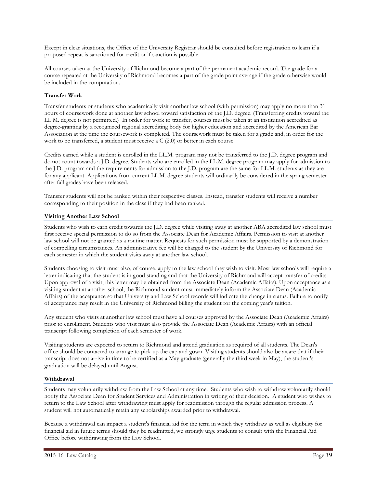Except in clear situations, the Office of the University Registrar should be consulted before registration to learn if a proposed repeat is sanctioned for credit or if sanction is possible.

All courses taken at the University of Richmond become a part of the permanent academic record. The grade for a course repeated at the University of Richmond becomes a part of the grade point average if the grade otherwise would be included in the computation.

## **Transfer Work**

Transfer students or students who academically visit another law school (with permission) may apply no more than 31 hours of coursework done at another law school toward satisfaction of the J.D. degree. (Transferring credits toward the LL.M. degree is not permitted.) In order for work to transfer, courses must be taken at an institution accredited as degree-granting by a recognized regional accrediting body for higher education and accredited by the American Bar Association at the time the coursework is completed. The coursework must be taken for a grade and, in order for the work to be transferred, a student must receive a C (2.0) or better in each course.

Credits earned while a student is enrolled in the LL.M. program may not be transferred to the J.D. degree program and do not count towards a J.D. degree. Students who are enrolled in the LL.M. degree program may apply for admission to the J.D. program and the requirements for admission to the J.D. program are the same for LL.M. students as they are for any applicant. Applications from current LL.M. degree students will ordinarily be considered in the spring semester after fall grades have been released.

Transfer students will not be ranked within their respective classes. Instead, transfer students will receive a number corresponding to their position in the class if they had been ranked.

## **Visiting Another Law School**

Students who wish to earn credit towards the J.D. degree while visiting away at another ABA accredited law school must first receive special permission to do so from the Associate Dean for Academic Affairs. Permission to visit at another law school will not be granted as a routine matter. Requests for such permission must be supported by a demonstration of compelling circumstances. An administrative fee will be charged to the student by the University of Richmond for each semester in which the student visits away at another law school.

Students choosing to visit must also, of course, apply to the law school they wish to visit. Most law schools will require a letter indicating that the student is in good standing and that the University of Richmond will accept transfer of credits. Upon approval of a visit, this letter may be obtained from the Associate Dean (Academic Affairs). Upon acceptance as a visiting student at another school, the Richmond student must immediately inform the Associate Dean (Academic Affairs) of the acceptance so that University and Law School records will indicate the change in status. Failure to notify of acceptance may result in the University of Richmond billing the student for the coming year's tuition.

Any student who visits at another law school must have all courses approved by the Associate Dean (Academic Affairs) prior to enrollment. Students who visit must also provide the Associate Dean (Academic Affairs) with an official transcript following completion of each semester of work.

Visiting students are expected to return to Richmond and attend graduation as required of all students. The Dean's office should be contacted to arrange to pick up the cap and gown. Visiting students should also be aware that if their transcript does not arrive in time to be certified as a May graduate (generally the third week in May), the student's graduation will be delayed until August.

## **Withdrawal**

Students may voluntarily withdraw from the Law School at any time. Students who wish to withdraw voluntarily should notify the Associate Dean for Student Services and Administration in writing of their decision. A student who wishes to return to the Law School after withdrawing must apply for readmission through the regular admission process. A student will not automatically retain any scholarships awarded prior to withdrawal.

Because a withdrawal can impact a student's financial aid for the term in which they withdraw as well as eligibility for financial aid in future terms should they be readmitted, we strongly urge students to consult with the Financial Aid Office before withdrawing from the Law School.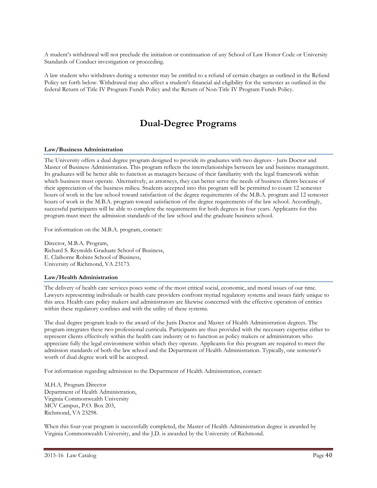A student's withdrawal will not preclude the initiation or continuation of any School of Law Honor Code or University Standards of Conduct investigation or proceeding.

A law student who withdraws during a semester may be entitled to a refund of certain charges as outlined in the Refund Policy set forth below. Withdrawal may also affect a student's financial aid eligibility for the semester as outlined in the federal Return of Title IV Program Funds Policy and the Return of Non-Title IV Program Funds Policy.

## **Dual-Degree Programs**

#### **Law/Business Administration**

The University offers a dual degree program designed to provide its graduates with two degrees - Juris Doctor and Master of Business Administration. This program reflects the interrelationships between law and business management. Its graduates will be better able to function as managers because of their familiarity with the legal framework within which business must operate. Alternatively, as attorneys, they can better serve the needs of business clients because of their appreciation of the business milieu. Students accepted into this program will be permitted to count 12 semester hours of work in the law school toward satisfaction of the degree requirements of the M.B.A. program and 12 semester hours of work in the M.B.A. program toward satisfaction of the degree requirements of the law school. Accordingly, successful participants will be able to complete the requirements for both degrees in four years. Applicants for this program must meet the admission standards of the law school and the graduate business school.

For information on the M.B.A. program, contact:

Director, M.B.A. Program, Richard S. Reynolds Graduate School of Business, E. Claiborne Robins School of Business, University of Richmond, VA 23173.

#### **Law/Health Administration**

The delivery of health care services poses some of the most critical social, economic, and moral issues of our time. Lawyers representing individuals or health care providers confront myriad regulatory systems and issues fairly unique to this area. Health care policy makers and administrators are likewise concerned with the effective operation of entities within these regulatory confines and with the utility of these systems.

The dual degree program leads to the award of the Juris Doctor and Master of Health Administration degrees. The program integrates these two professional curricula. Participants are thus provided with the necessary expertise either to represent clients effectively within the health care industry or to function as policy makers or administrators who appreciate fully the legal environment within which they operate. Applicants for this program are required to meet the admission standards of both the law school and the Department of Health Administration. Typically, one semester's worth of dual degree work will be accepted.

For information regarding admission to the Department of Health Administration, contact:

M.H.A. Program Director Department of Health Administration, Virginia Commonwealth University MCV Campus, P.O. Box 203, Richmond, VA 23298.

When this four-year program is successfully completed, the Master of Health Administration degree is awarded by Virginia Commonwealth University, and the J.D. is awarded by the University of Richmond.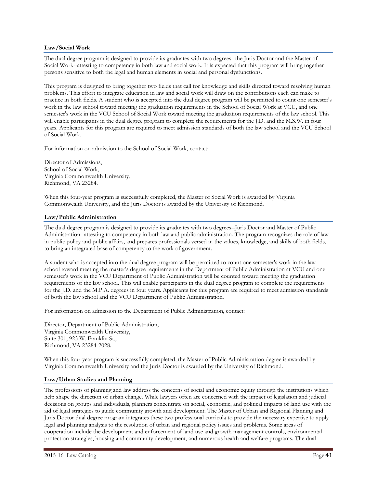## **Law/Social Work**

The dual degree program is designed to provide its graduates with two degrees--the Juris Doctor and the Master of Social Work--attesting to competency in both law and social work. It is expected that this program will bring together persons sensitive to both the legal and human elements in social and personal dysfunctions.

This program is designed to bring together two fields that call for knowledge and skills directed toward resolving human problems. This effort to integrate education in law and social work will draw on the contributions each can make to practice in both fields. A student who is accepted into the dual degree program will be permitted to count one semester's work in the law school toward meeting the graduation requirements in the School of Social Work at VCU, and one semester's work in the VCU School of Social Work toward meeting the graduation requirements of the law school. This will enable participants in the dual degree program to complete the requirements for the J.D. and the M.S.W. in four years. Applicants for this program are required to meet admission standards of both the law school and the VCU School of Social Work.

For information on admission to the School of Social Work, contact:

Director of Admissions, School of Social Work, Virginia Commonwealth University, Richmond, VA 23284.

When this four-year program is successfully completed, the Master of Social Work is awarded by Virginia Commonwealth University, and the Juris Doctor is awarded by the University of Richmond.

## **Law/Public Administration**

The dual degree program is designed to provide its graduates with two degrees--Juris Doctor and Master of Public Administration--attesting to competency in both law and public administration. The program recognizes the role of law in public policy and public affairs, and prepares professionals versed in the values, knowledge, and skills of both fields, to bring an integrated base of competency to the work of government.

A student who is accepted into the dual degree program will be permitted to count one semester's work in the law school toward meeting the master's degree requirements in the Department of Public Administration at VCU and one semester's work in the VCU Department of Public Administration will be counted toward meeting the graduation requirements of the law school. This will enable participants in the dual degree program to complete the requirements for the J.D. and the M.P.A. degrees in four years. Applicants for this program are required to meet admission standards of both the law school and the VCU Department of Public Administration.

For information on admission to the Department of Public Administration, contact:

Director, Department of Public Administration, Virginia Commonwealth University, Suite 301, 923 W. Franklin St., Richmond, VA 23284-2028.

When this four-year program is successfully completed, the Master of Public Administration degree is awarded by Virginia Commonwealth University and the Juris Doctor is awarded by the University of Richmond.

## **Law/Urban Studies and Planning**

The professions of planning and law address the concerns of social and economic equity through the institutions which help shape the direction of urban change. While lawyers often are concerned with the impact of legislation and judicial decisions on groups and individuals, planners concentrate on social, economic, and political impacts of land use with the aid of legal strategies to guide community growth and development. The Master of Urban and Regional Planning and Juris Doctor dual degree program integrates these two professional curricula to provide the necessary expertise to apply legal and planning analysis to the resolution of urban and regional policy issues and problems. Some areas of cooperation include the development and enforcement of land use and growth management controls, environmental protection strategies, housing and community development, and numerous health and welfare programs. The dual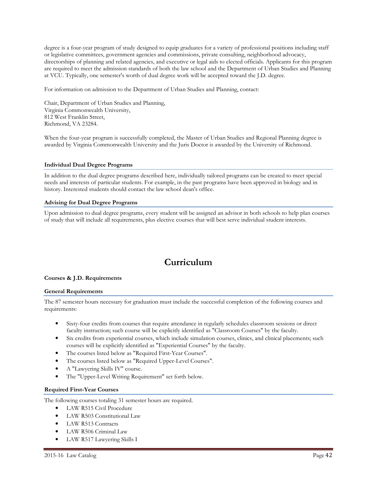degree is a four-year program of study designed to equip graduates for a variety of professional positions including staff or legislative committees, government agencies and commissions, private consulting, neighborhood advocacy, directorships of planning and related agencies, and executive or legal aids to elected officials. Applicants for this program are required to meet the admission standards of both the law school and the Department of Urban Studies and Planning at VCU. Typically, one semester's worth of dual degree work will be accepted toward the J.D. degree.

For information on admission to the Department of Urban Studies and Planning, contact:

Chair, Department of Urban Studies and Planning, Virginia Commonwealth University, 812 West Franklin Street, Richmond, VA 23284.

When the four-year program is successfully completed, the Master of Urban Studies and Regional Planning degree is awarded by Virginia Commonwealth University and the Juris Doctor is awarded by the University of Richmond.

## **Individual Dual Degree Programs**

In addition to the dual degree programs described here, individually tailored programs can be created to meet special needs and interests of particular students. For example, in the past programs have been approved in biology and in history. Interested students should contact the law school dean's office.

## **Advising for Dual Degree Programs**

Upon admission to dual degree programs, every student will be assigned an advisor in both schools to help plan courses of study that will include all requirements, plus elective courses that will best serve individual student interests.

# **Curriculum**

## **Courses & J.D. Requirements**

#### **General Requirements**

The 87 semester hours necessary for graduation must include the successful completion of the following courses and requirements:

- Sixty-four credits from courses that require attendance in regularly schedules classroom sessions or direct faculty instruction; such course will be explicitly identified as "Classroom Courses" by the faculty.
- Six credits from experiential courses, which include simulation courses, clinics, and clinical placements; such courses will be explicitly identified as "Experiential Courses" by the faculty.
- The courses listed below as "Required First-Year Courses".
- The courses listed below as "Required Upper-Level Courses".
- A "Lawyering Skills IV" course.
- The "Upper-Level Writing Requirement" set forth below.

## **Required First-Year Courses**

The following courses totaling 31 semester hours are required.

- LAW R515 Civil Procedure
- LAW R503 Constitutional Law
- LAW R513 Contracts
- LAW R506 Criminal Law
- LAW R517 Lawyering Skills I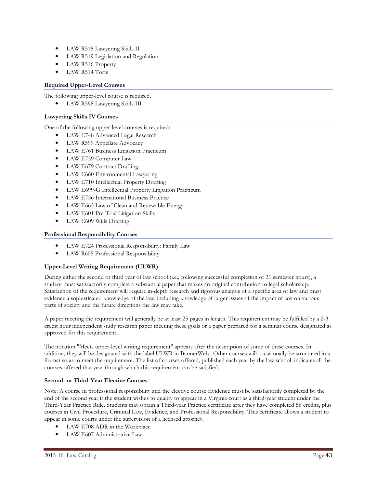- LAW R518 Lawyering Skills II
- LAW R519 Legislation and Regulation
- LAW R516 Property
- LAW R514 Torts

## **Required Upper-Level Courses**

The following upper-level course is required.

LAW R598 Lawyering Skills III

## **Lawyering Skills IV Courses**

One of the following upper-level courses is required:

- LAW E748 Advanced Legal Research
- LAW R599 Appellate Advocacy
- LAW E761 Business Litigation Practicum
- LAW E759 Computer Law
- LAW E679 Contract Drafting
- LAW E660 Environmental Lawyering
- LAW E710 Intellectual Property Drafting
- LAW E699-G Intellectual Property Litigation Practicum
- LAW E756 International Business Practice
- LAW E665 Law of Clean and Renewable Energy
- LAW E601 Pre-Trial Litigation Skills
- LAW E609 Wills Drafting

## **Professional Responsibility Courses**

- LAW E724 Professional Responsibility: Family Law
- LAW R605 Professional Responsibility

## **Upper-Level Writing Requirement (ULWR)**

During either the second or third year of law school (i.e., following successful completion of 31 semester hours), a student must satisfactorily complete a substantial paper that makes an original contribution to legal scholarship. Satisfaction of the requirement will require in-depth research and rigorous analysis of a specific area of law and must evidence a sophisticated knowledge of the law, including knowledge of larger issues of the impact of law on various parts of society and the future directions the law may take.

A paper meeting the requirement will generally be at least 25 pages in length. This requirement may be fulfilled by a 2-3 credit hour independent study research paper meeting these goals or a paper prepared for a seminar course designated as approved for this requirement.

The notation "Meets upper-level writing requirement" appears after the description of some of these courses. In addition, they will be designated with the label ULWR in BannerWeb. Other courses will occasionally be structured in a format so as to meet the requirement. The list of courses offered, published each year by the law school, indicates all the courses offered that year through which this requirement can be satisfied.

#### **Second- or Third-Year Elective Courses**

Note: A course in professional responsibility and the elective course Evidence must be satisfactorily completed by the end of the second year if the student wishes to qualify to appear in a Virginia court as a third-year student under the Third-Year Practice Rule. Students may obtain a Third-year Practice certificate after they have completed 56 credits, plus courses in Civil Procedure, Criminal Law, Evidence, and Professional Responsibility. This certificate allows a student to appear in some courts under the supervision of a licensed attorney.

- LAW E708 ADR in the Workplace
- LAW E607 Administrative Law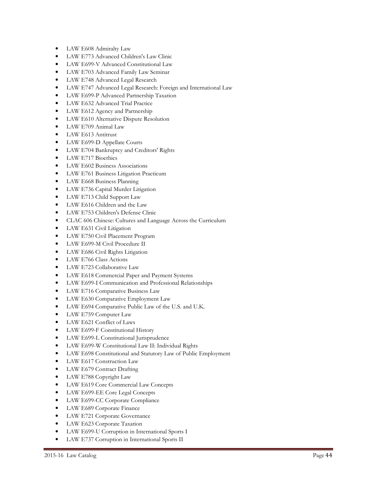- LAW E608 Admiralty Law
- LAW E773 Advanced Children's Law Clinic
- LAW E699-V Advanced Constitutional Law
- LAW E703 Advanced Family Law Seminar
- LAW E748 Advanced Legal Research
- LAW E747 Advanced Legal Research: Foreign and International Law
- LAW E699-P Advanced Partnership Taxation
- LAW E632 Advanced Trial Practice
- LAW E612 Agency and Partnership
- LAW E610 Alternative Dispute Resolution
- LAW E709 Animal Law
- LAW E613 Antitrust
- LAW E699-D Appellate Courts
- LAW E704 Bankruptcy and Creditors' Rights
- LAW E717 Bioethics
- LAW E602 Business Associations
- LAW E761 Business Litigation Practicum
- LAW E668 Business Planning
- LAW E736 Capital Murder Litigation
- LAW E713 Child Support Law
- LAW E616 Children and the Law
- LAW E753 Children's Defense Clinic
- CLAC 606 Chinese: Cultures and Language Across the Curriculum
- LAW E631 Civil Litigation
- LAW E750 Civil Placement Program
- LAW E699-M Civil Procedure II
- LAW E686 Civil Rights Litigation
- LAW E766 Class Actions
- LAW E723 Collaborative Law
- LAW E618 Commercial Paper and Payment Systems
- LAW E699-I Communication and Professional Relationships
- LAW E716 Comparative Business Law
- LAW E630 Comparative Employment Law
- LAW E694 Comparative Public Law of the U.S. and U.K.
- LAW E759 Computer Law
- LAW E621 Conflict of Laws
- LAW E699-F Constitutional History
- LAW E699-L Constitutional Jurisprudence
- LAW E699-W Constitutional Law II: Individual Rights
- LAW E698 Constitutional and Statutory Law of Public Employment
- LAW E617 Construction Law
- LAW E679 Contract Drafting
- LAW E788 Copyright Law
- LAW E619 Core Commercial Law Concepts
- LAW E699-EE Core Legal Concepts
- LAW E699-CC Corporate Compliance
- LAW E689 Corporate Finance
- LAW E721 Corporate Governance
- LAW E623 Corporate Taxation
- LAW E699-U Corruption in International Sports I
- LAW E737 Corruption in International Sports II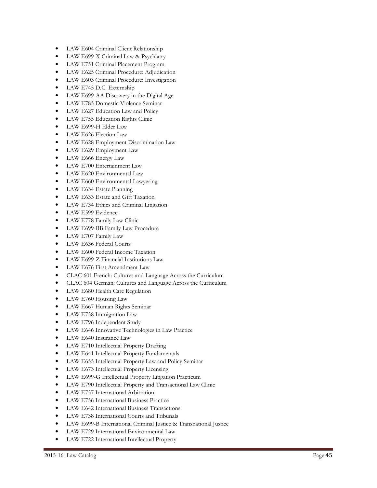- LAW E604 Criminal Client Relationship
- LAW E699-X Criminal Law & Psychiatry
- LAW E751 Criminal Placement Program
- LAW E625 Criminal Procedure: Adjudication
- LAW E603 Criminal Procedure: Investigation
- LAW E745 D.C. Externship
- LAW E699-AA Discovery in the Digital Age
- LAW E785 Domestic Violence Seminar
- LAW E627 Education Law and Policy
- LAW E755 Education Rights Clinic
- LAW E699-H Elder Law
- LAW E626 Election Law
- LAW E628 Employment Discrimination Law
- LAW E629 Employment Law
- LAW E666 Energy Law
- LAW E700 Entertainment Law
- LAW E620 Environmental Law
- LAW E660 Environmental Lawyering
- LAW E634 Estate Planning
- LAW E633 Estate and Gift Taxation
- LAW E734 Ethics and Criminal Litigation
- LAW E599 Evidence
- LAW E778 Family Law Clinic
- LAW E699-BB Family Law Procedure
- LAW E707 Family Law
- LAW E636 Federal Courts
- LAW E600 Federal Income Taxation
- LAW E699-Z Financial Institutions Law
- LAW E676 First Amendment Law
- CLAC 601 French: Cultures and Language Across the Curriculum
- CLAC 604 German: Cultures and Language Across the Curriculum
- LAW E680 Health Care Regulation
- LAW E760 Housing Law
- LAW E667 Human Rights Seminar
- LAW E758 Immigration Law
- LAW E796 Independent Study
- LAW E646 Innovative Technologies in Law Practice
- LAW E640 Insurance Law
- LAW E710 Intellectual Property Drafting
- LAW E641 Intellectual Property Fundamentals
- LAW E655 Intellectual Property Law and Policy Seminar
- LAW E673 Intellectual Property Licensing
- LAW E699-G Intellectual Property Litigation Practicum
- LAW E790 Intellectual Property and Transactional Law Clinic
- LAW E757 International Arbitration
- LAW E756 International Business Practice
- LAW E642 International Business Transactions
- LAW E738 International Courts and Tribunals
- LAW E699-B International Criminal Justice & Transnational Justice
- LAW E729 International Environmental Law
- LAW E722 International Intellectual Property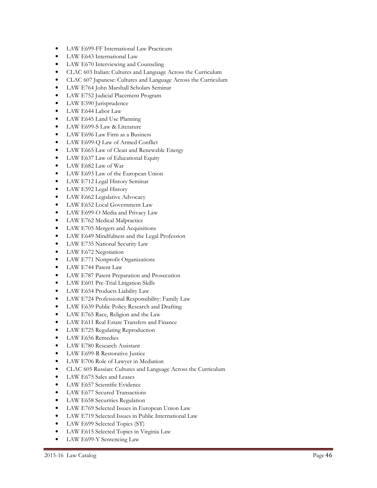- LAW E699-FF International Law Practicum
- LAW E643 International Law
- LAW E670 Interviewing and Counseling
- CLAC 603 Italian: Cultures and Language Across the Curriculum
- CLAC 607 Japanese: Cultures and Language Across the Curriculum
- LAW E764 John Marshall Scholars Seminar
- LAW E752 Judicial Placement Program
- LAW E590 Jurisprudence
- LAW E644 Labor Law
- LAW E645 Land Use Planning
- LAW E699-S Law & Literature
- LAW E696 Law Firm as a Business
- LAW E699-Q Law of Armed Conflict
- LAW E665 Law of Clean and Renewable Energy
- LAW E637 Law of Educational Equity
- LAW E682 Law of War
- LAW E693 Law of the European Union
- LAW E712 Legal History Seminar
- LAW E592 Legal History
- LAW E662 Legislative Advocacy
- LAW E652 Local Government Law
- LAW E699-O Media and Privacy Law
- LAW E762 Medical Malpractice
- LAW E705 Mergers and Acquisitions
- LAW E649 Mindfulness and the Legal Profession
- LAW E735 National Security Law
- LAW E672 Negotiation
- LAW E771 Nonprofit Organizations
- LAW E744 Patent Law
- LAW E787 Patent Preparation and Prosecution
- LAW E601 Pre-Trial Litigation Skills
- LAW E654 Products Liability Law
- LAW E724 Professional Responsibility: Family Law
- LAW E639 Public Policy Research and Drafting
- LAW E765 Race, Religion and the Law
- LAW E611 Real Estate Transfers and Finance
- LAW E725 Regulating Reproduction
- LAW E656 Remedies
- LAW E780 Research Assistant
- LAW E699-R Restorative Justice
- LAW E706 Role of Lawyer in Mediation
- CLAC 605 Russian: Cultures and Language Across the Curriculum
- LAW E675 Sales and Leases
- LAW E657 Scientific Evidence
- LAW E677 Secured Transactions
- LAW E658 Securities Regulation
- LAW E769 Selected Issues in European Union Law
- LAW E719 Selected Issues in Public International Law
- LAW E699 Selected Topics (ST)
- LAW E615 Selected Topics in Virginia Law
- LAW E699-Y Sentencing Law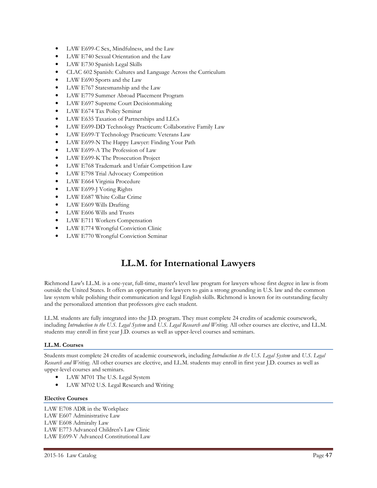- LAW E699-C Sex, Mindfulness, and the Law
- LAW E740 Sexual Orientation and the Law
- LAW E730 Spanish Legal Skills
- CLAC 602 Spanish: Cultures and Language Across the Curriculum
- LAW E690 Sports and the Law
- LAW E767 Statesmanship and the Law
- LAW E779 Summer Abroad Placement Program
- LAW E697 Supreme Court Decisionmaking
- LAW E674 Tax Policy Seminar
- LAW E635 Taxation of Partnerships and LLCs
- LAW E699-DD Technology Practicum: Collaborative Family Law
- LAW E699-T Technology Practicum: Veterans Law
- LAW E699-N The Happy Lawyer: Finding Your Path
- LAW E699-A The Profession of Law
- LAW E699-K The Prosecution Project
- LAW E768 Trademark and Unfair Competition Law
- LAW E798 Trial Advocacy Competition
- LAW E664 Virginia Procedure
- LAW E699-J Voting Rights
- LAW E687 White Collar Crime
- LAW E609 Wills Drafting
- LAW E606 Wills and Trusts
- LAW E711 Workers Compensation
- LAW E774 Wrongful Conviction Clinic
- LAW E770 Wrongful Conviction Seminar

# **LL.M. for International Lawyers**

Richmond Law's LL.M. is a one-year, full-time, master's level law program for lawyers whose first degree in law is from outside the United States. It offers an opportunity for lawyers to gain a strong grounding in U.S. law and the common law system while polishing their communication and legal English skills. Richmond is known for its outstanding faculty and the personalized attention that professors give each student.

LL.M. students are fully integrated into the J.D. program. They must complete 24 credits of academic coursework, including *Introduction to the U.S. Legal System* and *U.S. Legal Research and Writing*. All other courses are elective, and LL.M. students may enroll in first year J.D. courses as well as upper-level courses and seminars.

## **LL.M. Courses**

Students must complete 24 credits of academic coursework, including *Introduction to the U.S. Legal System* and *U.S. Legal Research and Writing*. All other courses are elective, and LL.M. students may enroll in first year J.D. courses as well as upper-level courses and seminars.

- LAW M701 The U.S. Legal System
- LAW M702 U.S. Legal Research and Writing

## **Elective Courses**

LAW E708 ADR in the Workplace LAW E607 Administrative Law LAW E608 Admiralty Law LAW E773 Advanced Children's Law Clinic LAW E699-V Advanced Constitutional Law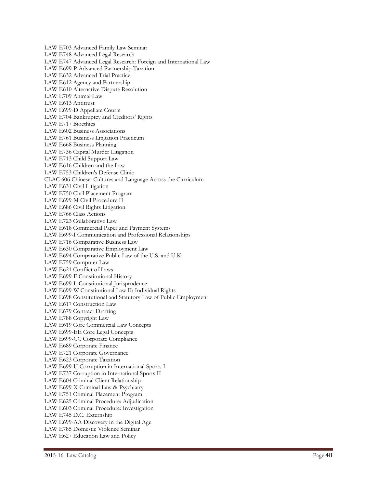LAW E703 Advanced Family Law Seminar LAW E748 Advanced Legal Research LAW E747 Advanced Legal Research: Foreign and International Law LAW E699-P Advanced Partnership Taxation LAW E632 Advanced Trial Practice LAW E612 Agency and Partnership LAW E610 Alternative Dispute Resolution LAW E709 Animal Law LAW E613 Antitrust LAW E699-D Appellate Courts LAW E704 Bankruptcy and Creditors' Rights LAW E717 Bioethics LAW E602 Business Associations LAW E761 Business Litigation Practicum LAW E668 Business Planning LAW E736 Capital Murder Litigation LAW E713 Child Support Law LAW E616 Children and the Law LAW E753 Children's Defense Clinic CLAC 606 Chinese: Cultures and Language Across the Curriculum LAW E631 Civil Litigation LAW E750 Civil Placement Program LAW E699-M Civil Procedure II LAW E686 Civil Rights Litigation LAW E766 Class Actions LAW E723 Collaborative Law LAW E618 Commercial Paper and Payment Systems LAW E699-I Communication and Professional Relationships LAW E716 Comparative Business Law LAW E630 Comparative Employment Law LAW E694 Comparative Public Law of the U.S. and U.K. LAW E759 Computer Law LAW E621 Conflict of Laws LAW E699-F Constitutional History LAW E699-L Constitutional Jurisprudence LAW E699-W Constitutional Law II: Individual Rights LAW E698 Constitutional and Statutory Law of Public Employment LAW E617 Construction Law LAW E679 Contract Drafting LAW E788 Copyright Law LAW E619 Core Commercial Law Concepts LAW E699-EE Core Legal Concepts LAW E699-CC Corporate Compliance LAW E689 Corporate Finance LAW E721 Corporate Governance LAW E623 Corporate Taxation LAW E699-U Corruption in International Sports I LAW E737 Corruption in International Sports II LAW E604 Criminal Client Relationship LAW E699-X Criminal Law & Psychiatry LAW E751 Criminal Placement Program LAW E625 Criminal Procedure: Adjudication LAW E603 Criminal Procedure: Investigation LAW E745 D.C. Externship LAW E699-AA Discovery in the Digital Age LAW E785 Domestic Violence Seminar LAW E627 Education Law and Policy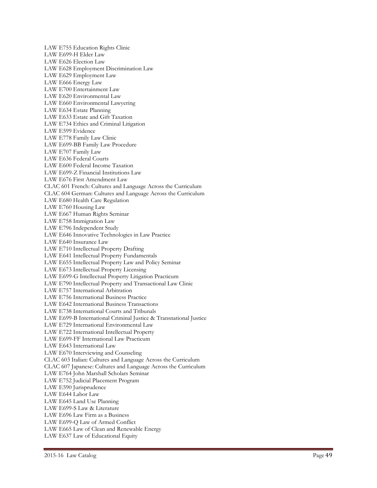LAW E755 Education Rights Clinic LAW E699-H Elder Law LAW E626 Election Law LAW E628 Employment Discrimination Law LAW E629 Employment Law LAW E666 Energy Law LAW E700 Entertainment Law LAW E620 Environmental Law LAW E660 Environmental Lawyering LAW E634 Estate Planning LAW E633 Estate and Gift Taxation LAW E734 Ethics and Criminal Litigation LAW E599 Evidence LAW E778 Family Law Clinic LAW E699-BB Family Law Procedure LAW E707 Family Law LAW E636 Federal Courts LAW E600 Federal Income Taxation LAW E699-Z Financial Institutions Law LAW E676 First Amendment Law CLAC 601 French: Cultures and Language Across the Curriculum CLAC 604 German: Cultures and Language Across the Curriculum LAW E680 Health Care Regulation LAW E760 Housing Law LAW E667 Human Rights Seminar LAW E758 Immigration Law LAW E796 Independent Study LAW E646 Innovative Technologies in Law Practice LAW E640 Insurance Law LAW E710 Intellectual Property Drafting LAW E641 Intellectual Property Fundamentals LAW E655 Intellectual Property Law and Policy Seminar LAW E673 Intellectual Property Licensing LAW E699-G Intellectual Property Litigation Practicum LAW E790 Intellectual Property and Transactional Law Clinic LAW E757 International Arbitration LAW E756 International Business Practice LAW E642 International Business Transactions LAW E738 International Courts and Tribunals LAW E699-B International Criminal Justice & Transnational Justice LAW E729 International Environmental Law LAW E722 International Intellectual Property LAW E699-FF International Law Practicum LAW E643 International Law LAW E670 Interviewing and Counseling CLAC 603 Italian: Cultures and Language Across the Curriculum CLAC 607 Japanese: Cultures and Language Across the Curriculum LAW E764 John Marshall Scholars Seminar LAW E752 Judicial Placement Program LAW E590 Jurisprudence LAW E644 Labor Law LAW E645 Land Use Planning LAW E699-S Law & Literature LAW E696 Law Firm as a Business LAW E699-Q Law of Armed Conflict LAW E665 Law of Clean and Renewable Energy LAW E637 Law of Educational Equity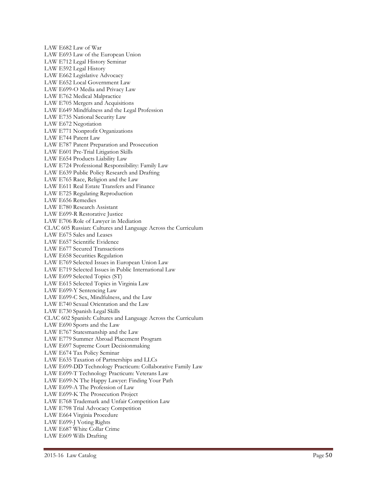LAW E682 Law of War LAW E693 Law of the European Union LAW E712 Legal History Seminar LAW E592 Legal History LAW E662 Legislative Advocacy LAW E652 Local Government Law LAW E699-O Media and Privacy Law LAW E762 Medical Malpractice LAW E705 Mergers and Acquisitions LAW E649 Mindfulness and the Legal Profession LAW E735 National Security Law LAW E672 Negotiation LAW E771 Nonprofit Organizations LAW E744 Patent Law LAW E787 Patent Preparation and Prosecution LAW E601 Pre-Trial Litigation Skills LAW E654 Products Liability Law LAW E724 Professional Responsibility: Family Law LAW E639 Public Policy Research and Drafting LAW E765 Race, Religion and the Law LAW E611 Real Estate Transfers and Finance LAW E725 Regulating Reproduction LAW E656 Remedies LAW E780 Research Assistant LAW E699-R Restorative Justice LAW E706 Role of Lawyer in Mediation CLAC 605 Russian: Cultures and Language Across the Curriculum LAW E675 Sales and Leases LAW E657 Scientific Evidence LAW E677 Secured Transactions LAW E658 Securities Regulation LAW E769 Selected Issues in European Union Law LAW E719 Selected Issues in Public International Law LAW E699 Selected Topics (ST) LAW E615 Selected Topics in Virginia Law LAW E699-Y Sentencing Law LAW E699-C Sex, Mindfulness, and the Law LAW E740 Sexual Orientation and the Law LAW E730 Spanish Legal Skills CLAC 602 Spanish: Cultures and Language Across the Curriculum LAW E690 Sports and the Law LAW E767 Statesmanship and the Law LAW E779 Summer Abroad Placement Program LAW E697 Supreme Court Decisionmaking LAW E674 Tax Policy Seminar LAW E635 Taxation of Partnerships and LLCs LAW E699-DD Technology Practicum: Collaborative Family Law LAW E699-T Technology Practicum: Veterans Law LAW E699-N The Happy Lawyer: Finding Your Path LAW E699-A The Profession of Law LAW E699-K The Prosecution Project LAW E768 Trademark and Unfair Competition Law LAW E798 Trial Advocacy Competition LAW E664 Virginia Procedure LAW E699-J Voting Rights LAW E687 White Collar Crime LAW E609 Wills Drafting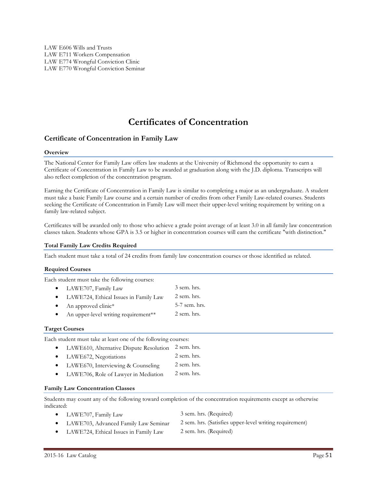# **Certificates of Concentration**

## **Certificate of Concentration in Family Law**

#### **Overview**

The National Center for Family Law offers law students at the University of Richmond the opportunity to earn a Certificate of Concentration in Family Law to be awarded at graduation along with the J.D. diploma. Transcripts will also reflect completion of the concentration program.

Earning the Certificate of Concentration in Family Law is similar to completing a major as an undergraduate. A student must take a basic Family Law course and a certain number of credits from other Family Law-related courses. Students seeking the Certificate of Concentration in Family Law will meet their upper-level writing requirement by writing on a family law-related subject.

Certificates will be awarded only to those who achieve a grade point average of at least 3.0 in all family law concentration classes taken. Students whose GPA is 3.5 or higher in concentration courses will earn the certificate "with distinction."

#### **Total Family Law Credits Required**

Each student must take a total of 24 credits from family law concentration courses or those identified as related.

#### **Required Courses**

Each student must take the following courses:

|           | • LAWE707, Family Law                 | 3 sem. hrs.   |
|-----------|---------------------------------------|---------------|
| $\bullet$ | LAWE724, Ethical Issues in Family Law | 2 sem. hrs.   |
| $\bullet$ | An approved clinic*                   | 5-7 sem. hrs. |
| $\bullet$ | An upper-level writing requirement**  | 2 sem. hrs.   |

#### **Target Courses**

Each student must take at least one of the following courses:

- LAWE610, Alternative Dispute Resolution 2 sem. hrs.
- LAWE672, Negotiations 2 sem. hrs.
- LAWE670, Interviewing & Counseling 2 sem. hrs.
- LAWE706, Role of Lawyer in Mediation 2 sem. hrs.

#### **Family Law Concentration Classes**

Students may count any of the following toward completion of the concentration requirements except as otherwise indicated:

- LAWE707, Family Law 3 sem. hrs. (Required)
	-
- LAWE703, Advanced Family Law Seminar 2 sem. hrs. (Satisfies upper-level writing requirement)
	-
- LAWE724, Ethical Issues in Family Law 2 sem. hrs. (Required)
- 2015-16 Law Catalog Page 51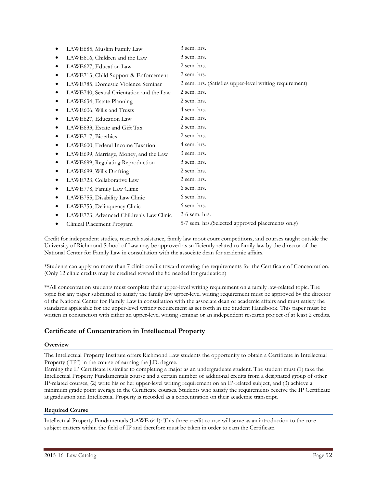| LAWE685, Muslim Family Law              | 3 sem. hrs.                                             |
|-----------------------------------------|---------------------------------------------------------|
| LAWE616, Children and the Law           | 3 sem. hrs.                                             |
| LAWE627, Education Law                  | 2 sem. hrs.                                             |
| LAWE713, Child Support & Enforcement    | 2 sem. hrs.                                             |
| LAWE785, Domestic Violence Seminar      | 2 sem. hrs. (Satisfies upper-level writing requirement) |
| LAWE740, Sexual Orientation and the Law | 2 sem. hrs.                                             |
| LAWE634, Estate Planning                | 2 sem. hrs.                                             |
| LAWE606, Wills and Trusts               | 4 sem. hrs.                                             |
| LAWE627, Education Law                  | 2 sem. hrs.                                             |
| LAWE633, Estate and Gift Tax            | 2 sem. hrs.                                             |
| LAWE717, Bioethics                      | 2 sem. hrs.                                             |
| LAWE600, Federal Income Taxation        | 4 sem. hrs.                                             |
| LAWE699, Marriage, Money, and the Law   | 3 sem. hrs.                                             |
| LAWE699, Regulating Reproduction        | 3 sem. hrs.                                             |
| LAWE699, Wills Drafting                 | 2 sem. hrs.                                             |
| LAWE723, Collaborative Law              | 2 sem. hrs.                                             |
| LAWE778, Family Law Clinic              | 6 sem. hrs.                                             |
| LAWE755, Disability Law Clinic          | 6 sem. hrs.                                             |
| LAWE753, Delinquency Clinic             | 6 sem. hrs.                                             |
| LAWE773, Advanced Children's Law Clinic | $2-6$ sem. hrs.                                         |
| Clinical Placement Program              | 5-7 sem. hrs. (Selected approved placements only)       |
|                                         |                                                         |

Credit for independent studies, research assistance, family law moot court competitions, and courses taught outside the University of Richmond School of Law may be approved as sufficiently related to family law by the director of the National Center for Family Law in consultation with the associate dean for academic affairs.

\*Students can apply no more than 7 clinic credits toward meeting the requirements for the Certificate of Concentration. (Only 12 clinic credits may be credited toward the 86 needed for graduation)

\*\*All concentration students must complete their upper-level writing requirement on a family law-related topic. The topic for any paper submitted to satisfy the family law upper-level writing requirement must be approved by the director of the National Center for Family Law in consultation with the associate dean of academic affairs and must satisfy the standards applicable for the upper-level writing requirement as set forth in the Student Handbook. This paper must be written in conjunction with either an upper-level writing seminar or an independent research project of at least 2 credits.

## **Certificate of Concentration in Intellectual Property**

## **Overview**

The Intellectual Property Institute offers Richmond Law students the opportunity to obtain a Certificate in Intellectual Property ("IP") in the course of earning the J.D. degree.

Earning the IP Certificate is similar to completing a major as an undergraduate student. The student must (1) take the Intellectual Property Fundamentals course and a certain number of additional credits from a designated group of other IP-related courses, (2) write his or her upper-level writing requirement on an IP-related subject, and (3) achieve a minimum grade point average in the Certificate courses. Students who satisfy the requirements receive the IP Certificate at graduation and Intellectual Property is recorded as a concentration on their academic transcript.

## **Required Course**

Intellectual Property Fundamentals (LAWE 641): This three-credit course will serve as an introduction to the core subject matters within the field of IP and therefore must be taken in order to earn the Certificate.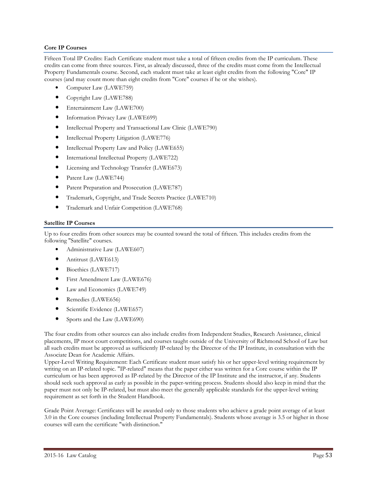## **Core IP Courses**

Fifteen Total IP Credits: Each Certificate student must take a total of fifteen credits from the IP curriculum. These credits can come from three sources. First, as already discussed, three of the credits must come from the Intellectual Property Fundamentals course. Second, each student must take at least eight credits from the following "Core" IP courses (and may count more than eight credits from "Core" courses if he or she wishes).

- Computer Law (LAWE759)
- Copyright Law (LAWE788)
- Entertainment Law (LAWE700)
- Information Privacy Law (LAWE699)
- Intellectual Property and Transactional Law Clinic (LAWE790)
- Intellectual Property Litigation (LAWE776)
- Intellectual Property Law and Policy (LAWE655)
- International Intellectual Property (LAWE722)
- Licensing and Technology Transfer (LAWE673)
- Patent Law (LAWE744)
- Patent Preparation and Prosecution (LAWE787)
- Trademark, Copyright, and Trade Secrets Practice (LAWE710)
- Trademark and Unfair Competition (LAWE768)

## **Satellite IP Courses**

Up to four credits from other sources may be counted toward the total of fifteen. This includes credits from the following "Satellite" courses.

- Administrative Law (LAWE607)
- Antitrust (LAWE613)
- Bioethics (LAWE717)
- First Amendment Law (LAWE676)
- Law and Economics (LAWE749)
- Remedies (LAWE656)
- Scientific Evidence (LAWE657)
- Sports and the Law (LAWE690)

The four credits from other sources can also include credits from Independent Studies, Research Assistance, clinical placements, IP moot court competitions, and courses taught outside of the University of Richmond School of Law but all such credits must be approved as sufficiently IP-related by the Director of the IP Institute, in consultation with the Associate Dean for Academic Affairs.

Upper-Level Writing Requirement: Each Certificate student must satisfy his or her upper-level writing requirement by writing on an IP-related topic. "IP-related" means that the paper either was written for a Core course within the IP curriculum or has been approved as IP-related by the Director of the IP Institute and the instructor, if any. Students should seek such approval as early as possible in the paper-writing process. Students should also keep in mind that the paper must not only be IP-related, but must also meet the generally applicable standards for the upper-level writing requirement as set forth in the Student Handbook.

Grade Point Average: Certificates will be awarded only to those students who achieve a grade point average of at least 3.0 in the Core courses (including Intellectual Property Fundamentals). Students whose average is 3.5 or higher in those courses will earn the certificate "with distinction."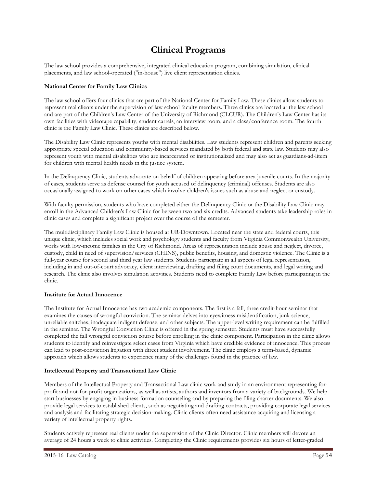# **Clinical Programs**

The law school provides a comprehensive, integrated clinical education program, combining simulation, clinical placements, and law school-operated ("in-house") live client representation clinics.

## **National Center for Family Law Clinics**

The law school offers four clinics that are part of the National Center for Family Law. These clinics allow students to represent real clients under the supervision of law school faculty members. Three clinics are located at the law school and are part of the Children's Law Center of the University of Richmond (CLCUR). The Children's Law Center has its own facilities with videotape capability, student carrels, an interview room, and a class/conference room. The fourth clinic is the Family Law Clinic. These clinics are described below.

The Disability Law Clinic represents youths with mental disabilities. Law students represent children and parents seeking appropriate special education and community-based services mandated by both federal and state law. Students may also represent youth with mental disabilities who are incarcerated or institutionalized and may also act as guardians-ad-litem for children with mental health needs in the justice system.

In the Delinquency Clinic, students advocate on behalf of children appearing before area juvenile courts. In the majority of cases, students serve as defense counsel for youth accused of delinquency (criminal) offenses. Students are also occasionally assigned to work on other cases which involve children's issues such as abuse and neglect or custody.

With faculty permission, students who have completed either the Delinquency Clinic or the Disability Law Clinic may enroll in the Advanced Children's Law Clinic for between two and six credits. Advanced students take leadership roles in clinic cases and complete a significant project over the course of the semester.

The multidisciplinary Family Law Clinic is housed at UR-Downtown. Located near the state and federal courts, this unique clinic, which includes social work and psychology students and faculty from Virginia Commonwealth University, works with low-income families in the City of Richmond. Areas of representation include abuse and neglect, divorce, custody, child in need of supervision/services (CHINS), public benefits, housing, and domestic violence. The Clinic is a full-year course for second and third year law students. Students participate in all aspects of legal representation, including in and out-of-court advocacy, client interviewing, drafting and filing court documents, and legal writing and research. The clinic also involves simulation activities. Students need to complete Family Law before participating in the clinic.

## **Institute for Actual Innocence**

The Institute for Actual Innocence has two academic components. The first is a fall, three credit-hour seminar that examines the causes of wrongful conviction. The seminar delves into eyewitness misidentification, junk science, unreliable snitches, inadequate indigent defense, and other subjects. The upper-level writing requirement can be fulfilled in the seminar. The Wrongful Conviction Clinic is offered in the spring semester. Students must have successfully completed the fall wrongful conviction course before enrolling in the clinic component. Participation in the clinic allows students to identify and reinvestigate select cases from Virginia which have credible evidence of innocence. This process can lead to post-conviction litigation with direct student involvement. The clinic employs a term-based, dynamic approach which allows students to experience many of the challenges found in the practice of law.

## **Intellectual Property and Transactional Law Clinic**

Members of the Intellectual Property and Transactional Law clinic work and study in an environment representing forprofit and not-for-profit organizations, as well as artists, authors and inventors from a variety of backgrounds. We help start businesses by engaging in business formation counseling and by preparing the filing charter documents. We also provide legal services to established clients, such as negotiating and drafting contracts, providing corporate legal services and analysis and facilitating strategic decision-making. Clinic clients often need assistance acquiring and licensing a variety of intellectual property rights.

Students actively represent real clients under the supervision of the Clinic Director. Clinic members will devote an average of 24 hours a week to clinic activities. Completing the Clinic requirements provides six hours of letter-graded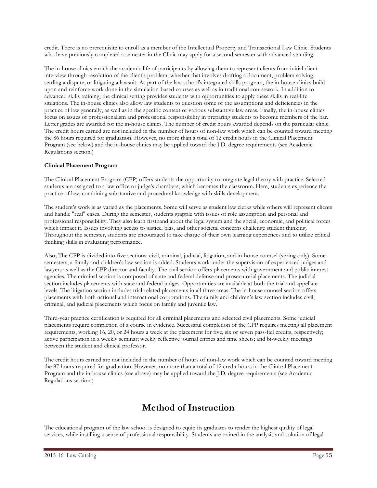credit. There is no prerequisite to enroll as a member of the Intellectual Property and Transactional Law Clinic. Students who have previously completed a semester in the Clinic may apply for a second semester with advanced standing.

The in-house clinics enrich the academic life of participants by allowing them to represent clients from initial client interview through resolution of the client's problem, whether that involves drafting a document, problem solving, settling a dispute, or litigating a lawsuit. As part of the law school's integrated skills program, the in-house clinics build upon and reinforce work done in the simulation-based courses as well as in traditional coursework. In addition to advanced skills training, the clinical setting provides students with opportunities to apply these skills in real-life situations. The in-house clinics also allow law students to question some of the assumptions and deficiencies in the practice of law generally, as well as in the specific context of various substantive law areas. Finally, the in-house clinics focus on issues of professionalism and professional responsibility in preparing students to become members of the bar. Letter grades are awarded for the in-house clinics. The number of credit hours awarded depends on the particular clinic. The credit hours earned are not included in the number of hours of non-law work which can be counted toward meeting the 86 hours required for graduation. However, no more than a total of 12 credit hours in the Clinical Placement Program (see below) and the in-house clinics may be applied toward the J.D. degree requirements (see Academic Regulations section.)

## **Clinical Placement Program**

The Clinical Placement Program (CPP) offers students the opportunity to integrate legal theory with practice. Selected students are assigned to a law office or judge's chambers, which becomes the classroom. Here, students experience the practice of law, combining substantive and procedural knowledge with skills development.

The student's work is as varied as the placements. Some will serve as student law clerks while others will represent clients and handle "real" cases. During the semester, students grapple with issues of role assumption and personal and professional responsibility. They also learn firsthand about the legal system and the social, economic, and political forces which impact it. Issues involving access to justice, bias, and other societal concerns challenge student thinking. Throughout the semester, students are encouraged to take charge of their own learning experiences and to utilize critical thinking skills in evaluating performance.

Also, The CPP is divided into five sections: civil, criminal, judicial, litigation, and in-house counsel (spring only). Some semesters, a family and children's law section is added. Students work under the supervision of experienced judges and lawyers as well as the CPP director and faculty. The civil section offers placements with government and public interest agencies. The criminal section is composed of state and federal defense and prosecutorial placements. The judicial section includes placements with state and federal judges. Opportunities are available at both the trial and appellate levels. The litigation section includes trial-related placements in all three areas. The in-house counsel section offers placements with both national and international corporations. The family and children's law section includes civil, criminal, and judicial placements which focus on family and juvenile law.

Third-year practice certification is required for all criminal placements and selected civil placements. Some judicial placements require completion of a course in evidence. Successful completion of the CPP requires meeting all placement requirements, working 16, 20, or 24 hours a week at the placement for five, six or seven pass-fail credits, respectively; active participation in a weekly seminar; weekly reflective journal entries and time sheets; and bi-weekly meetings between the student and clinical professor.

The credit hours earned are not included in the number of hours of non-law work which can be counted toward meeting the 87 hours required for graduation. However, no more than a total of 12 credit hours in the Clinical Placement Program and the in-house clinics (see above) may be applied toward the J.D. degree requirements (see Academic Regulations section.)

# **Method of Instruction**

The educational program of the law school is designed to equip its graduates to render the highest quality of legal services, while instilling a sense of professional responsibility. Students are trained in the analysis and solution of legal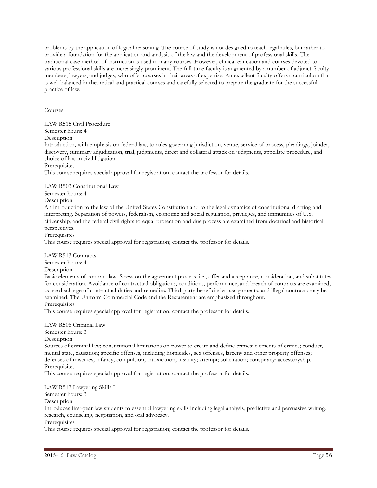problems by the application of logical reasoning. The course of study is not designed to teach legal rules, but rather to provide a foundation for the application and analysis of the law and the development of professional skills. The traditional case method of instruction is used in many courses. However, clinical education and courses devoted to various professional skills are increasingly prominent. The full-time faculty is augmented by a number of adjunct faculty members, lawyers, and judges, who offer courses in their areas of expertise. An excellent faculty offers a curriculum that is well balanced in theoretical and practical courses and carefully selected to prepare the graduate for the successful practice of law.

Courses

LAW R515 Civil Procedure

Semester hours: 4

Description

Introduction, with emphasis on federal law, to rules governing jurisdiction, venue, service of process, pleadings, joinder, discovery, summary adjudication, trial, judgments, direct and collateral attack on judgments, appellate procedure, and choice of law in civil litigation.

Prerequisites

This course requires special approval for registration; contact the professor for details.

LAW R503 Constitutional Law

Semester hours: 4

Description

An introduction to the law of the United States Constitution and to the legal dynamics of constitutional drafting and interpreting. Separation of powers, federalism, economic and social regulation, privileges, and immunities of U.S. citizenship, and the federal civil rights to equal protection and due process are examined from doctrinal and historical perspectives.

Prerequisites

This course requires special approval for registration; contact the professor for details.

LAW R513 Contracts

Semester hours: 4

Description

Basic elements of contract law. Stress on the agreement process, i.e., offer and acceptance, consideration, and substitutes for consideration. Avoidance of contractual obligations, conditions, performance, and breach of contracts are examined, as are discharge of contractual duties and remedies. Third-party beneficiaries, assignments, and illegal contracts may be examined. The Uniform Commercial Code and the Restatement are emphasized throughout. Prerequisites

This course requires special approval for registration; contact the professor for details.

LAW R506 Criminal Law Semester hours: 3 Description Sources of criminal law; constitutional limitations on power to create and define crimes; elements of crimes; conduct, mental state, causation; specific offenses, including homicides, sex offenses, larceny and other property offenses; defenses of mistakes, infancy, compulsion, intoxication, insanity; attempt; solicitation; conspiracy; accessoryship. Prerequisites This course requires special approval for registration; contact the professor for details.

LAW R517 Lawyering Skills I

Semester hours: 3

**Description** 

Introduces first-year law students to essential lawyering skills including legal analysis, predictive and persuasive writing, research, counseling, negotiation, and oral advocacy.

**Prerequisites** 

This course requires special approval for registration; contact the professor for details.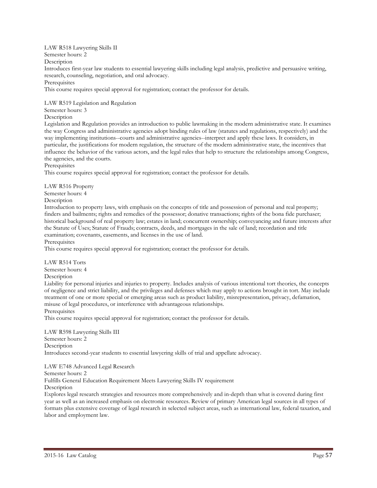## LAW R518 Lawyering Skills II

Semester hours: 2

Description

Introduces first-year law students to essential lawyering skills including legal analysis, predictive and persuasive writing, research, counseling, negotiation, and oral advocacy.

Prerequisites

This course requires special approval for registration; contact the professor for details.

LAW R519 Legislation and Regulation

## Semester hours: 3

## Description

Legislation and Regulation provides an introduction to public lawmaking in the modern administrative state. It examines the way Congress and administrative agencies adopt binding rules of law (statutes and regulations, respectively) and the way implementing institutions--courts and administrative agencies--interpret and apply these laws. It considers, in particular, the justifications for modern regulation, the structure of the modern administrative state, the incentives that influence the behavior of the various actors, and the legal rules that help to structure the relationships among Congress, the agencies, and the courts.

**Prerequisites** 

This course requires special approval for registration; contact the professor for details.

LAW R516 Property

Semester hours: 4

Description

Introduction to property laws, with emphasis on the concepts of title and possession of personal and real property; finders and bailments; rights and remedies of the possessor; donative transactions; rights of the bona fide purchaser; historical background of real property law; estates in land; concurrent ownership; conveyancing and future interests after the Statute of Uses; Statute of Frauds; contracts, deeds, and mortgages in the sale of land; recordation and title examination; covenants, easements, and licenses in the use of land.

**Prerequisites** 

This course requires special approval for registration; contact the professor for details.

LAW R514 Torts

Semester hours: 4

Description

Liability for personal injuries and injuries to property. Includes analysis of various intentional tort theories, the concepts of negligence and strict liability, and the privileges and defenses which may apply to actions brought in tort. May include treatment of one or more special or emerging areas such as product liability, misrepresentation, privacy, defamation, misuse of legal procedures, or interference with advantageous relationships.

**Prerequisites** 

This course requires special approval for registration; contact the professor for details.

LAW R598 Lawyering Skills III Semester hours: 2 Description Introduces second-year students to essential lawyering skills of trial and appellate advocacy.

LAW E748 Advanced Legal Research

Semester hours: 2

Fulfills General Education Requirement Meets Lawyering Skills IV requirement

**Description** 

Explores legal research strategies and resources more comprehensively and in-depth than what is covered during first year as well as an increased emphasis on electronic resources. Review of primary American legal sources in all types of formats plus extensive coverage of legal research in selected subject areas, such as international law, federal taxation, and labor and employment law.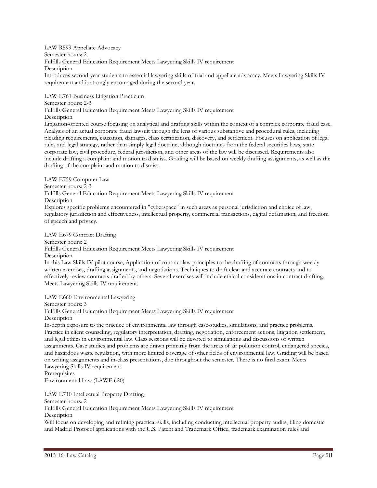LAW R599 Appellate Advocacy Semester hours: 2 Fulfills General Education Requirement Meets Lawyering Skills IV requirement **Description** Introduces second-year students to essential lawyering skills of trial and appellate advocacy. Meets Lawyering Skills IV requirement and is strongly encouraged during the second year.

LAW E761 Business Litigation Practicum Semester hours: 2-3 Fulfills General Education Requirement Meets Lawyering Skills IV requirement **Description** Litigation-oriented course focusing on analytical and drafting skills within the context of a complex corporate fraud case. Analysis of an actual corporate fraud lawsuit through the lens of various substantive and procedural rules, including pleading requirements, causation, damages, class certification, discovery, and settlement. Focuses on application of legal rules and legal strategy, rather than simply legal doctrine, although doctrines from the federal securities laws, state corporate law, civil procedure, federal jurisdiction, and other areas of the law will be discussed. Requirements also include drafting a complaint and motion to dismiss. Grading will be based on weekly drafting assignments, as well as the drafting of the complaint and motion to dismiss.

LAW E759 Computer Law Semester hours: 2-3 Fulfills General Education Requirement Meets Lawyering Skills IV requirement Description Explores specific problems encountered in "cyberspace" in such areas as personal jurisdiction and choice of law, regulatory jurisdiction and effectiveness, intellectual property, commercial transactions, digital defamation, and freedom of speech and privacy.

LAW E679 Contract Drafting

Semester hours: 2

Fulfills General Education Requirement Meets Lawyering Skills IV requirement

**Description** 

In this Law Skills IV pilot course, Application of contract law principles to the drafting of contracts through weekly written exercises, drafting assignments, and negotiations. Techniques to draft clear and accurate contracts and to effectively review contracts drafted by others. Several exercises will include ethical considerations in contract drafting. Meets Lawyering Skills IV requirement.

LAW E660 Environmental Lawyering

Semester hours: 3

Fulfills General Education Requirement Meets Lawyering Skills IV requirement

Description

In-depth exposure to the practice of environmental law through case-studies, simulations, and practice problems. Practice in client counseling, regulatory interpretation, drafting, negotiation, enforcement actions, litigation settlement, and legal ethics in environmental law. Class sessions will be devoted to simulations and discussions of written assignments. Case studies and problems are drawn primarily from the areas of air pollution control, endangered species, and hazardous waste regulation, with more limited coverage of other fields of environmental law. Grading will be based on writing assignments and in-class presentations, due throughout the semester. There is no final exam. Meets Lawyering Skills IV requirement.

Prerequisites

Environmental Law (LAWE 620)

LAW E710 Intellectual Property Drafting

Semester hours: 2

Fulfills General Education Requirement Meets Lawyering Skills IV requirement **Description** 

Will focus on developing and refining practical skills, including conducting intellectual property audits, filing domestic and Madrid Protocol applications with the U.S. Patent and Trademark Office, trademark examination rules and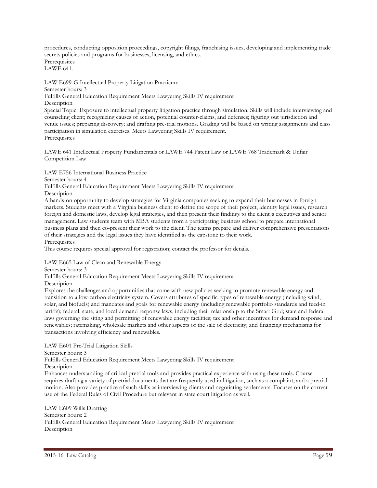procedures, conducting opposition proceedings, copyright filings, franchising issues, developing and implementing trade secrets policies and programs for businesses, licensing, and ethics. **Prerequisites** LAWE 641.

LAW E699-G Intellectual Property Litigation Practicum

Semester hours: 3

Fulfills General Education Requirement Meets Lawyering Skills IV requirement

**Description** 

Special Topic. Exposure to intellectual property litigation practice through simulation. Skills will include interviewing and counseling client; recognizing causes of action, potential counter-claims, and defenses; figuring out jurisdiction and venue issues; preparing discovery; and drafting pre-trial motions. Grading will be based on writing assignments and class participation in simulation exercises. Meets Lawyering Skills IV requirement. Prerequisites

LAWE 641 Intellectual Property Fundamentals or LAWE 744 Patent Law or LAWE 768 Trademark & Unfair Competition Law

LAW E756 International Business Practice

Semester hours: 4

Fulfills General Education Requirement Meets Lawyering Skills IV requirement

Description

A hands-on opportunity to develop strategies for Virginia companies seeking to expand their businesses in foreign markets. Students meet with a Virginia business client to define the scope of their project, identify legal issues, research foreign and domestic laws, develop legal strategies, and then present their findings to the client¿s executives and senior management. Law students team with MBA students from a participating business school to prepare international business plans and then co-present their work to the client. The teams prepare and deliver comprehensive presentations of their strategies and the legal issues they have identified as the capstone to their work.

**Prerequisites** 

This course requires special approval for registration; contact the professor for details.

LAW E665 Law of Clean and Renewable Energy

Semester hours: 3

Fulfills General Education Requirement Meets Lawyering Skills IV requirement

**Description** 

Explores the challenges and opportunities that come with new policies seeking to promote renewable energy and transition to a low-carbon electricity system. Covers attributes of specific types of renewable energy (including wind, solar, and biofuels) and mandates and goals for renewable energy (including renewable portfolio standards and feed-in tariffs); federal, state, and local demand response laws, including their relationship to the Smart Grid; state and federal laws governing the siting and permitting of renewable energy facilities; tax and other incentives for demand response and renewables; ratemaking, wholesale markets and other aspects of the sale of electricity; and financing mechanisms for transactions involving efficiency and renewables.

LAW E601 Pre-Trial Litigation Skills Semester hours: 3 Fulfills General Education Requirement Meets Lawyering Skills IV requirement Description Enhances understanding of critical pretrial tools and provides practical experience with using these tools. Course requires drafting a variety of pretrial documents that are frequently used in litigation, such as a complaint, and a pretrial motion. Also provides practice of such skills as interviewing clients and negotiating settlements. Focuses on the correct use of the Federal Rules of Civil Procedure but relevant in state court litigation as well.

LAW E609 Wills Drafting Semester hours: 2 Fulfills General Education Requirement Meets Lawyering Skills IV requirement Description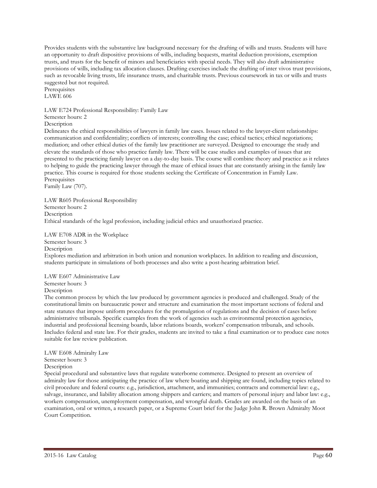Provides students with the substantive law background necessary for the drafting of wills and trusts. Students will have an opportunity to draft dispositive provisions of wills, including bequests, marital deduction provisions, exemption trusts, and trusts for the benefit of minors and beneficiaries with special needs. They will also draft administrative provisions of wills, including tax allocation clauses. Drafting exercises include the drafting of inter vivos trust provisions, such as revocable living trusts, life insurance trusts, and charitable trusts. Previous coursework in tax or wills and trusts suggested but not required.

**Prerequisites** LAWE 606

LAW E724 Professional Responsibility: Family Law

Semester hours: 2

**Description** 

Delineates the ethical responsibilities of lawyers in family law cases. Issues related to the lawyer-client relationships: communication and confidentiality; conflicts of interests; controlling the case; ethical tactics; ethical negotiations; mediation; and other ethical duties of the family law practitioner are surveyed. Designed to encourage the study and elevate the standards of those who practice family law. There will be case studies and examples of issues that are presented to the practicing family lawyer on a day-to-day basis. The course will combine theory and practice as it relates to helping to guide the practicing lawyer through the maze of ethical issues that are constantly arising in the family law practice. This course is required for those students seeking the Certificate of Concentration in Family Law. **Prerequisites** 

Family Law (707).

LAW R605 Professional Responsibility Semester hours: 2 Description Ethical standards of the legal profession, including judicial ethics and unauthorized practice.

LAW E708 ADR in the Workplace

Semester hours: 3 Description

Explores mediation and arbitration in both union and nonunion workplaces. In addition to reading and discussion, students participate in simulations of both processes and also write a post-hearing arbitration brief.

LAW E607 Administrative Law Semester hours: 3 Description

The common process by which the law produced by government agencies is produced and challenged. Study of the constitutional limits on bureaucratic power and structure and examination the most important sections of federal and state statutes that impose uniform procedures for the promulgation of regulations and the decision of cases before administrative tribunals. Specific examples from the work of agencies such as environmental protection agencies, industrial and professional licensing boards, labor relations boards, workers' compensation tribunals, and schools. Includes federal and state law. For their grades, students are invited to take a final examination or to produce case notes suitable for law review publication.

LAW E608 Admiralty Law

Semester hours: 3 Description

Special procedural and substantive laws that regulate waterborne commerce. Designed to present an overview of admiralty law for those anticipating the practice of law where boating and shipping are found, including topics related to civil procedure and federal courts: e.g., jurisdiction, attachment, and immunities; contracts and commercial law: e.g., salvage, insurance, and liability allocation among shippers and carriers; and matters of personal injury and labor law: e.g., workers compensation, unemployment compensation, and wrongful death. Grades are awarded on the basis of an examination, oral or written, a research paper, or a Supreme Court brief for the Judge John R. Brown Admiralty Moot Court Competition.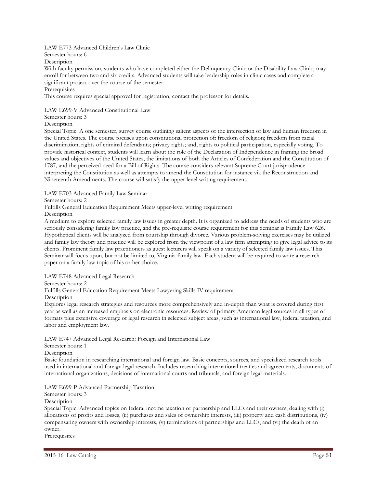## LAW E773 Advanced Children's Law Clinic

Semester hours: 6

Description

With faculty permission, students who have completed either the Delinquency Clinic or the Disability Law Clinic, may enroll for between two and six credits. Advanced students will take leadership roles in clinic cases and complete a significant project over the course of the semester.

## **Prerequisites**

This course requires special approval for registration; contact the professor for details.

## LAW E699-V Advanced Constitutional Law

Semester hours: 3

**Description** 

Special Topic. A one semester, survey course outlining salient aspects of the intersection of law and human freedom in the United States. The course focuses upon constitutional protection of: freedom of religion; freedom from racial discrimination; rights of criminal defendants; privacy rights; and, rights to political participation, especially voting. To provide historical context, students will learn about the role of the Declaration of Independence in framing the broad values and objectives of the United States, the limitations of both the Articles of Confederation and the Constitution of 1787, and the perceived need for a Bill of Rights. The course considers relevant Supreme Court jurisprudence interpreting the Constitution as well as attempts to amend the Constitution for instance via the Reconstruction and Nineteenth Amendments. The course will satisfy the upper level writing requirement.

LAW E703 Advanced Family Law Seminar

Semester hours: 2

Fulfills General Education Requirement Meets upper-level writing requirement

Description

A medium to explore selected family law issues in greater depth. It is organized to address the needs of students who are seriously considering family law practice, and the pre-requisite course requirement for this Seminar is Family Law 626. Hypothetical clients will be analyzed from courtship through divorce. Various problem-solving exercises may be utilized and family law theory and practice will be explored from the viewpoint of a law firm attempting to give legal advice to its clients. Prominent family law practitioners as guest lecturers will speak on a variety of selected family law issues. This Seminar will focus upon, but not be limited to, Virginia family law. Each student will be required to write a research paper on a family law topic of his or her choice.

LAW E748 Advanced Legal Research

Semester hours: 2

Fulfills General Education Requirement Meets Lawyering Skills IV requirement

**Description** 

Explores legal research strategies and resources more comprehensively and in-depth than what is covered during first year as well as an increased emphasis on electronic resources. Review of primary American legal sources in all types of formats plus extensive coverage of legal research in selected subject areas, such as international law, federal taxation, and labor and employment law.

LAW E747 Advanced Legal Research: Foreign and International Law

Semester hours: 1

Description

Basic foundation in researching international and foreign law. Basic concepts, sources, and specialized research tools used in international and foreign legal research. Includes researching international treaties and agreements, documents of international organizations, decisions of international courts and tribunals, and foreign legal materials.

LAW E699-P Advanced Partnership Taxation

Semester hours: 3

**Description** 

Special Topic. Advanced topics on federal income taxation of partnership and LLCs and their owners, dealing with (i) allocations of profits and losses, (ii) purchases and sales of ownership interests, (iii) property and cash distributions, (iv) compensating owners with ownership interests, (v) terminations of partnerships and LLCs, and (vi) the death of an owner.

**Prerequisites**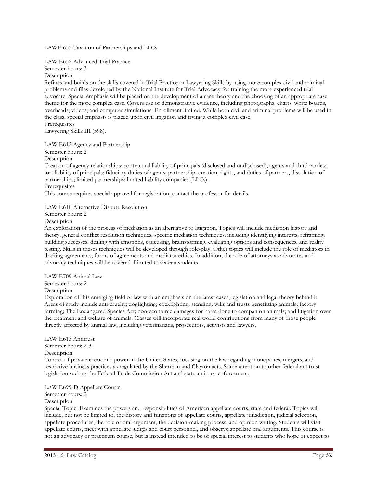LAWE 635 Taxation of Partnerships and LLCs

LAW E632 Advanced Trial Practice

Semester hours: 3

Description

Refines and builds on the skills covered in Trial Practice or Lawyering Skills by using more complex civil and criminal problems and files developed by the National Institute for Trial Advocacy for training the more experienced trial advocate. Special emphasis will be placed on the development of a case theory and the choosing of an appropriate case theme for the more complex case. Covers use of demonstrative evidence, including photographs, charts, white boards, overheads, videos, and computer simulations. Enrollment limited. While both civil and criminal problems will be used in the class, special emphasis is placed upon civil litigation and trying a complex civil case.

**Prerequisites** Lawyering Skills III (598).

LAW E612 Agency and Partnership

Semester hours: 2

Description

Creation of agency relationships; contractual liability of principals (disclosed and undisclosed), agents and third parties; tort liability of principals; fiduciary duties of agents; partnership: creation, rights, and duties of partners, dissolution of partnerships; limited partnerships; limited liability companies (LLCs).

**Prerequisites** 

This course requires special approval for registration; contact the professor for details.

LAW E610 Alternative Dispute Resolution

Semester hours: 2

Description

An exploration of the process of mediation as an alternative to litigation. Topics will include mediation history and theory, general conflict resolution techniques, specific mediation techniques, including identifying interests, reframing, building successes, dealing with emotions, caucusing, brainstorming, evaluating options and consequences, and reality testing. Skills in theses techniques will be developed through role-play. Other topics will include the role of mediators in drafting agreements, forms of agreements and mediator ethics. In addition, the role of attorneys as advocates and advocacy techniques will be covered. Limited to sixteen students.

LAW E709 Animal Law Semester hours: 2 Description

Exploration of this emerging field of law with an emphasis on the latest cases, legislation and legal theory behind it. Areas of study include anti-cruelty; dogfighting; cockfighting; standing; wills and trusts benefitting animals; factory farming; The Endangered Species Act; non-economic damages for harm done to companion animals; and litigation over the treatment and welfare of animals. Classes will incorporate real world contributions from many of those people directly affected by animal law, including veterinarians, prosecutors, activists and lawyers.

LAW E613 Antitrust Semester hours: 2-3 Description

Control of private economic power in the United States, focusing on the law regarding monopolies, mergers, and restrictive business practices as regulated by the Sherman and Clayton acts. Some attention to other federal antitrust legislation such as the Federal Trade Commission Act and state antitrust enforcement.

## LAW E699-D Appellate Courts

Semester hours: 2

## **Description**

Special Topic. Examines the powers and responsibilities of American appellate courts, state and federal. Topics will include, but not be limited to, the history and functions of appellate courts, appellate jurisdiction, judicial selection, appellate procedures, the role of oral argument, the decision-making process, and opinion writing. Students will visit appellate courts, meet with appellate judges and court personnel, and observe appellate oral arguments. This course is not an advocacy or practicum course, but is instead intended to be of special interest to students who hope or expect to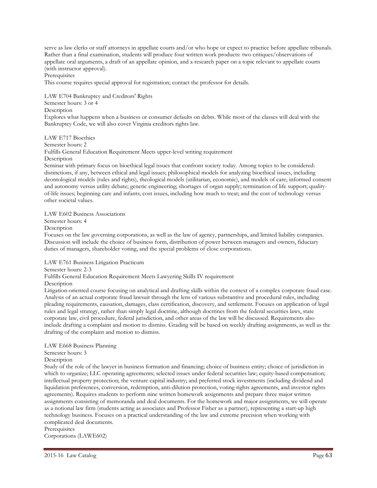serve as law clerks or staff attorneys in appellate courts and/or who hope or expect to practice before appellate tribunals. Rather than a final examination, students will produce four written work products: two critiques/observations of appellate oral arguments, a draft of an appellate opinion, and a research paper on a topic relevant to appellate courts (with instructor approval).

**Prerequisites** 

This course requires special approval for registration; contact the professor for details.

LAW E704 Bankruptcy and Creditors' Rights Semester hours: 3 or 4 **Description** Explores what happens when a business or consumer defaults on debts. While most of the classes will deal with the Bankruptcy Code, we will also cover Virginia creditors rights law.

LAW E717 Bioethics

Semester hours: 2

Fulfills General Education Requirement Meets upper-level writing requirement Description

Seminar with primary focus on bioethical legal issues that confront society today. Among topics to be considered: distinctions, if any, between ethical and legal issues; philosophical models for analyzing bioethical issues, including deontological models (rules and rights), theological models (utilitarian, economic), and models of care; informed consent and autonomy versus utility debate; genetic engineering; shortages of organ supply; termination of life support; qualityof-life issues; beginning care and infants; cost issues, including how much to treat; and the cost of technology versus other societal values.

LAW E602 Business Associations

Semester hours: 4

Description

Focuses on the law governing corporations, as well as the law of agency, partnerships, and limited liability companies. Discussion will include the choice of business form, distribution of power between managers and owners, fiduciary duties of managers, shareholder voting, and the special problems of close corporations.

LAW E761 Business Litigation Practicum

Semester hours: 2-3

Fulfills General Education Requirement Meets Lawyering Skills IV requirement

**Description** 

Litigation-oriented course focusing on analytical and drafting skills within the context of a complex corporate fraud case. Analysis of an actual corporate fraud lawsuit through the lens of various substantive and procedural rules, including pleading requirements, causation, damages, class certification, discovery, and settlement. Focuses on application of legal rules and legal strategy, rather than simply legal doctrine, although doctrines from the federal securities laws, state corporate law, civil procedure, federal jurisdiction, and other areas of the law will be discussed. Requirements also include drafting a complaint and motion to dismiss. Grading will be based on weekly drafting assignments, as well as the drafting of the complaint and motion to dismiss.

LAW E668 Business Planning

Semester hours: 3

Description

Study of the role of the lawyer in business formation and financing; choice of business entity; choice of jurisdiction in which to organize; LLC operating agreements; selected issues under federal securities law; equity-based compensation; intellectual property protection; the venture capital industry; and preferred stock investments (including dividend and liquidation preferences, conversion, redemption, anti-dilution protection, voting rights agreements, and investor rights agreements). Requires students to perform nine written homework assignments and prepare three major written assignments consisting of memoranda and deal documents. For the homework and major assignments, we will operate as a notional law firm (students acting as associates and Professor Fisher as a partner), representing a start-up high technology business. Focuses on a practical understanding of the law and extreme precision when working with complicated deal documents.

**Prerequisites** Corporations (LAWE602)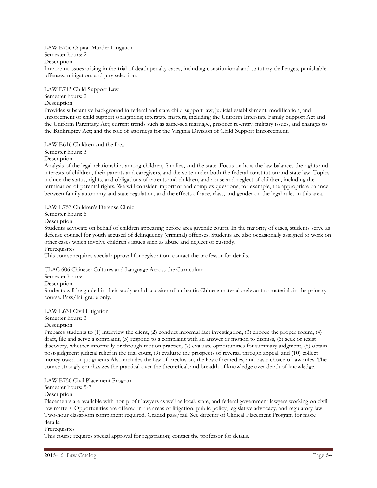LAW E736 Capital Murder Litigation

Semester hours: 2

Description

Important issues arising in the trial of death penalty cases, including constitutional and statutory challenges, punishable offenses, mitigation, and jury selection.

LAW E713 Child Support Law Semester hours: 2

**Description** 

Provides substantive background in federal and state child support law; judicial establishment, modification, and enforcement of child support obligations; interstate matters, including the Uniform Interstate Family Support Act and the Uniform Parentage Act; current trends such as same-sex marriage, prisoner re-entry, military issues, and changes to the Bankruptcy Act; and the role of attorneys for the Virginia Division of Child Support Enforcement.

LAW E616 Children and the Law

Semester hours: 3

Description

Analysis of the legal relationships among children, families, and the state. Focus on how the law balances the rights and interests of children, their parents and caregivers, and the state under both the federal constitution and state law. Topics include the status, rights, and obligations of parents and children, and abuse and neglect of children, including the termination of parental rights. We will consider important and complex questions, for example, the appropriate balance between family autonomy and state regulation, and the effects of race, class, and gender on the legal rules in this area.

LAW E753 Children's Defense Clinic

Semester hours: 6

Description

Students advocate on behalf of children appearing before area juvenile courts. In the majority of cases, students serve as defense counsel for youth accused of delinquency (criminal) offenses. Students are also occasionally assigned to work on other cases which involve children's issues such as abuse and neglect or custody.

**Prerequisites** 

This course requires special approval for registration; contact the professor for details.

CLAC 606 Chinese: Cultures and Language Across the Curriculum

Semester hours: 1

**Description** 

Students will be guided in their study and discussion of authentic Chinese materials relevant to materials in the primary course. Pass/fail grade only.

## LAW E631 Civil Litigation

Semester hours: 3

Description

Prepares students to (1) interview the client, (2) conduct informal fact investigation, (3) choose the proper forum, (4) draft, file and serve a complaint, (5) respond to a complaint with an answer or motion to dismiss, (6) seek or resist discovery, whether informally or through motion practice, (7) evaluate opportunities for summary judgment, (8) obtain post-judgment judicial relief in the trial court, (9) evaluate the prospects of reversal through appeal, and (10) collect money owed on judgments Also includes the law of preclusion, the law of remedies, and basic choice of law rules. The course strongly emphasizes the practical over the theoretical, and breadth of knowledge over depth of knowledge.

LAW E750 Civil Placement Program

Semester hours: 5-7

Description

Placements are available with non profit lawyers as well as local, state, and federal government lawyers working on civil law matters. Opportunities are offered in the areas of litigation, public policy, legislative advocacy, and regulatory law. Two-hour classroom component required. Graded pass/fail. See director of Clinical Placement Program for more details.

Prerequisites

This course requires special approval for registration; contact the professor for details.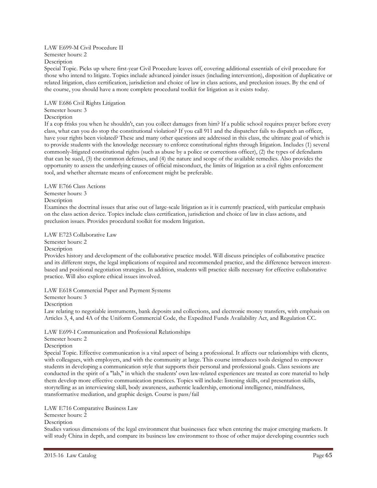## LAW E699-M Civil Procedure II Semester hours: 2

Description

Special Topic. Picks up where first-year Civil Procedure leaves off, covering additional essentials of civil procedure for those who intend to litigate. Topics include advanced joinder issues (including intervention), disposition of duplicative or related litigation, class certification, jurisdiction and choice of law in class actions, and preclusion issues. By the end of the course, you should have a more complete procedural toolkit for litigation as it exists today.

LAW E686 Civil Rights Litigation Semester hours: 3 Description

If a cop frisks you when he shouldn't, can you collect damages from him? If a public school requires prayer before every class, what can you do stop the constitutional violation? If you call 911 and the dispatcher fails to dispatch an officer, have your rights been violated? These and many other questions are addressed in this class, the ultimate goal of which is to provide students with the knowledge necessary to enforce constitutional rights through litigation. Includes (1) several commonly-litigated constitutional rights (such as abuse by a police or corrections officer), (2) the types of defendants that can be sued, (3) the common defenses, and (4) the nature and scope of the available remedies. Also provides the opportunity to assess the underlying causes of official misconduct, the limits of litigation as a civil rights enforcement tool, and whether alternate means of enforcement might be preferable.

LAW E766 Class Actions Semester hours: 3 Description

Examines the doctrinal issues that arise out of large-scale litigation as it is currently practiced, with particular emphasis on the class action device. Topics include class certification, jurisdiction and choice of law in class actions, and preclusion issues. Provides procedural toolkit for modern litigation.

LAW E723 Collaborative Law

Semester hours: 2

Description

Provides history and development of the collaborative practice model. Will discuss principles of collaborative practice and its different steps, the legal implications of required and recommended practice, and the difference between interestbased and positional negotiation strategies. In addition, students will practice skills necessary for effective collaborative practice. Will also explore ethical issues involved.

LAW E618 Commercial Paper and Payment Systems

Semester hours: 3

Description

Law relating to negotiable instruments, bank deposits and collections, and electronic money transfers, with emphasis on Articles 3, 4, and 4A of the Uniform Commercial Code, the Expedited Funds Availability Act, and Regulation CC.

LAW E699-I Communication and Professional Relationships

Semester hours: 2

Description

Special Topic. Effective communication is a vital aspect of being a professional. It affects our relationships with clients, with colleagues, with employers, and with the community at large. This course introduces tools designed to empower students in developing a communication style that supports their personal and professional goals. Class sessions are conducted in the spirit of a "lab," in which the students' own law-related experiences are treated as core material to help them develop more effective communication practices. Topics will include: listening skills, oral presentation skills, storytelling as an interviewing skill, body awareness, authentic leadership, emotional intelligence, mindfulness, transformative mediation, and graphic design. Course is pass/fail

LAW E716 Comparative Business Law

Semester hours: 2

**Description** 

Studies various dimensions of the legal environment that businesses face when entering the major emerging markets. It will study China in depth, and compare its business law environment to those of other major developing countries such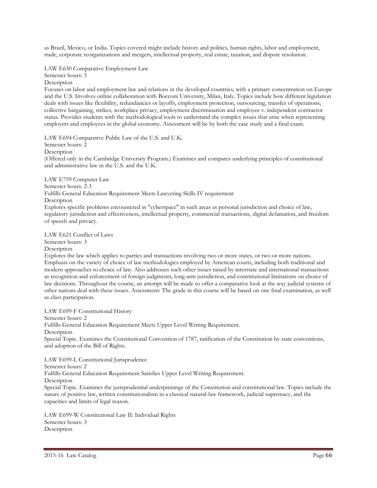as Brazil, Mexico, or India. Topics covered might include history and politics, human rights, labor and employment, trade, corporate reorganizations and mergers, intellectual property, real estate, taxation, and dispute resolution.

LAW E630 Comparative Employment Law Semester hours: 3 Description

Focuses on labor and employment law and relations in the developed countries, with a primary concentration on Europe and the U.S. Involves online collaboration with Bocconi University, Milan, Italy. Topics include how different legislation deals with issues like flexibility, redundancies or layoffs, employment protection, outsourcing, transfer of operations, collective bargaining, strikes, workplace privacy, employment discrimination and employee v. independent contractor status. Provides students with the methodological tools to understand the complex issues that arise when representing employers and employees in the global economy. Assessment will be by both the case study and a final exam.

LAW E694 Comparative Public Law of the U.S. and U.K. Semester hours: 2 Description (Offered only in the Cambridge University Program.) Examines and compares underlying principles of constitutional and administrative law in the U.S. and the U.K.

LAW E759 Computer Law Semester hours: 2-3 Fulfills General Education Requirement Meets Lawyering Skills IV requirement Description Explores specific problems encountered in "cyberspace" in such areas as personal jurisdiction and choice of law, regulatory jurisdiction and effectiveness, intellectual property, commercial transactions, digital defamation, and freedom of speech and privacy.

LAW E621 Conflict of Laws Semester hours: 3

Description

Explores the law which applies to parties and transactions involving two or more states, or two or more nations. Emphasis on the variety of choice of law methodologies employed by American courts, including both traditional and modern approaches to choice of law. Also addresses such other issues raised by interstate and international transactions as recognition and enforcement of foreign judgments, long-arm jurisdiction, and constitutional limitations on choice of law decisions. Throughout the course, an attempt will be made to offer a comparative look at the way judicial systems of other nations deal with these issues. Assessment: The grade in this course will be based on one final examination, as well as class participation.

LAW E699-F Constitutional History Semester hours: 2 Fulfills General Education Requirement Meets Upper Level Writing Requirement. Description Special Topic. Examines the Constitutional Convention of 1787, ratification of the Constitution by state conventions, and adoption of the Bill of Rights.

LAW E699-L Constitutional Jurisprudence Semester hours: 2 Fulfills General Education Requirement Satisfies Upper Level Writing Requirement. Description Special Topic. Examines the jurisprudential underpinnings of the Constitution and constitutional law. Topics include the nature of positive law, written constitutionalism in a classical natural-law framework, judicial supremacy, and the capacities and limits of legal reason.

LAW E699-W Constitutional Law II: Individual Rights Semester hours: 3 Description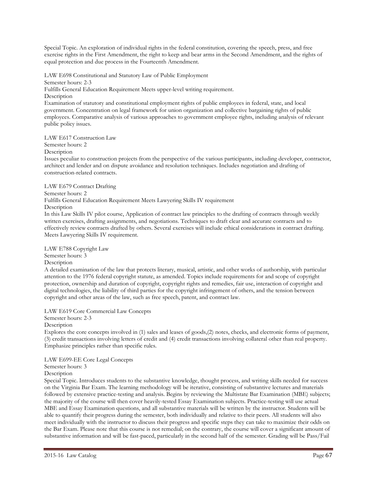Special Topic. An exploration of individual rights in the federal constitution, covering the speech, press, and free exercise rights in the First Amendment, the right to keep and bear arms in the Second Amendment, and the rights of equal protection and due process in the Fourteenth Amendment.

LAW E698 Constitutional and Statutory Law of Public Employment Semester hours: 2-3 Fulfills General Education Requirement Meets upper-level writing requirement. **Description** Examination of statutory and constitutional employment rights of public employees in federal, state, and local government. Concentration on legal framework for union organization and collective bargaining rights of public employees. Comparative analysis of various approaches to government employee rights, including analysis of relevant public policy issues.

LAW E617 Construction Law

Semester hours: 2

**Description** 

Issues peculiar to construction projects from the perspective of the various participants, including developer, contractor, architect and lender and on dispute avoidance and resolution techniques. Includes negotiation and drafting of construction-related contracts.

LAW E679 Contract Drafting

Semester hours: 2

Fulfills General Education Requirement Meets Lawyering Skills IV requirement

Description

In this Law Skills IV pilot course, Application of contract law principles to the drafting of contracts through weekly written exercises, drafting assignments, and negotiations. Techniques to draft clear and accurate contracts and to effectively review contracts drafted by others. Several exercises will include ethical considerations in contract drafting. Meets Lawyering Skills IV requirement.

LAW E788 Copyright Law Semester hours: 3 **Description** 

A detailed examination of the law that protects literary, musical, artistic, and other works of authorship, with particular attention to the 1976 federal copyright statute, as amended. Topics include requirements for and scope of copyright protection, ownership and duration of copyright, copyright rights and remedies, fair use, interaction of copyright and digital technologies, the liability of third parties for the copyright infringement of others, and the tension between copyright and other areas of the law, such as free speech, patent, and contract law.

LAW E619 Core Commercial Law Concepts

Semester hours: 2-3

**Description** 

Explores the core concepts involved in (1) sales and leases of goods,(2) notes, checks, and electronic forms of payment, (3) credit transactions involving letters of credit and (4) credit transactions involving collateral other than real property. Emphasize principles rather than specific rules.

LAW E699-EE Core Legal Concepts

Semester hours: 3

Description

Special Topic. Introduces students to the substantive knowledge, thought process, and writing skills needed for success on the Virginia Bar Exam. The learning methodology will be iterative, consisting of substantive lectures and materials followed by extensive practice-testing and analysis. Begins by reviewing the Multistate Bar Examination (MBE) subjects; the majority of the course will then cover heavily-tested Essay Examination subjects. Practice-testing will use actual MBE and Essay Examination questions, and all substantive materials will be written by the instructor. Students will be able to quantify their progress during the semester, both individually and relative to their peers. All students will also meet individually with the instructor to discuss their progress and specific steps they can take to maximize their odds on the Bar Exam. Please note that this course is not remedial; on the contrary, the course will cover a significant amount of substantive information and will be fast-paced, particularly in the second half of the semester. Grading will be Pass/Fail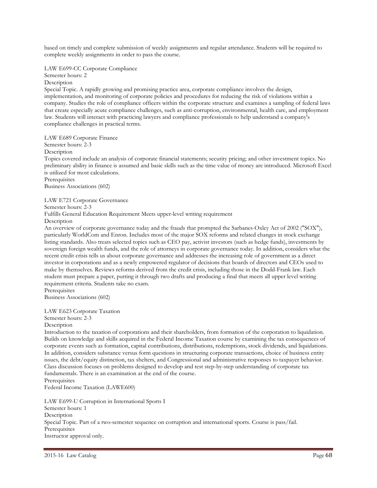based on timely and complete submission of weekly assignments and regular attendance. Students will be required to complete weekly assignments in order to pass the course.

LAW E699-CC Corporate Compliance

Semester hours: 2 Description

Special Topic. A rapidly growing and promising practice area, corporate compliance involves the design, implementation, and monitoring of corporate policies and procedures for reducing the risk of violations within a company. Studies the role of compliance officers within the corporate structure and examines a sampling of federal laws that create especially acute compliance challenges, such as anti-corruption, environmental, health care, and employment law. Students will interact with practicing lawyers and compliance professionals to help understand a company's compliance challenges in practical terms.

LAW E689 Corporate Finance

Semester hours: 2-3

**Description** 

Topics covered include an analysis of corporate financial statements; security pricing; and other investment topics. No preliminary ability in finance is assumed and basic skills such as the time value of money are introduced. Microsoft Excel is utilized for most calculations.

Prerequisites Business Associations (602)

LAW E721 Corporate Governance

Semester hours: 2-3

Fulfills General Education Requirement Meets upper-level writing requirement Description

An overview of corporate governance today and the frauds that prompted the Sarbanes-Oxley Act of 2002 ("SOX"), particularly WorldCom and Enron. Includes most of the major SOX reforms and related changes in stock exchange listing standards. Also treats selected topics such as CEO pay, activist investors (such as hedge funds), investments by sovereign foreign wealth funds, and the role of attorneys in corporate governance today. In addition, considers what the recent credit crisis tells us about corporate governance and addresses the increasing role of government as a direct investor in corporations and as a newly empowered regulator of decisions that boards of directors and CEOs used to make by themselves. Reviews reforms derived from the credit crisis, including those in the Dodd-Frank law. Each student must prepare a paper, putting it through two drafts and producing a final that meets all upper level writing requirement criteria. Students take no exam.

**Prerequisites** Business Associations (602)

LAW E623 Corporate Taxation

Semester hours: 2-3

Description

Introduction to the taxation of corporations and their shareholders, from formation of the corporation to liquidation. Builds on knowledge and skills acquired in the Federal Income Taxation course by examining the tax consequences of corporate events such as formation, capital contributions, distributions, redemptions, stock dividends, and liquidations. In addition, considers substance versus form questions in structuring corporate transactions, choice of business entity issues, the debt/equity distinction, tax shelters, and Congressional and administrative responses to taxpayer behavior. Class discussion focuses on problems designed to develop and test step-by-step understanding of corporate tax fundamentals. There is an examination at the end of the course.

**Prerequisites** 

Federal Income Taxation (LAWE600)

LAW E699-U Corruption in International Sports I Semester hours: 1 **Description** Special Topic. Part of a two-semester sequence on corruption and international sports. Course is pass/fail. **Prerequisites** Instructor approval only.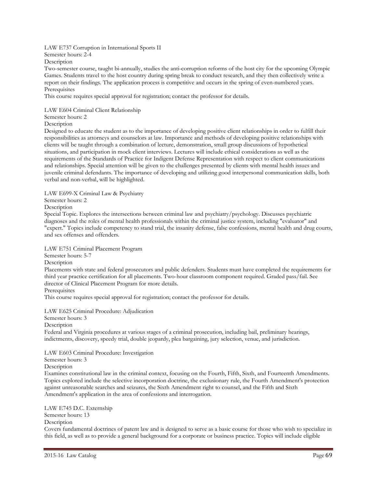## LAW E737 Corruption in International Sports II

Semester hours: 2-4

Description

Two-semester course, taught bi-annually, studies the anti-corruption reforms of the host city for the upcoming Olympic Games. Students travel to the host country during spring break to conduct research, and they then collectively write a report on their findings. The application process is competitive and occurs in the spring of even-numbered years. **Prerequisites** 

This course requires special approval for registration; contact the professor for details.

## LAW E604 Criminal Client Relationship

Semester hours: 2

**Description** 

Designed to educate the student as to the importance of developing positive client relationships in order to fulfill their responsibilities as attorneys and counselors at law. Importance and methods of developing positive relationships with clients will be taught through a combination of lecture, demonstration, small group discussions of hypothetical situations, and participation in mock client interviews. Lectures will include ethical considerations as well as the requirements of the Standards of Practice for Indigent Defense Representation with respect to client communications and relationships. Special attention will be given to the challenges presented by clients with mental health issues and juvenile criminal defendants. The importance of developing and utilizing good interpersonal communication skills, both verbal and non-verbal, will be highlighted.

LAW E699-X Criminal Law & Psychiatry

Semester hours: 2

Description

Special Topic. Explores the intersections between criminal law and psychiatry/psychology. Discusses psychiatric diagnoses and the roles of mental health professionals within the criminal justice system, including "evaluator" and "expert." Topics include competency to stand trial, the insanity defense, false confessions, mental health and drug courts, and sex offenses and offenders.

LAW E751 Criminal Placement Program

Semester hours: 5-7

Description

Placements with state and federal prosecutors and public defenders. Students must have completed the requirements for third year practice certification for all placements. Two-hour classroom component required. Graded pass/fail. See director of Clinical Placement Program for more details.

**Prerequisites** 

This course requires special approval for registration; contact the professor for details.

LAW E625 Criminal Procedure: Adjudication

Semester hours: 3

Description

Federal and Virginia procedures at various stages of a criminal prosecution, including bail, preliminary hearings, indictments, discovery, speedy trial, double jeopardy, plea bargaining, jury selection, venue, and jurisdiction.

LAW E603 Criminal Procedure: Investigation

Semester hours: 3

Description

Examines constitutional law in the criminal context, focusing on the Fourth, Fifth, Sixth, and Fourteenth Amendments. Topics explored include the selective incorporation doctrine, the exclusionary rule, the Fourth Amendment's protection against unreasonable searches and seizures, the Sixth Amendment right to counsel, and the Fifth and Sixth Amendment's application in the area of confessions and interrogation.

LAW E745 D.C. Externship Semester hours: 13 **Description** Covers fundamental doctrines of patent law and is designed to serve as a basic course for those who wish to specialize in this field, as well as to provide a general background for a corporate or business practice. Topics will include eligible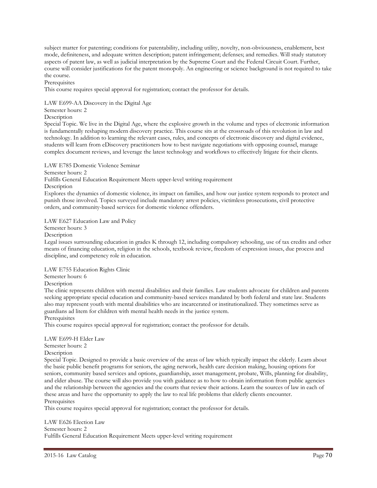subject matter for patenting; conditions for patentability, including utility, novelty, non-obviousness, enablement, best mode, definiteness, and adequate written description; patent infringement; defenses; and remedies. Will study statutory aspects of patent law, as well as judicial interpretation by the Supreme Court and the Federal Circuit Court. Further, course will consider justifications for the patent monopoly. An engineering or science background is not required to take the course.

Prerequisites

This course requires special approval for registration; contact the professor for details.

LAW E699-AA Discovery in the Digital Age

## Semester hours: 2

Description

Special Topic. We live in the Digital Age, where the explosive growth in the volume and types of electronic information is fundamentally reshaping modern discovery practice. This course sits at the crossroads of this revolution in law and technology. In addition to learning the relevant cases, rules, and concepts of electronic discovery and digital evidence, students will learn from eDiscovery practitioners how to best navigate negotiations with opposing counsel, manage complex document reviews, and leverage the latest technology and workflows to effectively litigate for their clients.

LAW E785 Domestic Violence Seminar

Semester hours: 2

Fulfills General Education Requirement Meets upper-level writing requirement

Description

Explores the dynamics of domestic violence, its impact on families, and how our justice system responds to protect and punish those involved. Topics surveyed include mandatory arrest policies, victimless prosecutions, civil protective orders, and community-based services for domestic violence offenders.

LAW E627 Education Law and Policy

Semester hours: 3

Description

Legal issues surrounding education in grades K through 12, including compulsory schooling, use of tax credits and other means of financing education, religion in the schools, textbook review, freedom of expression issues, due process and discipline, and competency role in education.

LAW E755 Education Rights Clinic

Semester hours: 6

**Description** 

The clinic represents children with mental disabilities and their families. Law students advocate for children and parents seeking appropriate special education and community-based services mandated by both federal and state law. Students also may represent youth with mental disabilities who are incarcerated or institutionalized. They sometimes serve as guardians ad litem for children with mental health needs in the justice system.

**Prerequisites** 

This course requires special approval for registration; contact the professor for details.

LAW E699-H Elder Law

Semester hours: 2

Description

Special Topic. Designed to provide a basic overview of the areas of law which typically impact the elderly. Learn about the basic public benefit programs for seniors, the aging network, health care decision making, housing options for seniors, community based services and options, guardianship, asset management, probate, Wills, planning for disability, and elder abuse. The course will also provide you with guidance as to how to obtain information from public agencies and the relationship between the agencies and the courts that review their actions. Learn the sources of law in each of these areas and have the opportunity to apply the law to real life problems that elderly clients encounter. **Prerequisites** 

This course requires special approval for registration; contact the professor for details.

LAW E626 Election Law Semester hours: 2 Fulfills General Education Requirement Meets upper-level writing requirement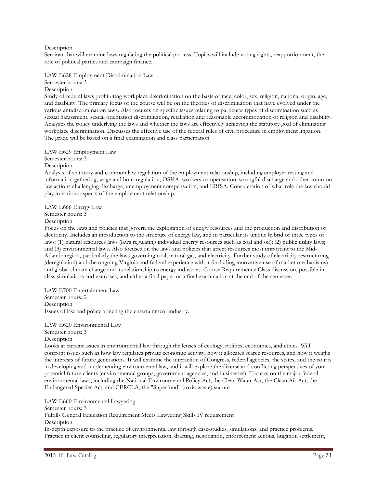## Description

Seminar that will examine laws regulating the political process. Topics will include voting rights, reapportionment, the role of political parties and campaign finance.

LAW E628 Employment Discrimination Law

Semester hours: 3 Description

Study of federal laws prohibiting workplace discrimination on the basis of race, color, sex, religion, national origin, age, and disability. The primary focus of the course will be on the theories of discrimination that have evolved under the various antidiscrimination laws. Also focuses on specific issues relating to particular types of discrimination such as sexual harassment, sexual orientation discrimination, retaliation and reasonable accommodation of religion and disability. Analyzes the policy underlying the laws and whether the laws are effectively achieving the statutory goal of eliminating workplace discrimination. Discusses the effective use of the federal rules of civil procedure in employment litigation. The grade will be based on a final examination and class participation.

## LAW E629 Employment Law

Semester hours: 3

Description

Analysis of statutory and common law regulation of the employment relationship, including employer testing and information gathering, wage and hour regulation, OSHA, workers compensation, wrongful discharge and other common law actions challenging discharge, unemployment compensation, and ERISA. Consideration of what role the law should play in various aspects of the employment relationship.

LAW E666 Energy Law Semester hours: 3

Description

Focus on the laws and policies that govern the exploitation of energy resources and the production and distribution of electricity. Includes an introduction to the structure of energy law, and in particular its unique hybrid of three types of laws: (1) natural resources laws (laws regulating individual energy resources such as coal and oil); (2) public utility laws; and (3) environmental laws. Also focuses on the laws and policies that affect resources most important to the Mid-Atlantic region, particularly the laws governing coal, natural gas, and electricity. Further study of electricity restructuring (deregulation) and the ongoing Virginia and federal experience with it (including innovative use of market mechanisms) and global climate change and its relationship to energy industries. Course Requirements: Class discussion, possible inclass simulations and exercises, and either a final paper or a final examination at the end of the semester.

LAW E700 Entertainment Law Semester hours: 2 Description Issues of law and policy affecting the entertainment industry.

LAW E620 Environmental Law Semester hours: 3 Description

Looks at current issues in environmental law through the lenses of ecology, politics, economics, and ethics. Will confront issues such as how law regulates private economic activity, how it allocates scarce resources, and how it weighs the interests of future generations. It will examine the interaction of Congress, federal agencies, the states, and the courts in developing and implementing environmental law, and it will explore the diverse and conflicting perspectives of your potential future clients (environmental groups, government agencies, and businesses). Focuses on the major federal environmental laws, including the National Environmental Policy Act, the Clean Water Act, the Clean Air Act, the Endangered Species Act, and CERCLA, the "Superfund" (toxic waste) statute.

LAW E660 Environmental Lawyering Semester hours: 3 Fulfills General Education Requirement Meets Lawyering Skills IV requirement **Description** In-depth exposure to the practice of environmental law through case-studies, simulations, and practice problems. Practice in client counseling, regulatory interpretation, drafting, negotiation, enforcement actions, litigation settlement,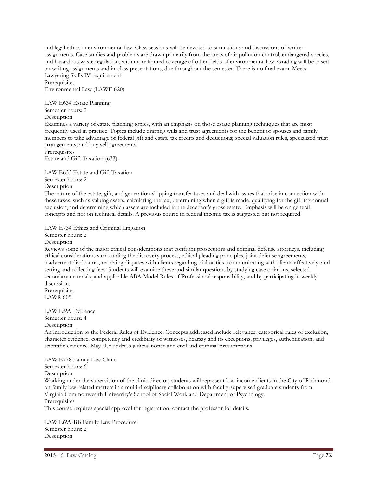and legal ethics in environmental law. Class sessions will be devoted to simulations and discussions of written assignments. Case studies and problems are drawn primarily from the areas of air pollution control, endangered species, and hazardous waste regulation, with more limited coverage of other fields of environmental law. Grading will be based on writing assignments and in-class presentations, due throughout the semester. There is no final exam. Meets Lawyering Skills IV requirement.

**Prerequisites** Environmental Law (LAWE 620)

LAW E634 Estate Planning Semester hours: 2 Description

Examines a variety of estate planning topics, with an emphasis on those estate planning techniques that are most frequently used in practice. Topics include drafting wills and trust agreements for the benefit of spouses and family members to take advantage of federal gift and estate tax credits and deductions; special valuation rules, specialized trust arrangements, and buy-sell agreements.

**Prerequisites** Estate and Gift Taxation (633).

LAW E633 Estate and Gift Taxation Semester hours: 2

Description

The nature of the estate, gift, and generation-skipping transfer taxes and deal with issues that arise in connection with these taxes, such as valuing assets, calculating the tax, determining when a gift is made, qualifying for the gift tax annual exclusion, and determining which assets are included in the decedent's gross estate. Emphasis will be on general concepts and not on technical details. A previous course in federal income tax is suggested but not required.

LAW E734 Ethics and Criminal Litigation

Semester hours: 2 **Description** 

Reviews some of the major ethical considerations that confront prosecutors and criminal defense attorneys, including ethical considerations surrounding the discovery process, ethical pleading principles, joint defense agreements, inadvertent disclosures, resolving disputes with clients regarding trial tactics, communicating with clients effectively, and setting and collecting fees. Students will examine these and similar questions by studying case opinions, selected secondary materials, and applicable ABA Model Rules of Professional responsibility, and by participating in weekly discussion.

Prerequisites LAWR 605

LAW E599 Evidence

Semester hours: 4

Description

An introduction to the Federal Rules of Evidence. Concepts addressed include relevance, categorical rules of exclusion, character evidence, competency and credibility of witnesses, hearsay and its exceptions, privileges, authentication, and scientific evidence. May also address judicial notice and civil and criminal presumptions.

LAW E778 Family Law Clinic Semester hours: 6 Description

Working under the supervision of the clinic director, students will represent low-income clients in the City of Richmond on family law-related matters in a multi-disciplinary collaboration with faculty-supervised graduate students from Virginia Commonwealth University's School of Social Work and Department of Psychology. **Prerequisites** 

This course requires special approval for registration; contact the professor for details.

LAW E699-BB Family Law Procedure Semester hours: 2 **Description**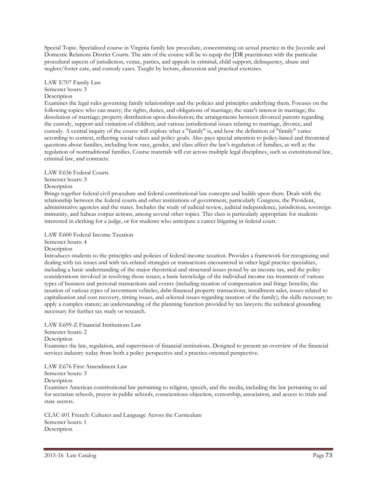Special Topic. Specialized course in Virginia family law procedure, concentrating on actual practice in the Juvenile and Domestic Relations District Courts. The aim of the course will be to equip the JDR practitioner with the particular procedural aspects of jurisdiction, venue, parties, and appeals in criminal, child support, delinquency, abuse and neglect/foster care, and custody cases. Taught by lecture, discussion and practical exercises.

#### LAW E707 Family Law Semester hours: 3 **Description**

Examines the legal rules governing family relationships and the policies and principles underlying them. Focuses on the following topics: who can marry; the rights, duties, and obligations of marriage; the state's interest in marriage; the dissolution of marriage; property distribution upon dissolution; the arrangements between divorced parents regarding the custody, support and visitation of children; and various jurisdictional issues relating to marriage, divorce, and custody. A central inquiry of the course will explore what a "family" is, and how the definition of "family" varies according to context, reflecting social values and policy goals. Also pays special attention to policy-based and theoretical questions about families, including how race, gender, and class affect the law's regulation of families, as well as the regulation of nontraditional families. Course materials will cut across multiple legal disciplines, such as constitutional law, criminal law, and contracts.

## LAW E636 Federal Courts Semester hours: 3

Description

Brings together federal civil procedure and federal constitutional law concepts and builds upon them. Deals with the relationship between the federal courts and other institutions of government, particularly Congress, the President, administrative agencies and the states. Includes the study of judicial review, judicial independence, jurisdiction, sovereign immunity, and habeas corpus actions, among several other topics. This class is particularly appropriate for students interested in clerking for a judge, or for students who anticipate a career litigating in federal court.

LAW E600 Federal Income Taxation Semester hours: 4

# Description

Introduces students to the principles and policies of federal income taxation. Provides a framework for recognizing and dealing with tax issues and with tax-related strategies or transactions encountered in other legal practice specialties, including a basic understanding of the major theoretical and structural issues posed by an income tax, and the policy considerations involved in resolving those issues; a basic knowledge of the individual income tax treatment of various types of business and personal transactions and events (including taxation of compensation and fringe benefits, the taxation of various types of investment vehicles, debt-financed property transactions, installment sales, issues related to capitalization and cost recovery, timing issues, and selected issues regarding taxation of the family); the skills necessary to apply a complex statute; an understanding of the planning function provided by tax lawyers; the technical grounding necessary for further tax study or research.

LAW E699-Z Financial Institutions Law

Semester hours: 2

Description

Examines the law, regulation, and supervision of financial institutions. Designed to present an overview of the financial services industry today from both a policy perspective and a practice-oriented perspective.

LAW E676 First Amendment Law

Semester hours: 3

Description

Examines American constitutional law pertaining to religion, speech, and the media, including the law pertaining to aid for sectarian schools, prayer in public schools, conscientious objection, censorship, association, and access to trials and state secrets.

CLAC 601 French: Cultures and Language Across the Curriculum Semester hours: 1 Description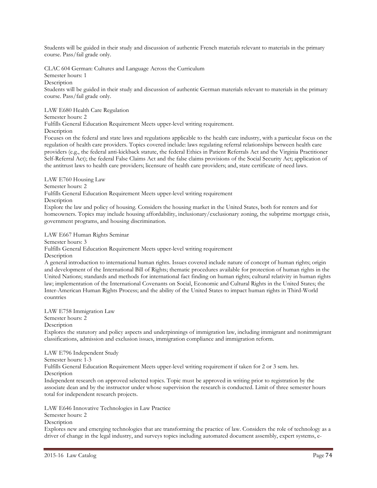Students will be guided in their study and discussion of authentic French materials relevant to materials in the primary course. Pass/fail grade only.

CLAC 604 German: Cultures and Language Across the Curriculum Semester hours: 1 Description

Students will be guided in their study and discussion of authentic German materials relevant to materials in the primary course. Pass/fail grade only.

LAW E680 Health Care Regulation

Semester hours: 2

Fulfills General Education Requirement Meets upper-level writing requirement.

Description

Focuses on the federal and state laws and regulations applicable to the health care industry, with a particular focus on the regulation of health care providers. Topics covered include: laws regulating referral relationships between health care providers (e.g., the federal anti-kickback statute, the federal Ethics in Patient Referrals Act and the Virginia Practitioner Self-Referral Act); the federal False Claims Act and the false claims provisions of the Social Security Act; application of the antitrust laws to health care providers; licensure of health care providers; and, state certificate of need laws.

LAW E760 Housing Law Semester hours: 2 Fulfills General Education Requirement Meets upper-level writing requirement Description Explore the law and policy of housing. Considers the housing market in the United States, both for renters and for homeowners. Topics may include housing affordability, inclusionary/exclusionary zoning, the subprime mortgage crisis, government programs, and housing discrimination.

LAW E667 Human Rights Seminar

Semester hours: 3

Fulfills General Education Requirement Meets upper-level writing requirement

**Description** 

A general introduction to international human rights. Issues covered include nature of concept of human rights; origin and development of the International Bill of Rights; thematic procedures available for protection of human rights in the United Nations; standards and methods for international fact finding on human rights; cultural relativity in human rights law; implementation of the International Covenants on Social, Economic and Cultural Rights in the United States; the Inter-American Human Rights Process; and the ability of the United States to impact human rights in Third-World countries

LAW E758 Immigration Law Semester hours: 2 **Description** Explores the statutory and policy aspects and underpinnings of immigration law, including immigrant and nonimmigrant classifications, admission and exclusion issues, immigration compliance and immigration reform.

LAW E796 Independent Study

Semester hours: 1-3

Fulfills General Education Requirement Meets upper-level writing requirement if taken for 2 or 3 sem. hrs. **Description** 

Independent research on approved selected topics. Topic must be approved in writing prior to registration by the associate dean and by the instructor under whose supervision the research is conducted. Limit of three semester hours total for independent research projects.

LAW E646 Innovative Technologies in Law Practice

Semester hours: 2

**Description** 

Explores new and emerging technologies that are transforming the practice of law. Considers the role of technology as a driver of change in the legal industry, and surveys topics including automated document assembly, expert systems, e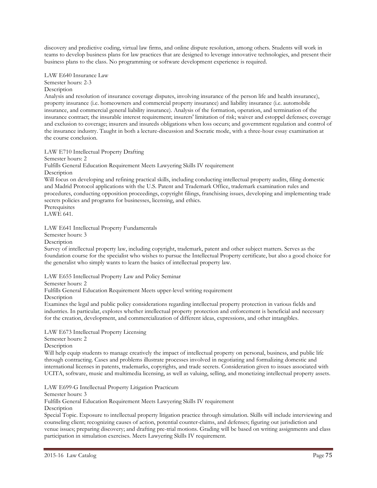discovery and predictive coding, virtual law firms, and online dispute resolution, among others. Students will work in teams to develop business plans for law practices that are designed to leverage innovative technologies, and present their business plans to the class. No programming or software development experience is required.

LAW E640 Insurance Law Semester hours: 2-3 Description

Analysis and resolution of insurance coverage disputes, involving insurance of the person life and health insurance), property insurance (i.e. homeowners and commercial property insurance) and liability insurance (i.e. automobile insurance, and commercial general liability insurance). Analysis of the formation, operation, and termination of the insurance contract; the insurable interest requirement; insurers' limitation of risk; waiver and estoppel defenses; coverage and exclusion to coverage; insurers and insureds obligations when loss occurs; and government regulation and control of the insurance industry. Taught in both a lecture-discussion and Socratic mode, with a three-hour essay examination at the course conclusion.

LAW E710 Intellectual Property Drafting

Semester hours: 2

Fulfills General Education Requirement Meets Lawyering Skills IV requirement Description

Will focus on developing and refining practical skills, including conducting intellectual property audits, filing domestic and Madrid Protocol applications with the U.S. Patent and Trademark Office, trademark examination rules and procedures, conducting opposition proceedings, copyright filings, franchising issues, developing and implementing trade secrets policies and programs for businesses, licensing, and ethics.

**Prerequisites** LAWE 641.

LAW E641 Intellectual Property Fundamentals

Semester hours: 3

Description

Survey of intellectual property law, including copyright, trademark, patent and other subject matters. Serves as the foundation course for the specialist who wishes to pursue the Intellectual Property certificate, but also a good choice for the generalist who simply wants to learn the basics of intellectual property law.

LAW E655 Intellectual Property Law and Policy Seminar

Semester hours: 2

Fulfills General Education Requirement Meets upper-level writing requirement

Description

Examines the legal and public policy considerations regarding intellectual property protection in various fields and industries. In particular, explores whether intellectual property protection and enforcement is beneficial and necessary for the creation, development, and commercialization of different ideas, expressions, and other intangibles.

LAW E673 Intellectual Property Licensing

Semester hours: 2

Description

Will help equip students to manage creatively the impact of intellectual property on personal, business, and public life through contracting. Cases and problems illustrate processes involved in negotiating and formalizing domestic and international licenses in patents, trademarks, copyrights, and trade secrets. Consideration given to issues associated with UCITA, software, music and multimedia licensing, as well as valuing, selling, and monetizing intellectual property assets.

LAW E699-G Intellectual Property Litigation Practicum

Semester hours: 3

Fulfills General Education Requirement Meets Lawyering Skills IV requirement

**Description** 

Special Topic. Exposure to intellectual property litigation practice through simulation. Skills will include interviewing and counseling client; recognizing causes of action, potential counter-claims, and defenses; figuring out jurisdiction and venue issues; preparing discovery; and drafting pre-trial motions. Grading will be based on writing assignments and class participation in simulation exercises. Meets Lawyering Skills IV requirement.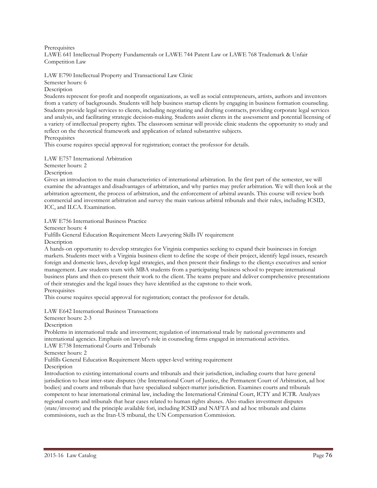#### Prerequisites LAWE 641 Intellectual Property Fundamentals or LAWE 744 Patent Law or LAWE 768 Trademark & Unfair Competition Law

LAW E790 Intellectual Property and Transactional Law Clinic Semester hours: 6

Description

Students represent for-profit and nonprofit organizations, as well as social entrepreneurs, artists, authors and inventors from a variety of backgrounds. Students will help business startup clients by engaging in business formation counseling. Students provide legal services to clients, including negotiating and drafting contracts, providing corporate legal services and analysis, and facilitating strategic decision-making. Students assist clients in the assessment and potential licensing of a variety of intellectual property rights. The classroom seminar will provide clinic students the opportunity to study and reflect on the theoretical framework and application of related substantive subjects. Prerequisites

This course requires special approval for registration; contact the professor for details.

LAW E757 International Arbitration

Semester hours: 2

Description

Gives an introduction to the main characteristics of international arbitration. In the first part of the semester, we will examine the advantages and disadvantages of arbitration, and why parties may prefer arbitration. We will then look at the arbitration agreement, the process of arbitration, and the enforcement of arbitral awards. This course will review both commercial and investment arbitration and survey the main various arbitral tribunals and their rules, including ICSID, ICC, and ILCA. Examination.

LAW E756 International Business Practice

Semester hours: 4

Fulfills General Education Requirement Meets Lawyering Skills IV requirement

Description

A hands-on opportunity to develop strategies for Virginia companies seeking to expand their businesses in foreign markets. Students meet with a Virginia business client to define the scope of their project, identify legal issues, research foreign and domestic laws, develop legal strategies, and then present their findings to the client¿s executives and senior management. Law students team with MBA students from a participating business school to prepare international business plans and then co-present their work to the client. The teams prepare and deliver comprehensive presentations of their strategies and the legal issues they have identified as the capstone to their work. Prerequisites

This course requires special approval for registration; contact the professor for details.

LAW E642 International Business Transactions

Semester hours: 2-3

Description

Problems in international trade and investment; regulation of international trade by national governments and international agencies. Emphasis on lawyer's role in counseling firms engaged in international activities. LAW E738 International Courts and Tribunals

Semester hours: 2

Fulfills General Education Requirement Meets upper-level writing requirement

Description

Introduction to existing international courts and tribunals and their jurisdiction, including courts that have general jurisdiction to hear inter-state disputes (the International Court of Justice, the Permanent Court of Arbitration, ad hoc bodies) and courts and tribunals that have specialized subject-matter jurisdiction. Examines courts and tribunals competent to hear international criminal law, including the International Criminal Court, ICTY and ICTR. Analyzes regional courts and tribunals that hear cases related to human rights abuses. Also studies investment disputes (state/investor) and the principle available fori, including ICSID and NAFTA and ad hoc tribunals and claims commissions, such as the Iran-US tribunal, the UN Compensation Commission.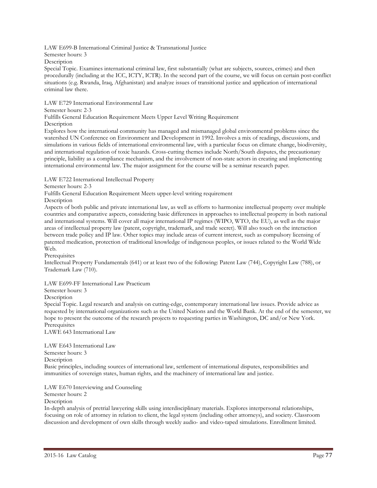LAW E699-B International Criminal Justice & Transnational Justice

Semester hours: 3

Description

Special Topic. Examines international criminal law, first substantially (what are subjects, sources, crimes) and then procedurally (including at the ICC, ICTY, ICTR). In the second part of the course, we will focus on certain post-conflict situations (e.g. Rwanda, Iraq, Afghanistan) and analyze issues of transitional justice and application of international criminal law there.

LAW E729 International Environmental Law

Semester hours: 2-3

Fulfills General Education Requirement Meets Upper Level Writing Requirement

**Description** 

Explores how the international community has managed and mismanaged global environmental problems since the watershed UN Conference on Environment and Development in 1992. Involves a mix of readings, discussions, and simulations in various fields of international environmental law, with a particular focus on climate change, biodiversity, and international regulation of toxic hazards. Cross-cutting themes include North/South disputes, the precautionary principle, liability as a compliance mechanism, and the involvement of non-state actors in creating and implementing international environmental law. The major assignment for the course will be a seminar research paper.

LAW E722 International Intellectual Property

Semester hours: 2-3

Fulfills General Education Requirement Meets upper-level writing requirement

Description

Aspects of both public and private international law, as well as efforts to harmonize intellectual property over multiple countries and comparative aspects, considering basic differences in approaches to intellectual property in both national and international systems. Will cover all major international IP regimes (WIPO, WTO, the EU), as well as the major areas of intellectual property law (patent, copyright, trademark, and trade secret). Will also touch on the interaction between trade policy and IP law. Other topics may include areas of current interest, such as compulsory licensing of patented medication, protection of traditional knowledge of indigenous peoples, or issues related to the World Wide Web.

**Prerequisites** 

Intellectual Property Fundamentals (641) or at least two of the following: Patent Law (744), Copyright Law (788), or Trademark Law (710).

LAW E699-FF International Law Practicum

Semester hours: 3

**Description** 

Special Topic. Legal research and analysis on cutting-edge, contemporary international law issues. Provide advice as requested by international organizations such as the United Nations and the World Bank. At the end of the semester, we hope to present the outcome of the research projects to requesting parties in Washington, DC and/or New York. **Prerequisites** 

LAWE 643 International Law

LAW E643 International Law Semester hours: 3 Description Basic principles, including sources of international law, settlement of international disputes, responsibilities and immunities of sovereign states, human rights, and the machinery of international law and justice.

LAW E670 Interviewing and Counseling

Semester hours: 2

**Description** 

In-depth analysis of pretrial lawyering skills using interdisciplinary materials. Explores interpersonal relationships, focusing on role of attorney in relation to client, the legal system (including other attorneys), and society. Classroom discussion and development of own skills through weekly audio- and video-taped simulations. Enrollment limited.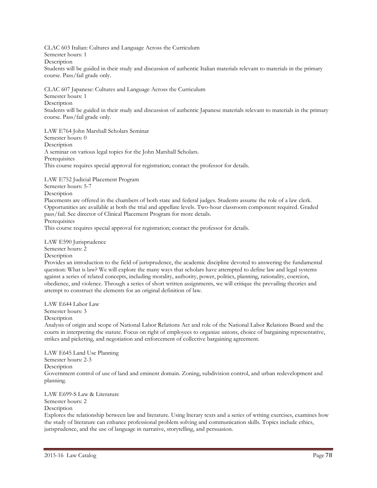CLAC 603 Italian: Cultures and Language Across the Curriculum Semester hours: 1 Description Students will be guided in their study and discussion of authentic Italian materials relevant to materials in the primary course. Pass/fail grade only.

CLAC 607 Japanese: Cultures and Language Across the Curriculum Semester hours: 1 Description Students will be guided in their study and discussion of authentic Japanese materials relevant to materials in the primary course. Pass/fail grade only.

LAW E764 John Marshall Scholars Seminar Semester hours: 0 **Description** A seminar on various legal topics for the John Marshall Scholars. **Prerequisites** This course requires special approval for registration; contact the professor for details.

LAW E752 Judicial Placement Program Semester hours: 5-7 Description Placements are offered in the chambers of both state and federal judges. Students assume the role of a law clerk. Opportunities are available at both the trial and appellate levels. Two-hour classroom component required. Graded pass/fail. See director of Clinical Placement Program for more details. **Prerequisites** This course requires special approval for registration; contact the professor for details.

LAW E590 Jurisprudence Semester hours: 2 **Description** 

Provides an introduction to the field of jurisprudence, the academic discipline devoted to answering the fundamental question: What is law? We will explore the many ways that scholars have attempted to define law and legal systems against a series of related concepts, including morality, authority, power, politics, planning, rationality, coercion, obedience, and violence. Through a series of short written assignments, we will critique the prevailing theories and attempt to construct the elements for an original definition of law.

LAW E644 Labor Law Semester hours: 3 Description

Analysis of origin and scope of National Labor Relations Act and role of the National Labor Relations Board and the courts in interpreting the statute. Focus on right of employees to organize unions, choice of bargaining representative, strikes and picketing, and negotiation and enforcement of collective bargaining agreement.

LAW E645 Land Use Planning Semester hours: 2-3 Description Government control of use of land and eminent domain. Zoning, subdivision control, and urban redevelopment and planning.

LAW E699-S Law & Literature

Semester hours: 2

**Description** 

Explores the relationship between law and literature. Using literary texts and a series of writing exercises, examines how the study of literature can enhance professional problem solving and communication skills. Topics include ethics, jurisprudence, and the use of language in narrative, storytelling, and persuasion.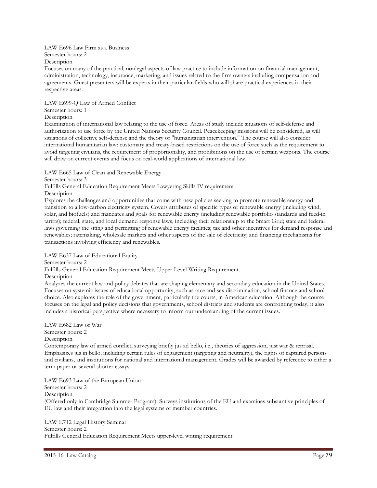LAW E696 Law Firm as a Business

Semester hours: 2

Description

Focuses on many of the practical, nonlegal aspects of law practice to include information on financial management, administration, technology, insurance, marketing, and issues related to the firm owners including compensation and agreements. Guest presenters will be experts in their particular fields who will share practical experiences in their respective areas.

LAW E699-Q Law of Armed Conflict

# Semester hours: 1

Description

Examination of international law relating to the use of force. Areas of study include situations of self-defense and authorization to use force by the United Nations Security Council. Peacekeeping missions will be considered, as will situations of collective self-defense and the theory of "humanitarian intervention." The course will also consider international humanitarian law: customary and treaty-based restrictions on the use of force such as the requirement to avoid targeting civilians, the requirement of proportionality, and prohibitions on the use of certain weapons. The course will draw on current events and focus on real-world applications of international law.

LAW E665 Law of Clean and Renewable Energy

Semester hours: 3

Fulfills General Education Requirement Meets Lawyering Skills IV requirement

Description

Explores the challenges and opportunities that come with new policies seeking to promote renewable energy and transition to a low-carbon electricity system. Covers attributes of specific types of renewable energy (including wind, solar, and biofuels) and mandates and goals for renewable energy (including renewable portfolio standards and feed-in tariffs); federal, state, and local demand response laws, including their relationship to the Smart Grid; state and federal laws governing the siting and permitting of renewable energy facilities; tax and other incentives for demand response and renewables; ratemaking, wholesale markets and other aspects of the sale of electricity; and financing mechanisms for transactions involving efficiency and renewables.

LAW E637 Law of Educational Equity

Semester hours: 2

Fulfills General Education Requirement Meets Upper Level Writing Requirement.

Description

Analyzes the current law and policy debates that are shaping elementary and secondary education in the United States. Focuses on systemic issues of educational opportunity, such as race and sex discrimination, school finance and school choice. Also explores the role of the government, particularly the courts, in American education. Although the course focuses on the legal and policy decisions that governments, school districts and students are confronting today, it also includes a historical perspective where necessary to inform our understanding of the current issues.

LAW E682 Law of War Semester hours: 2 Description

Contemporary law of armed conflict, surveying briefly jus ad bello, i.e., theories of aggression, just war & reprisal. Emphasizes jus in bello, including certain rules of engagement (targeting and neutrality), the rights of captured persons and civilians, and institutions for national and international management. Grades will be awarded by reference to either a term paper or several shorter essays.

LAW E693 Law of the European Union Semester hours: 2 Description (Offered only in Cambridge Summer Program). Surveys institutions of the EU and examines substantive principles of EU law and their integration into the legal systems of member countries.

LAW E712 Legal History Seminar Semester hours: 2 Fulfills General Education Requirement Meets upper-level writing requirement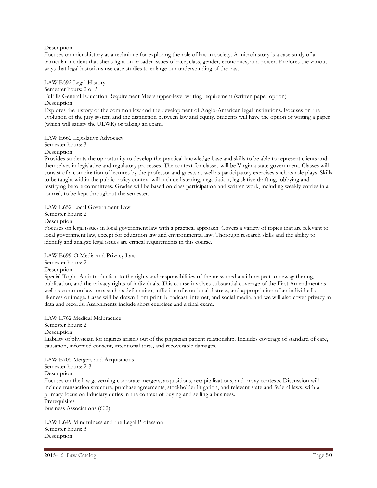### Description

Focuses on microhistory as a technique for exploring the role of law in society. A microhistory is a case study of a particular incident that sheds light on broader issues of race, class, gender, economics, and power. Explores the various ways that legal historians use case studies to enlarge our understanding of the past.

LAW E592 Legal History Semester hours: 2 or 3 Fulfills General Education Requirement Meets upper-level writing requirement (written paper option) **Description** Explores the history of the common law and the development of Anglo-American legal institutions. Focuses on the evolution of the jury system and the distinction between law and equity. Students will have the option of writing a paper (which will satisfy the ULWR) or talking an exam.

LAW E662 Legislative Advocacy Semester hours: 3

**Description** 

Provides students the opportunity to develop the practical knowledge base and skills to be able to represent clients and themselves in legislative and regulatory processes. The context for classes will be Virginia state government. Classes will consist of a combination of lectures by the professor and guests as well as participatory exercises such as role plays. Skills to be taught within the public policy context will include listening, negotiation, legislative drafting, lobbying and testifying before committees. Grades will be based on class participation and written work, including weekly entries in a journal, to be kept throughout the semester.

LAW E652 Local Government Law Semester hours: 2 Description

Focuses on legal issues in local government law with a practical approach. Covers a variety of topics that are relevant to local government law, except for education law and environmental law. Thorough research skills and the ability to identify and analyze legal issues are critical requirements in this course.

LAW E699-O Media and Privacy Law Semester hours: 2

**Description** 

Special Topic. An introduction to the rights and responsibilities of the mass media with respect to newsgathering, publication, and the privacy rights of individuals. This course involves substantial coverage of the First Amendment as well as common law torts such as defamation, infliction of emotional distress, and appropriation of an individual's likeness or image. Cases will be drawn from print, broadcast, internet, and social media, and we will also cover privacy in data and records. Assignments include short exercises and a final exam.

LAW E762 Medical Malpractice Semester hours: 2 Description Liability of physician for injuries arising out of the physician patient relationship. Includes coverage of standard of care, causation, informed consent, intentional torts, and recoverable damages.

LAW E705 Mergers and Acquisitions Semester hours: 2-3 Description Focuses on the law governing corporate mergers, acquisitions, recapitalizations, and proxy contests. Discussion will include transaction structure, purchase agreements, stockholder litigation, and relevant state and federal laws, with a primary focus on fiduciary duties in the context of buying and selling a business. **Prerequisites** Business Associations (602)

LAW E649 Mindfulness and the Legal Profession Semester hours: 3 **Description**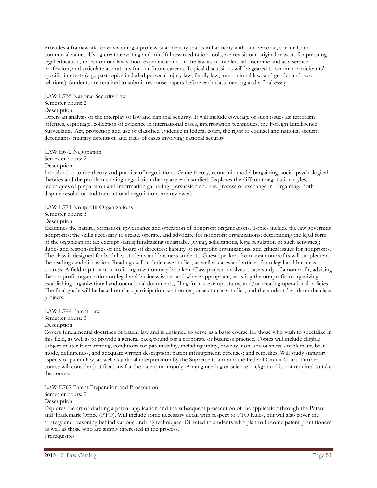Provides a framework for envisioning a professional identity that is in harmony with our personal, spiritual, and communal values. Using creative writing and mindfulness meditation tools, we revisit our original reasons for pursuing a legal education, reflect on our law school experience and on the law as an intellectual discipline and as a service profession, and articulate aspirations for our future careers. Topical discussions will be geared to seminar participants' specific interests (e.g., past topics included personal injury law, family law, international law, and gender and race relations). Students are required to submit response papers before each class meeting and a final essay.

LAW E735 National Security Law Semester hours: 2

### Description

Offers an analysis of the interplay of law and national security. It will include coverage of such issues as: terrorism offenses, espionage, collection of evidence in international cases, interrogation techniques, the Foreign Intelligence Surveillance Act, protection and use of classified evidence in federal court, the right to counsel and national security defendants, military detention, and trials of cases involving national security.

### LAW E672 Negotiation

Semester hours: 2

Description

Introduction to the theory and practice of negotiations. Game theory, economic model bargaining, social-psychological theories and the problem-solving negotiation theory are each studied. Explores the different negotiation styles, techniques of preparation and information gathering, persuasion and the process of exchange in bargaining. Both dispute resolution and transactional negotiations are reviewed.

### LAW E771 Nonprofit Organizations

Semester hours: 3

Description

Examines the nature, formation, governance and operation of nonprofit organizations. Topics include the law governing nonprofits; the skills necessary to create, operate, and advocate for nonprofit organizations; determining the legal form of the organization; tax exempt status; fundraising (charitable giving, solicitations, legal regulation of such activities); duties and responsibilities of the board of directors; liability of nonprofit organizations; and ethical issues for nonprofits. The class is designed for both law students and business students. Guest speakers from area nonprofits will supplement the readings and discussion. Readings will include case studies, as well as cases and articles from legal and business sources. A field trip to a nonprofit organization may be taken. Class project involves a case study of a nonprofit, advising the nonprofit organization on legal and business issues and where appropriate, assisting the nonprofit in organizing, establishing organizational and operational documents, filing for tax exempt status, and/or creating operational policies. The final grade will be based on class participation, written responses to case studies, and the students' work on the class projects.

### LAW E744 Patent Law

Semester hours: 3

### Description

Covers fundamental doctrines of patent law and is designed to serve as a basic course for those who wish to specialize in this field, as well as to provide a general background for a corporate or business practice. Topics will include eligible subject matter for patenting; conditions for patentability, including utility, novelty, non-obviousness, enablement, best mode, definiteness, and adequate written description; patent infringement; defenses; and remedies. Will study statutory aspects of patent law, as well as judicial interpretation by the Supreme Court and the Federal Circuit Court. Further, course will consider justifications for the patent monopoly. An engineering or science background is not required to take the course.

### LAW E787 Patent Preparation and Prosecution

Semester hours: 2

## **Description**

Explores the art of drafting a patent application and the subsequent prosecution of the application through the Patent and Trademark Office (PTO). Will include some necessary detail with respect to PTO Rules, but will also cover the strategy and reasoning behind various drafting techniques. Directed to students who plan to become patent practitioners as well as those who are simply interested in the process. **Prerequisites**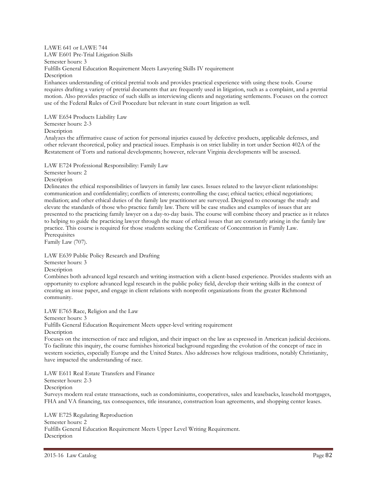LAWE 641 or LAWE 744 LAW E601 Pre-Trial Litigation Skills Semester hours: 3 Fulfills General Education Requirement Meets Lawyering Skills IV requirement Description Enhances understanding of critical pretrial tools and provides practical experience with using these tools. Course

requires drafting a variety of pretrial documents that are frequently used in litigation, such as a complaint, and a pretrial motion. Also provides practice of such skills as interviewing clients and negotiating settlements. Focuses on the correct use of the Federal Rules of Civil Procedure but relevant in state court litigation as well.

LAW E654 Products Liability Law

Semester hours: 2-3

Description

Analyzes the affirmative cause of action for personal injuries caused by defective products, applicable defenses, and other relevant theoretical, policy and practical issues. Emphasis is on strict liability in tort under Section 402A of the Restatement of Torts and national developments; however, relevant Virginia developments will be assessed.

LAW E724 Professional Responsibility: Family Law

Semester hours: 2

Description

Delineates the ethical responsibilities of lawyers in family law cases. Issues related to the lawyer-client relationships: communication and confidentiality; conflicts of interests; controlling the case; ethical tactics; ethical negotiations; mediation; and other ethical duties of the family law practitioner are surveyed. Designed to encourage the study and elevate the standards of those who practice family law. There will be case studies and examples of issues that are presented to the practicing family lawyer on a day-to-day basis. The course will combine theory and practice as it relates to helping to guide the practicing lawyer through the maze of ethical issues that are constantly arising in the family law practice. This course is required for those students seeking the Certificate of Concentration in Family Law. **Prerequisites** 

Family Law (707).

LAW E639 Public Policy Research and Drafting

Semester hours: 3

Description

Combines both advanced legal research and writing instruction with a client-based experience. Provides students with an opportunity to explore advanced legal research in the public policy field, develop their writing skills in the context of creating an issue paper, and engage in client relations with nonprofit organizations from the greater Richmond community.

LAW E765 Race, Religion and the Law Semester hours: 3 Fulfills General Education Requirement Meets upper-level writing requirement Description Focuses on the intersection of race and religion, and their impact on the law as expressed in American judicial decisions.

To facilitate this inquiry, the course furnishes historical background regarding the evolution of the concept of race in western societies, especially Europe and the United States. Also addresses how religious traditions, notably Christianity, have impacted the understanding of race.

LAW E611 Real Estate Transfers and Finance Semester hours: 2-3 Description Surveys modern real estate transactions, such as condominiums, cooperatives, sales and leasebacks, leasehold mortgages, FHA and VA financing, tax consequences, title insurance, construction loan agreements, and shopping center leases.

LAW E725 Regulating Reproduction Semester hours: 2 Fulfills General Education Requirement Meets Upper Level Writing Requirement. **Description**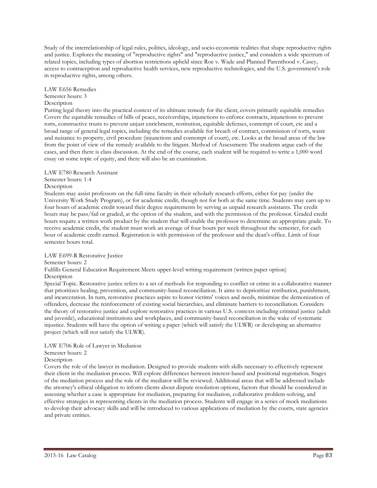Study of the interrelationship of legal rules, politics, ideology, and socio-economic realities that shape reproductive rights and justice. Explores the meaning of "reproductive rights" and "reproductive justice," and considers a wide spectrum of related topics, including types of abortion restrictions upheld since Roe v. Wade and Planned Parenthood v. Casey, access to contraception and reproductive health services, new reproductive technologies, and the U.S. government's role in reproductive rights, among others.

### LAW E656 Remedies

### Semester hours: 3

### **Description**

Putting legal theory into the practical context of its ultimate remedy for the client, covers primarily equitable remedies Covers the equitable remedies of bills of peace, receiverships, injunctions to enforce contracts, injunctions to prevent torts, constructive trusts to prevent unjust enrichment, restitution, equitable defenses, contempt of court, etc and a broad range of general legal topics, including the remedies available for breach of contract, commission of torts, waste and nuisance to property, civil procedure (injunctions and contempt of court), etc. Looks at the broad areas of the law from the point of view of the remedy available to the litigant. Method of Assessment: The students argue each of the cases, and then there is class discussion. At the end of the course, each student will be required to write a 1,000 word essay on some topic of equity, and there will also be an examination.

### LAW E780 Research Assistant

### Semester hours: 1-4

### Description

Students may assist professors on the full-time faculty in their scholarly research efforts, either for pay (under the University Work Study Program), or for academic credit, though not for both at the same time. Students may earn up to four hours of academic credit toward their degree requirements by serving as unpaid research assistants. The credit hours may be pass/fail or graded, at the option of the student, and with the permission of the professor. Graded credit hours require a written work product by the student that will enable the professor to determine an appropriate grade. To receive academic credit, the student must work an average of four hours per week throughout the semester, for each hour of academic credit earned. Registration is with permission of the professor and the dean's office. Limit of four semester hours total.

### LAW E699-R Restorative Justice

### Semester hours: 2

Fulfills General Education Requirement Meets upper-level writing requirement (written paper option) Description

Special Topic. Restorative justice refers to a set of methods for responding to conflict or crime in a collaborative manner that prioritizes healing, prevention, and community-based reconciliation. It aims to deprioritize retribution, punishment, and incarceration. In turn, restorative practices aspire to honor victims' voices and needs, minimize the demonization of offenders, decrease the reinforcement of existing social hierarchies, and eliminate barriers to reconciliation. Considers the theory of restorative justice and explore restorative practices in various U.S. contexts including criminal justice (adult and juvenile), educational institutions and workplaces, and community-based reconciliation in the wake of systematic injustice. Students will have the option of writing a paper (which will satisfy the ULWR) or developing an alternative project (which will not satisfy the ULWR).

# LAW E706 Role of Lawyer in Mediation

# Semester hours: 2

# Description

Covers the role of the lawyer in mediation. Designed to provide students with skills necessary to effectively represent their client in the mediation process. Will explore differences between interest-based and positional negotiation. Stages of the mediation process and the role of the mediator will be reviewed. Additional areas that will be addressed include the attorney's ethical obligation to inform clients about dispute resolution options, factors that should be considered in assessing whether a case is appropriate for mediation, preparing for mediation, collaborative problem-solving, and effective strategies in representing clients in the mediation process. Students will engage in a series of mock mediations to develop their advocacy skills and will be introduced to various applications of mediation by the courts, state agencies and private entities.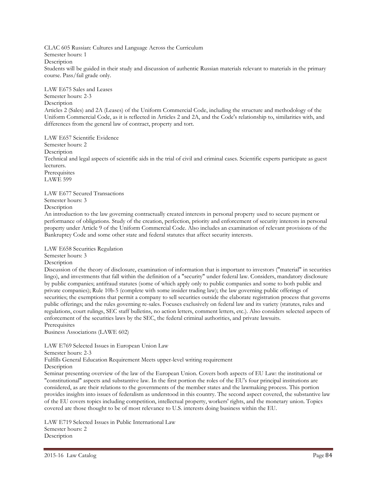CLAC 605 Russian: Cultures and Language Across the Curriculum Semester hours: 1 Description Students will be guided in their study and discussion of authentic Russian materials relevant to materials in the primary course. Pass/fail grade only.

LAW E675 Sales and Leases Semester hours: 2-3 **Description** Articles 2 (Sales) and 2A (Leases) of the Uniform Commercial Code, including the structure and methodology of the Uniform Commercial Code, as it is reflected in Articles 2 and 2A, and the Code's relationship to, similarities with, and differences from the general law of contract, property and tort.

LAW E657 Scientific Evidence Semester hours: 2 **Description** Technical and legal aspects of scientific aids in the trial of civil and criminal cases. Scientific experts participate as guest lecturers. **Prerequisites** LAWE 599 LAW E677 Secured Transactions

Description An introduction to the law governing contractually created interests in personal property used to secure payment or performance of obligations. Study of the creation, perfection, priority and enforcement of security interests in personal property under Article 9 of the Uniform Commercial Code. Also includes an examination of relevant provisions of the Bankruptcy Code and some other state and federal statutes that affect security interests.

LAW E658 Securities Regulation

Semester hours: 3

Semester hours: 3

Description

Discussion of the theory of disclosure, examination of information that is important to investors ("material" in securities lingo), and investments that fall within the definition of a "security" under federal law. Considers, mandatory disclosure by public companies; antifraud statutes (some of which apply only to public companies and some to both public and private companies); Rule 10b-5 (complete with some insider trading law); the law governing public offerings of securities; the exemptions that permit a company to sell securities outside the elaborate registration process that governs public offerings; and the rules governing re-sales. Focuses exclusively on federal law and its variety (statutes, rules and regulations, court rulings, SEC staff bulletins, no action letters, comment letters, etc.). Also considers selected aspects of enforcement of the securities laws by the SEC, the federal criminal authorities, and private lawsuits. **Prerequisites** 

Business Associations (LAWE 602)

LAW E769 Selected Issues in European Union Law

Semester hours: 2-3

Fulfills General Education Requirement Meets upper-level writing requirement

Description

Seminar presenting overview of the law of the European Union. Covers both aspects of EU Law: the institutional or "constitutional" aspects and substantive law. In the first portion the roles of the EU's four principal institutions are considered, as are their relations to the governments of the member states and the lawmaking process. This portion provides insights into issues of federalism as understood in this country. The second aspect covered, the substantive law of the EU covers topics including competition, intellectual property, workers' rights, and the monetary union. Topics covered are those thought to be of most relevance to U.S. interests doing business within the EU.

LAW E719 Selected Issues in Public International Law Semester hours: 2 Description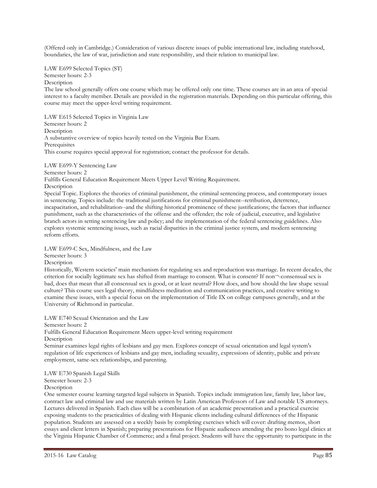(Offered only in Cambridge.) Consideration of various discrete issues of public international law, including statehood, boundaries, the law of war, jurisdiction and state responsibility, and their relation to municipal law.

LAW E699 Selected Topics (ST)

Semester hours: 2-3

Description

The law school generally offers one course which may be offered only one time. These courses are in an area of special interest to a faculty member. Details are provided in the registration materials. Depending on this particular offering, this course may meet the upper-level writing requirement.

LAW E615 Selected Topics in Virginia Law Semester hours: 2 Description A substantive overview of topics heavily tested on the Virginia Bar Exam. **Prerequisites** This course requires special approval for registration; contact the professor for details.

LAW E699-Y Sentencing Law

Semester hours: 2

Fulfills General Education Requirement Meets Upper Level Writing Requirement.

Description

Special Topic. Explores the theories of criminal punishment, the criminal sentencing process, and contemporary issues in sentencing. Topics include: the traditional justifications for criminal punishment--retribution, deterrence, incapacitation, and rehabilitation--and the shifting historical prominence of these justifications; the factors that influence punishment, such as the characteristics of the offense and the offender; the role of judicial, executive, and legislative branch actors in setting sentencing law and policy; and the implementation of the federal sentencing guidelines. Also explores systemic sentencing issues, such as racial disparities in the criminal justice system, and modern sentencing reform efforts.

LAW E699-C Sex, Mindfulness, and the Law

Semester hours: 3

Description

Historically, Western societies' main mechanism for regulating sex and reproduction was marriage. In recent decades, the criterion for socially legitimate sex has shifted from marriage to consent. What is consent? If non¬-consensual sex is bad, does that mean that all consensual sex is good, or at least neutral? How does, and how should the law shape sexual culture? This course uses legal theory, mindfulness meditation and communication practices, and creative writing to examine these issues, with a special focus on the implementation of Title IX on college campuses generally, and at the University of Richmond in particular.

LAW E740 Sexual Orientation and the Law

Semester hours: 2

Fulfills General Education Requirement Meets upper-level writing requirement Description

Seminar examines legal rights of lesbians and gay men. Explores concept of sexual orientation and legal system's regulation of life experiences of lesbians and gay men, including sexuality, expressions of identity, public and private employment, same-sex relationships, and parenting.

LAW E730 Spanish Legal Skills

Semester hours: 2-3

Description

One semester course learning targeted legal subjects in Spanish. Topics include immigration law, family law, labor law, contract law and criminal law and use materials written by Latin American Professors of Law and notable US attorneys. Lectures delivered in Spanish. Each class will be a combination of an academic presentation and a practical exercise exposing students to the practicalities of dealing with Hispanic clients including cultural differences of the Hispanic population. Students are assessed on a weekly basis by completing exercises which will cover: drafting memos, short essays and client letters in Spanish; preparing presentations for Hispanic audiences attending the pro bono legal clinics at the Virginia Hispanic Chamber of Commerce; and a final project. Students will have the opportunity to participate in the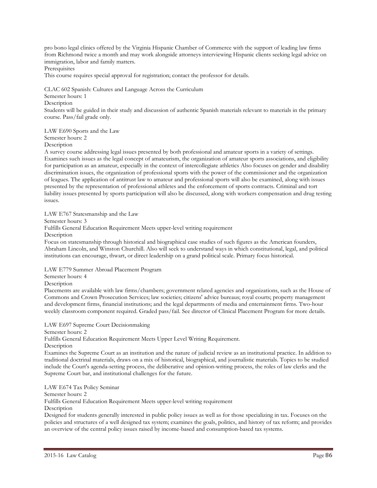pro bono legal clinics offered by the Virginia Hispanic Chamber of Commerce with the support of leading law firms from Richmond twice a month and may work alongside attorneys interviewing Hispanic clients seeking legal advice on immigration, labor and family matters.

Prerequisites

This course requires special approval for registration; contact the professor for details.

CLAC 602 Spanish: Cultures and Language Across the Curriculum

Semester hours: 1

Description

Students will be guided in their study and discussion of authentic Spanish materials relevant to materials in the primary course. Pass/fail grade only.

LAW E690 Sports and the Law Semester hours: 2

Description

A survey course addressing legal issues presented by both professional and amateur sports in a variety of settings. Examines such issues as the legal concept of amateurism, the organization of amateur sports associations, and eligibility for participation as an amateur, especially in the context of intercollegiate athletics Also focuses on gender and disability discrimination issues, the organization of professional sports with the power of the commissioner and the organization of leagues. The application of antitrust law to amateur and professional sports will also be examined, along with issues presented by the representation of professional athletes and the enforcement of sports contracts. Criminal and tort liability issues presented by sports participation will also be discussed, along with workers compensation and drug testing issues.

LAW E767 Statesmanship and the Law

Semester hours: 3

Fulfills General Education Requirement Meets upper-level writing requirement

Description

Focus on statesmanship through historical and biographical case studies of such figures as the American founders, Abraham Lincoln, and Winston Churchill. Also will seek to understand ways in which constitutional, legal, and political institutions can encourage, thwart, or direct leadership on a grand political scale. Primary focus historical.

LAW E779 Summer Abroad Placement Program

Semester hours: 4

**Description** 

Placements are available with law firms/chambers; government related agencies and organizations, such as the House of Commons and Crown Prosecution Services; law societies; citizens' advice bureaus; royal courts; property management and development firms, financial institutions; and the legal departments of media and entertainment firms. Two-hour weekly classroom component required. Graded pass/fail. See director of Clinical Placement Program for more details.

LAW E697 Supreme Court Decisionmaking

Semester hours: 2

Fulfills General Education Requirement Meets Upper Level Writing Requirement.

Description

Examines the Supreme Court as an institution and the nature of judicial review as an institutional practice. In addition to traditional doctrinal materials, draws on a mix of historical, biographical, and journalistic materials. Topics to be studied include the Court's agenda-setting process, the deliberative and opinion-writing process, the roles of law clerks and the Supreme Court bar, and institutional challenges for the future.

LAW E674 Tax Policy Seminar

Semester hours: 2

Fulfills General Education Requirement Meets upper-level writing requirement

**Description** 

Designed for students generally interested in public policy issues as well as for those specializing in tax. Focuses on the policies and structures of a well designed tax system; examines the goals, politics, and history of tax reform; and provides an overview of the central policy issues raised by income-based and consumption-based tax systems.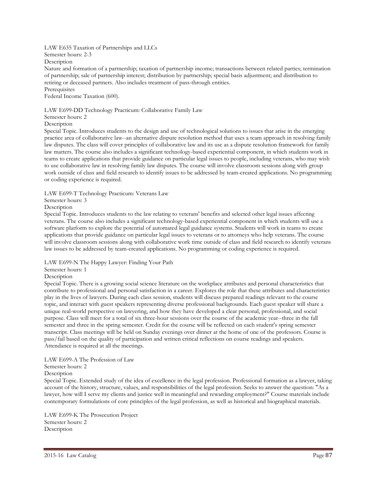LAW E635 Taxation of Partnerships and LLCs

Semester hours: 2-3

Description

Nature and formation of a partnership; taxation of partnership income; transactions between related parties; termination of partnership; sale of partnership interest; distribution by partnership; special basis adjustment; and distribution to retiring or deceased partners. Also includes treatment of pass-through entities. **Prerequisites** 

Federal Income Taxation (600).

### LAW E699-DD Technology Practicum: Collaborative Family Law

Semester hours: 2

**Description** 

Special Topic. Introduces students to the design and use of technological solutions to issues that arise in the emerging practice area of collaborative law--an alternative dispute resolution method that uses a team approach in resolving family law disputes. The class will cover principles of collaborative law and its use as a dispute resolution framework for family law matters. The course also includes a significant technology-based experiential component, in which students work in teams to create applications that provide guidance on particular legal issues to people, including veterans, who may wish to use collaborative law in resolving family law disputes. The course will involve classroom sessions along with group work outside of class and field research to identify issues to be addressed by team-created applications. No programming or coding experience is required.

LAW E699-T Technology Practicum: Veterans Law

Semester hours: 3

Description

Special Topic. Introduces students to the law relating to veterans' benefits and selected other legal issues affecting veterans. The course also includes a significant technology-based experiential component in which students will use a software platform to explore the potential of automated legal guidance systems. Students will work in teams to create applications that provide guidance on particular legal issues to veterans or to attorneys who help veterans. The course will involve classroom sessions along with collaborative work time outside of class and field research to identify veterans law issues to be addressed by team-created applications. No programming or coding experience is required.

LAW E699-N The Happy Lawyer: Finding Your Path

Semester hours: 1

Description

Special Topic. There is a growing social science literature on the workplace attributes and personal characteristics that contribute to professional and personal satisfaction in a career. Explores the role that these attributes and characteristics play in the lives of lawyers. During each class session, students will discuss prepared readings relevant to the course topic, and interact with guest speakers representing diverse professional backgrounds. Each guest speaker will share a unique real-world perspective on lawyering, and how they have developed a clear personal, professional, and social purpose. Class will meet for a total of six three-hour sessions over the course of the academic year--three in the fall semester and three in the spring semester. Credit for the course will be reflected on each student's spring semester transcript. Class meetings will be held on Sunday evenings over dinner at the home of one of the professors. Course is pass/fail based on the quality of participation and written critical reflections on course readings and speakers. Attendance is required at all the meetings.

LAW E699-A The Profession of Law

Semester hours: 2

Description

Special Topic. Extended study of the idea of excellence in the legal profession. Professional formation as a lawyer, taking account of the history, structure, values, and responsibilities of the legal profession. Seeks to answer the question: "As a lawyer, how will I serve my clients and justice well in meaningful and rewarding employment?" Course materials include contemporary formulations of core principles of the legal profession, as well as historical and biographical materials.

LAW E699-K The Prosecution Project Semester hours: 2 Description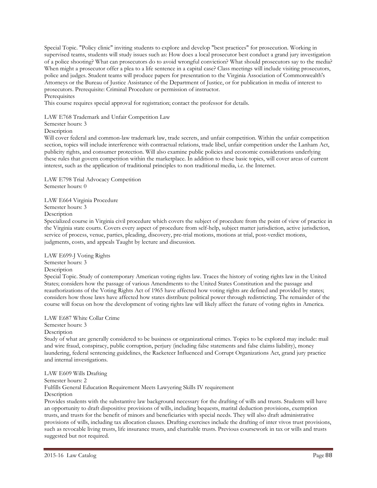Special Topic. "Policy clinic" inviting students to explore and develop "best practices" for prosecution. Working in supervised teams, students will study issues such as: How does a local prosecutor best conduct a grand jury investigation of a police shooting? What can prosecutors do to avoid wrongful conviction? What should prosecutors say to the media? When might a prosecutor offer a plea to a life sentence in a capital case? Class meetings will include visiting prosecutors, police and judges. Student teams will produce papers for presentation to the Virginia Association of Commonwealth's Attorneys or the Bureau of Justice Assistance of the Department of Justice, or for publication in media of interest to prosecutors. Prerequisite: Criminal Procedure or permission of instructor.

### **Prerequisites**

This course requires special approval for registration; contact the professor for details.

### LAW E768 Trademark and Unfair Competition Law

Semester hours: 3

### Description

Will cover federal and common-law trademark law, trade secrets, and unfair competition. Within the unfair competition section, topics will include interference with contractual relations, trade libel, unfair competition under the Lanham Act, publicity rights, and consumer protection. Will also examine public policies and economic considerations underlying these rules that govern competition within the marketplace. In addition to these basic topics, will cover areas of current interest, such as the application of traditional principles to non traditional media, i.e. the Internet.

LAW E798 Trial Advocacy Competition Semester hours: 0

LAW E664 Virginia Procedure Semester hours: 3

Description

Specialized course in Virginia civil procedure which covers the subject of procedure from the point of view of practice in the Virginia state courts. Covers every aspect of procedure from self-help, subject matter jurisdiction, active jurisdiction, service of process, venue, parties, pleading, discovery, pre-trial motions, motions at trial, post-verdict motions, judgments, costs, and appeals Taught by lecture and discussion.

LAW E699-J Voting Rights Semester hours: 3

### Description

Special Topic. Study of contemporary American voting rights law. Traces the history of voting rights law in the United States; considers how the passage of various Amendments to the United States Constitution and the passage and reauthorizations of the Voting Rights Act of 1965 have affected how voting rights are defined and provided by states; considers how those laws have affected how states distribute political power through redistricting. The remainder of the course will focus on how the development of voting rights law will likely affect the future of voting rights in America.

### LAW E687 White Collar Crime Semester hours: 3 Description

Study of what are generally considered to be business or organizational crimes. Topics to be explored may include: mail and wire fraud, conspiracy, public corruption, perjury (including false statements and false claims liability), money laundering, federal sentencing guidelines, the Racketeer Influenced and Corrupt Organizations Act, grand jury practice and internal investigations.

### LAW E609 Wills Drafting

Semester hours: 2

Fulfills General Education Requirement Meets Lawyering Skills IV requirement Description

Provides students with the substantive law background necessary for the drafting of wills and trusts. Students will have an opportunity to draft dispositive provisions of wills, including bequests, marital deduction provisions, exemption trusts, and trusts for the benefit of minors and beneficiaries with special needs. They will also draft administrative provisions of wills, including tax allocation clauses. Drafting exercises include the drafting of inter vivos trust provisions, such as revocable living trusts, life insurance trusts, and charitable trusts. Previous coursework in tax or wills and trusts suggested but not required.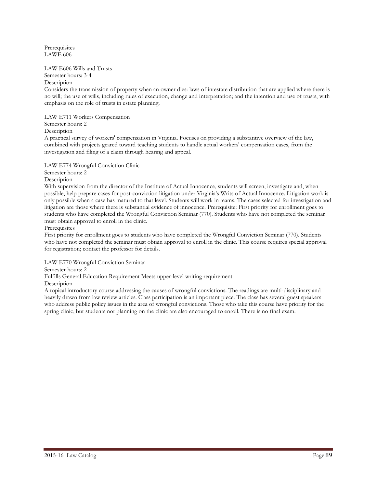Prerequisites LAWE 606

### LAW E606 Wills and Trusts

Semester hours: 3-4

#### Description

Considers the transmission of property when an owner dies: laws of intestate distribution that are applied where there is no will; the use of wills, including rules of execution, change and interpretation; and the intention and use of trusts, with emphasis on the role of trusts in estate planning.

LAW E711 Workers Compensation

Semester hours: 2

Description

A practical survey of workers' compensation in Virginia. Focuses on providing a substantive overview of the law, combined with projects geared toward teaching students to handle actual workers' compensation cases, from the investigation and filing of a claim through hearing and appeal.

LAW E774 Wrongful Conviction Clinic

Semester hours: 2

Description

With supervision from the director of the Institute of Actual Innocence, students will screen, investigate and, when possible, help prepare cases for post-conviction litigation under Virginia's Writs of Actual Innocence. Litigation work is only possible when a case has matured to that level. Students will work in teams. The cases selected for investigation and litigation are those where there is substantial evidence of innocence. Prerequisite: First priority for enrollment goes to students who have completed the Wrongful Conviction Seminar (770). Students who have not completed the seminar must obtain approval to enroll in the clinic.

Prerequisites

First priority for enrollment goes to students who have completed the Wrongful Conviction Seminar (770). Students who have not completed the seminar must obtain approval to enroll in the clinic. This course requires special approval for registration; contact the professor for details.

LAW E770 Wrongful Conviction Seminar

Semester hours: 2

Fulfills General Education Requirement Meets upper-level writing requirement

**Description** 

A topical introductory course addressing the causes of wrongful convictions. The readings are multi-disciplinary and heavily drawn from law review articles. Class participation is an important piece. The class has several guest speakers who address public policy issues in the area of wrongful convictions. Those who take this course have priority for the spring clinic, but students not planning on the clinic are also encouraged to enroll. There is no final exam.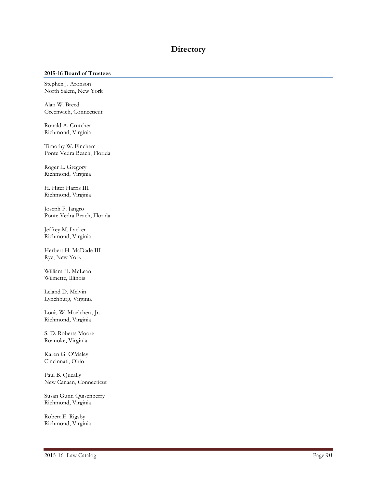# **Directory**

### **2015-16 Board of Trustees**

Stephen J. Aronson North Salem, New York

Alan W. Breed Greenwich, Connecticut

Ronald A. Crutcher Richmond, Virginia

Timothy W. Finchem Ponte Vedra Beach, Florida

Roger L. Gregory Richmond, Virginia

H. Hiter Harris III Richmond, Virginia

Joseph P. Jangro Ponte Vedra Beach, Florida

Jeffrey M. Lacker Richmond, Virginia

Herbert H. McDade III Rye, New York

William H. McLean Wilmette, Illinois

Leland D. Melvin Lynchburg, Virginia

Louis W. Moelchert, Jr. Richmond, Virginia

S. D. Roberts Moore Roanoke, Virginia

Karen G. O'Maley Cincinnati, Ohio

Paul B. Queally New Canaan, Connecticut

Susan Gunn Quisenberry Richmond, Virginia

Robert E. Rigsby Richmond, Virginia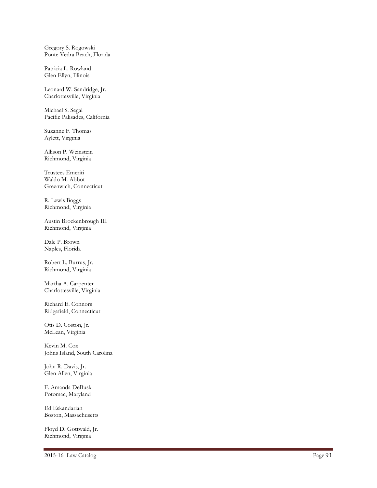Gregory S. Rogowski Ponte Vedra Beach, Florida

Patricia L. Rowland Glen Ellyn, Illinois

Leonard W. Sandridge, Jr. Charlottesville, Virginia

Michael S. Segal Pacific Palisades, California

Suzanne F. Thomas Aylett, Virginia

Allison P. Weinstein Richmond, Virginia

Trustees Emeriti Waldo M. Abbot Greenwich, Connecticut

R. Lewis Boggs Richmond, Virginia

Austin Brockenbrough III Richmond, Virginia

Dale P. Brown Naples, Florida

Robert L. Burrus, Jr. Richmond, Virginia

Martha A. Carpenter Charlottesville, Virginia

Richard E. Connors Ridgefield, Connecticut

Otis D. Coston, Jr. McLean, Virginia

Kevin M. Cox Johns Island, South Carolina

John R. Davis, Jr. Glen Allen, Virginia

F. Amanda DeBusk Potomac, Maryland

Ed Eskandarian Boston, Massachusetts

Floyd D. Gottwald, Jr. Richmond, Virginia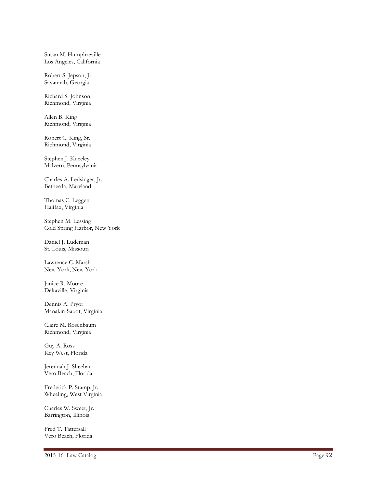Susan M. Humphreville Los Angeles, California

Robert S. Jepson, Jr. Savannah, Georgia

Richard S. Johnson Richmond, Virginia

Allen B. King Richmond, Virginia

Robert C. King, Sr. Richmond, Virginia

Stephen J. Kneeley Malvern, Pennsylvania

Charles A. Ledsinger, Jr. Bethesda, Maryland

Thomas C. Leggett Halifax, Virginia

Stephen M. Lessing Cold Spring Harbor, New York

Daniel J. Ludeman St. Louis, Missouri

Lawrence C. Marsh New York, New York

Janice R. Moore Deltaville, Virginia

Dennis A. Pryor Manakin-Sabot, Virginia

Claire M. Rosenbaum Richmond, Virginia

Guy A. Ross Key West, Florida

Jeremiah J. Sheehan Vero Beach, Florida

Frederick P. Stamp, Jr. Wheeling, West Virginia

Charles W. Sweet, Jr. Barrington, Illinois

Fred T. Tattersall Vero Beach, Florida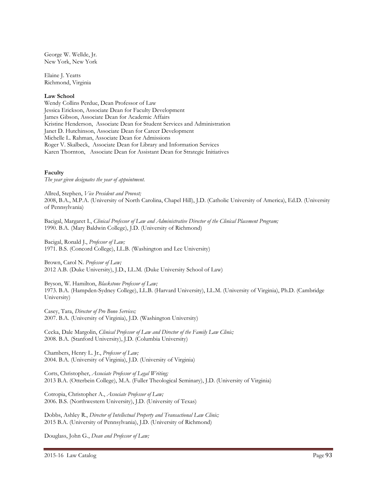George W. Wellde, Jr. New York, New York

Elaine J. Yeatts Richmond, Virginia

### **Law School**

Wendy Collins Perdue, Dean Professor of Law Jessica Erickson, Associate Dean for Faculty Development James Gibson, Associate Dean for Academic Affairs Kristine Henderson, Associate Dean for Student Services and Administration Janet D. Hutchinson, Associate Dean for Career Development Michelle L. Rahman, Associate Dean for Admissions Roger V. Skalbeck, Associate Dean for Library and Information Services Karen Thornton, Associate Dean for Assistant Dean for Strategic Initiatives

### **Faculty**

*The year given designates the year of appointment.*

Allred, Stephen, *Vice President and Provost;* 2008, B.A., M.P.A. (University of North Carolina, Chapel Hill), J.D. (Catholic University of America), Ed.D. (University of Pennsylvania)

Bacigal, Margaret I., *Clinical Professor of Law and Administrative Director of the Clinical Placement Program;* 1990. B.A. (Mary Baldwin College), J.D. (University of Richmond)

Bacigal, Ronald J., *Professor of Law;* 1971. B.S. (Concord College), LL.B. (Washington and Lee University)

Brown, Carol N. *Professor of Law;* 2012 A.B. (Duke University), J.D., LL.M. (Duke University School of Law)

Bryson, W. Hamilton, *Blackstone Professor of Law;* 1973. B.A. (Hampden-Sydney College), LL.B. (Harvard University), LL.M. (University of Virginia), Ph.D. (Cambridge University)

Casey, Tara, *Director of Pro Bono Services;* 2007. B.A. (University of Virginia), J.D. (Washington University)

Cecka, Dale Margolin, *Clinical Professor of Law and Director of the Family Law Clinic;* 2008. B.A. (Stanford University), J.D. (Columbia University)

Chambers, Henry L. Jr., *Professor of Law;* 2004. B.A. (University of Virginia), J.D. (University of Virginia)

Corts, Christopher, *Associate Professor of Legal Writing;* 2013 B.A. (Otterbein College), M.A. (Fuller Theological Seminary), J.D. (University of Virginia)

Cotropia, Christopher A., *Associate Professor of Law;* 2006. B.S. (Northwestern University), J.D. (University of Texas)

Dobbs, Ashley R., *Director of Intellectual Property and Transactional Law Clinic;* 2015 B.A. (University of Pennsylvania), J.D. (University of Richmond)

Douglass, John G., *Dean and Professor of Law;*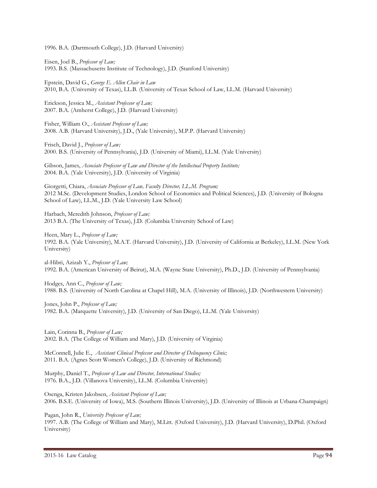1996. B.A. (Dartmouth College), J.D. (Harvard University)

Eisen, Joel B., *Professor of Law;* 1993. B.S. (Massachusetts Institute of Technology), J.D. (Stanford University)

Epstein, David G., *George E. Allen Chair in Law* 2010, B.A. (University of Texas), LL.B. (University of Texas School of Law, LL.M. (Harvard University)

Erickson, Jessica M., *Assistant Professor of Law;* 2007. B.A. (Amherst College), J.D. (Harvard University)

Fisher, William O., *Assistant Professor of Law;* 2008. A.B. (Harvard University), J.D., (Yale University), M.P.P. (Harvard University)

Frisch, David J., *Professor of Law;* 2000. B.S. (University of Pennsylvania), J.D. (University of Miami), LL.M. (Yale University)

Gibson, James, *Associate Professor of Law and Director of the Intellectual Property Institute;* 2004. B.A. (Yale University), J.D. (University of Virginia)

Giorgetti, Chiara, *Associate Professor of Law, Faculty Director, LL.M. Program;* 2012 M.Sc. (Development Studies, London School of Economics and Political Sciences), J.D. (University of Bologna School of Law), LL.M., J.D. (Yale University Law School)

Harbach, Meredith Johnson, *Professor of Law;* 2013 B.A. (The University of Texas), J.D. (Columbia University School of Law)

Heen, Mary L., *Professor of Law;* 1992. B.A. (Yale University), M.A.T. (Harvard University), J.D. (University of California at Berkeley), LL.M. (New York University)

al-Hibri, Azizah Y., *Professor of Law;* 1992. B.A. (American University of Beirut), M.A. (Wayne State University), Ph.D., J.D. (University of Pennsylvania)

Hodges, Ann C., *Professor of Law;* 1988. B.S. (University of North Carolina at Chapel Hill), M.A. (University of Illinois), J.D. (Northwestern University)

Jones, John P., *Professor of Law;* 1982. B.A. (Marquette University), J.D. (University of San Diego), LL.M. (Yale University)

Lain, Corinna B., *Professor of Law;* 2002. B.A. (The College of William and Mary), J.D. (University of Virginia)

McConnell, Julie E., *Assistant Clinical Professor and Director of Delinquency Clinic;*  2011. B.A. (Agnes Scott Women's College), J.D. (University of Richmond)

Murphy, Daniel T., *Professor of Law and Director, International Studies;* 1976. B.A., J.D. (Villanova University), LL.M. (Columbia University)

Osenga, Kristen Jakobsen, *Assistant Professor of Law;* 2006. B.S.E. (University of Iowa), M.S. (Southern Illinois University), J.D. (University of Illinois at Urbana-Champaign)

Pagan, John R., *University Professor of Law;*

1997. A.B. (The College of William and Mary), M.Litt. (Oxford University), J.D. (Harvard University), D.Phil. (Oxford University)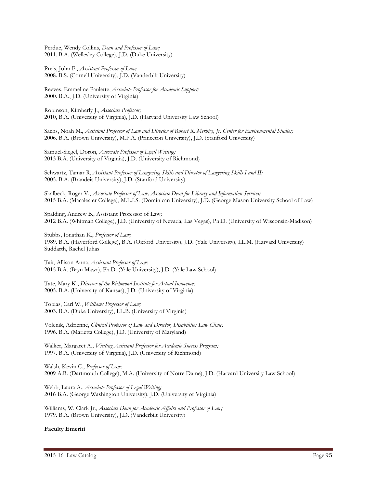Perdue, Wendy Collins, *Dean and Professor of Law;* 2011. B.A. (Wellesley College), J.D. (Duke University)

Preis, John F., *Assistant Professor of Law;* 2008. B.S. (Cornell University), J.D. (Vanderbilt University)

Reeves, Emmeline Paulette, *Associate Professor for Academic Support;* 2000. B.A., J.D. (University of Virginia)

Robinson, Kimberly J., *Associate Professor;* 2010, B.A. (University of Virginia), J.D. (Harvard University Law School)

Sachs, Noah M., *Assistant Professor of Law and Director of Robert R. Merhige, Jr. Center for Environmental Studies;* 2006. B.A. (Brown University), M.P.A. (Princeton University), J.D. (Stanford University)

Samuel-Siegel, Doron, *Associate Professor of Legal Writing;* 2013 B.A. (University of Virginia), J.D. (University of Richmond)

Schwartz, Tamar R, *Assistant Professor of Lawyering Skills and Director of Lawyering Skills I and II;* 2005. B.A. (Brandeis University), J.D. (Stanford University)

Skalbeck, Roger V., *Associate Professor of Law, Associate Dean for Library and Information Services;* 2015 B.A. (Macalester College), M.L.I.S. (Dominican University), J.D. (George Mason University School of Law)

Spalding, Andrew B., Assistant Professor of Law; 2012 B.A. (Whitman College), J.D. (University of Nevada, Las Vegas), Ph.D. (University of Wisconsin-Madison)

Stubbs, Jonathan K., *Professor of Law;*  1989. B.A. (Haverford College), B.A. (Oxford University), J.D. (Yale University), LL.M. (Harvard University) Suddarth, Rachel Juhas

Tait, Allison Anna, *Assistant Professor of Law;* 2015 B.A. (Bryn Mawr), Ph.D. (Yale University), J.D. (Yale Law School)

Tate, Mary K., *Director of the Richmond Institute for Actual Innocence;* 2005. B.A. (University of Kansas), J.D. (University of Virginia)

Tobias, Carl W., *Williams Professor of Law;* 2003. B.A. (Duke University), LL.B. (University of Virginia)

Volenik, Adrienne, *Clinical Professor of Law and Director, Disabilities Law Clinic;* 1996. B.A. (Marietta College), J.D. (University of Maryland)

Walker, Margaret A., *Visiting Assistant Professor for Academic Success Program;* 1997. B.A. (University of Virginia), J.D. (University of Richmond)

Walsh, Kevin C., *Professor of Law;* 2009 A.B. (Dartmouth College), M.A. (University of Notre Dame), J.D. (Harvard University Law School)

Webb, Laura A., *Associate Professor of Legal Writing;* 2016 B.A. (George Washington University), J.D. (University of Virginia)

Williams, W. Clark Jr., *Associate Dean for Academic Affairs and Professor of Law;* 1979. B.A. (Brown University), J.D. (Vanderbilt University)

### **Faculty Emeriti**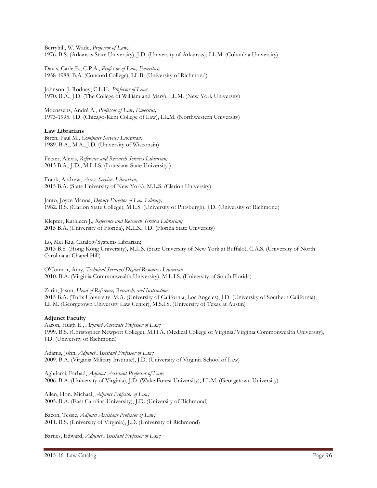Berryhill, W. Wade, *Professor of Law;* 1976. B.S. (Arkansas State University), J.D. (University of Arkansas), LL.M. (Columbia University)

Davis, Carle E., C.P.A., *Professor of Law, Emeritus;* 1958-1988. B.A. (Concord College), LL.B. (University of Richmond)

Johnson, J. Rodney, C.L.U., *Professor of Law;* 1970. B.A., J.D. (The College of William and Mary), LL.M. (New York University)

Moenssens, André A., *Professor of Law, Emeritus;* 1973-1995. J.D. (Chicago-Kent College of Law), LL.M. (Northwestern University)

### **Law Librarians**

Birch, Paul M., *Computer Services Librarian;* 1989. B.A., M.A., J.D. (University of Wisconsin)

Fetzer, Alexis, *Reference and Research Services Librarian;* 2013 B.A., J.D., M.L.I.S. (Louisiana State University )

Frank, Andrew, *Access Services Librarian;* 2015 B.A. (State University of New York), M.L.S. (Clarion University)

Janto, Joyce Manna, *Deputy Director of Law Library;* 1982. B.S. (Clarion State College), M.L.S. (University of Pittsburgh), J.D. (University of Richmond)

Klepfer, Kathleen J., *Reference and Research Services Librarian;* 2015 B.A. (University of Florida), M.L.S., J.D. (Florida State University)

Lo, Mei Kiu, Catalog/Systems Librarian; 2013 B.S. (Hong Kong University), M.L.S. (State University of New York at Buffalo), C.A.S. (University of North Carolina at Chapel Hill)

O'Connor, Amy, *Technical Services/Digital Resources Librarian* 2010. B.A. (Virginia Commonwealth University), M.L.I.S. (University of South Florida)

Zarin, Jason, *Head of Reference, Research, and Instruction;*  2015 B.A. (Tufts University, M.A. (University of California, Los Angeles), J.D. (University of Southern California), LL.M. (Georgetown University Law Center), M.S.I.S. (University of Texas at Austin)

### **Adjunct Faculty**

Aaron, Hugh E., *Adjunct Associate Professor of Law;* 1999. B.S. (Christopher Newport College), M.H.A. (Medical College of Virginia/Virginia Commonwealth University), J.D. (University of Richmond)

Adams, John, *Adjunct Assistant Professor of Law;* 2009. B.A. (Virginia Military Institute), J.D. (University of Virginia School of Law)

Aghdami, Farhad, *Adjunct Assistant Professor of Law;* 2006. B.A. (University of Virginia), J.D. (Wake Forest University), LL.M. (Georgetown University)

Allen, Hon. Michael, *Adjunct Professor of Law;* 2005. B.A. (East Carolina University), J.D. (University of Richmond)

Bacon, Tessie, *Adjunct Assistant Professor of Law;* 2011. B.S. (University of Virginia), J.D. (University of Richmond)

Barnes, Edward, *Adjunct Assistant Professor of Law;*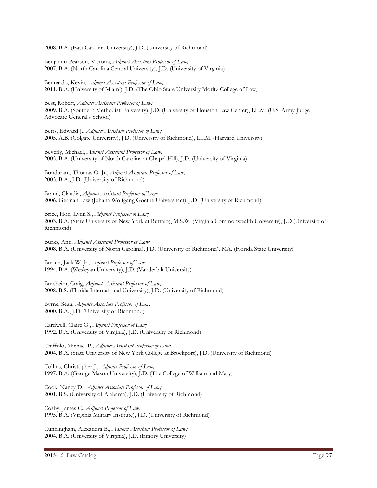2008. B.A. (East Carolina University), J.D. (University of Richmond)

Benjamin-Pearson, Victoria, *Adjunct Assistant Professor of Law;* 2007. B.A. (North Carolina Central University), J.D. (University of Virginia)

Bennardo, Kevin, *Adjunct Assistant Professor of Law;* 2011. B.A. (University of Miami), J.D. (The Ohio State University Moritz College of Law)

Best, Robert, *Adjunct Assistant Professor of Law;* 2009. B.A. (Southern Methodist University), J.D. (University of Houston Law Center), LL.M. (U.S. Army Judge Advocate General's School)

Betts, Edward J., *Adjunct Assistant Professor of Law;* 2005. A.B. (Colgate University), J.D. (University of Richmond), LL.M. (Harvard University)

Beverly, Michael, *Adjunct Assistant Professor of Law;* 2005. B.A. (University of North Carolina at Chapel Hill), J.D. (University of Virginia)

Bondurant, Thomas O. Jr., *Adjunct Associate Professor of Law;* 2003. B.A., J.D. (University of Richmond)

Brand, Claudia, *Adjunct Assistant Professor of Law;* 2006. German Law (Johana Wolfgang Goethe Universitact), J.D. (University of Richmond)

Brice, Hon. Lynn S., *Adjunct Professor of Law;* 2003. B.A. (State University of New York at Buffalo), M.S.W. (Virginia Commonwealth University), J.D (University of Richmond)

Burks, Ann, *Adjunct Assistant Professor of Law;* 2008. B.A. (University of North Carolina), J.D. (University of Richmond), MA. (Florida State University)

Burtch, Jack W. Jr., *Adjunct Professor of Law;* 1994. B.A. (Wesleyan University), J.D. (Vanderbilt University)

Bursheim, Craig, *Adjunct Assistant Professor of Law;* 2008. B.S. (Florida International University), J.D. (University of Richmond)

Byrne, Sean, *Adjunct Associate Professor of Law;* 2000. B.A., J.D. (University of Richmond)

Cardwell, Claire G., *Adjunct Professor of Law;* 1992. B.A. (University of Virginia), J.D. (University of Richmond)

Chiffolo, Michael P., *Adjunct Assistant Professor of Law;* 2004. B.A. (State University of New York College at Brockport), J.D. (University of Richmond)

Collins, Christopher J., *Adjunct Professor of Law;* 1997. B.A. (George Mason University), J.D. (The College of William and Mary)

Cook, Nancy D., *Adjunct Associate Professor of Law;* 2001. B.S. (University of Alabama), J.D. (University of Richmond)

Cosby, James C., *Adjunct Professor of Law;* 1995. B.A. (Virginia Military Institute), J.D. (University of Richmond)

Cunningham, Alexandra B., *Adjunct Assistant Professor of Law;* 2004. B.A. (University of Virginia), J.D. (Emory University)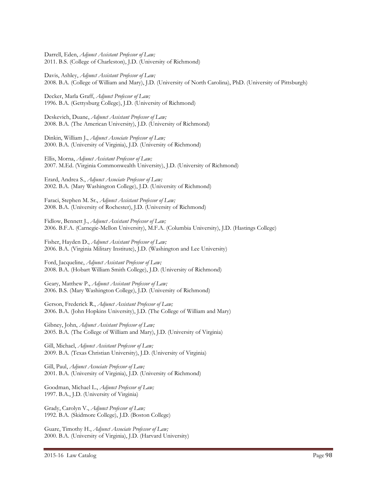Darrell, Eden, *Adjunct Assistant Professor of Law;* 2011. B.S. (College of Charleston), J.D. (University of Richmond)

Davis, Ashley, *Adjunct Assistant Professor of Law;* 2008. B.A. (College of William and Mary), J.D. (University of North Carolina), PhD. (University of Pittsburgh)

Decker, Marla Graff, *Adjunct Professor of Law;* 1996. B.A. (Gettysburg College), J.D. (University of Richmond)

Deskevich, Duane, *Adjunct Assistant Professor of Law;* 2008. B.A. (The American University), J.D. (University of Richmond)

Dinkin, William J., *Adjunct Associate Professor of Law;* 2000. B.A. (University of Virginia), J.D. (University of Richmond)

Ellis, Morna, *Adjunct Assistant Professor of Law;* 2007. M.Ed. (Virginia Commonwealth University), J.D. (University of Richmond)

Erard, Andrea S., *Adjunct Associate Professor of Law;* 2002. B.A. (Mary Washington College), J.D. (University of Richmond)

Faraci, Stephen M. Sr., *Adjunct Assistant Professor of Law;* 2008. B.A. (University of Rochester), J.D. (University of Richmond)

Fidlow, Bennett J., *Adjunct Assistant Professor of Law;* 2006. B.F.A. (Carnegie-Mellon University), M.F.A. (Columbia University), J.D. (Hastings College)

Fisher, Hayden D., *Adjunct Assistant Professor of Law;* 2006. B.A. (Virginia Military Institute), J.D. (Washington and Lee University)

Ford, Jacqueline, *Adjunct Assistant Professor of Law;* 2008. B.A. (Hobart William Smith College), J.D. (University of Richmond)

Geary, Matthew P., *Adjunct Assistant Professor of Law;* 2006. B.S. (Mary Washington College), J.D. (University of Richmond)

Gerson, Frederick R., *Adjunct Assistant Professor of Law;* 2006. B.A. (John Hopkins University), J.D. (The College of William and Mary)

Gibney, John, *Adjunct Assistant Professor of Law;* 2005. B.A. (The College of William and Mary), J.D. (University of Virginia)

Gill, Michael, *Adjunct Assistant Professor of Law;* 2009. B.A. (Texas Christian University), J.D. (University of Virginia)

Gill, Paul, *Adjunct Associate Professor of Law;* 2001. B.A. (University of Virginia), J.D. (University of Richmond)

Goodman, Michael L., *Adjunct Professor of Law;* 1997. B.A., J.D. (University of Virginia)

Grady, Carolyn V., *Adjunct Professor of Law;* 1992. B.A. (Skidmore College), J.D. (Boston College)

Guare, Timothy H., *Adjunct Associate Professor of Law;* 2000. B.A. (University of Virginia), J.D. (Harvard University)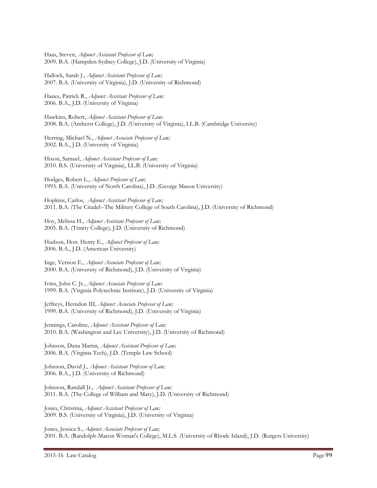Haas, Steven, *Adjunct Assistant Professor of Law;* 2009. B.A. (Hampden-Sydney College), J.D. (University of Virginia)

Hallock, Sarah J., *Adjunct Assistant Professor of Law;* 2007. B.A. (University of Virginia), J.D. (University of Richmond)

Hanes, Patrick R., *Adjunct Assistant Professor of Law;* 2006. B.A., J.D. (University of Virginia)

Hawkins, Robert, *Adjunct Assistant Professor of Law;* 2008. B.A. (Amherst College), J.D. (University of Virginia), LL.B. (Cambridge University)

Herring, Michael N., *Adjunct Associate Professor of Law;* 2002. B.A., J.D. (University of Virginia)

Hixon, Samuel, *Adjunct Assistant Professor of Law;* 2010. B.S. (University of Virginia), LL.B. (University of Virginia)

Hodges, Robert L., *Adjunct Professor of Law;* 1993. B.A. (University of North Carolina), J.D. (George Mason University)

Hopkins, Carlos, *Adjunct Assistant Professor of Law;* 2011. B.A. (The Citadel--The Military College of South Carolina), J.D. (University of Richmond)

Hoy, Melissa H., *Adjunct Assistant Professor of Law;* 2005. B.A. (Trinity College), J.D. (University of Richmond)

Hudson, Hon. Henry E., *Adjunct Professor of Law;* 2006. B.A., J.D. (American University)

Inge, Vernon E., *Adjunct Associate Professor of Law;* 2000. B.A. (University of Richmond), J.D. (University of Virginia)

Ivins, John C. Jr., *Adjunct Associate Professor of Law;* 1999. B.A. (Virginia Polytechnic Institute), J.D. (University of Virginia)

Jeffreys, Herndon III, *Adjunct Associate Professor of Law;* 1999. B.A. (University of Richmond), J.D. (University of Virginia)

Jennings, Caroline, *Adjunct Assistant Professor of Law;* 2010. B.A. (Washington and Lee University), J.D. (University of Richmond)

Johnson, Dana Martin, *Adjunct Assistant Professor of Law;* 2006. B.A. (Virginia Tech), J.D. (Temple Law School)

Johnson, David J., *Adjunct Assistant Professor of Law;* 2006. B.A., J.D. (University of Richmond)

Johnson, Randall Jr., *Adjunct Assistant Professor of Law;* 2011. B.A. (The College of William and Mary), J.D. (University of Richmond)

Jones, Christina, *Adjunct Assistant Professor of Law;* 2009. B.S. (University of Virginia), J.D. (University of Virginia)

Jones, Jessica S., *Adjunct Associate Professor of Law;* 2001. B.A. (Randolph-Macon Woman's College), M.L.S. (University of Rhode Island), J.D. (Rutgers University)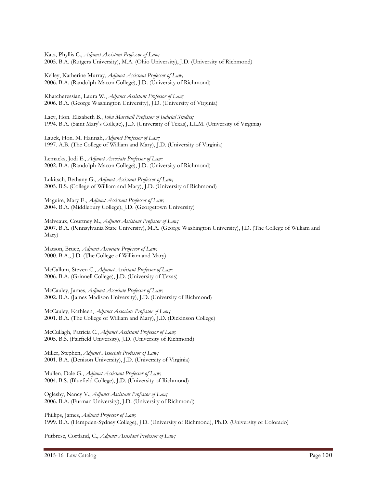Katz, Phyllis C., *Adjunct Assistant Professor of Law;* 2005. B.A. (Rutgers University), M.A. (Ohio University), J.D. (University of Richmond)

Kelley, Katherine Murray, *Adjunct Assistant Professor of Law;* 2006. B.A. (Randolph-Macon College), J.D. (University of Richmond)

Khatcheressian, Laura W., *Adjunct Assistant Professor of Law;* 2006. B.A. (George Washington University), J.D. (University of Virginia)

Lacy, Hon. Elizabeth B., *John Marshall Professor of Judicial Studies;* 1994. B.A. (Saint Mary's College), J.D. (University of Texas), LL.M. (University of Virginia)

Lauck, Hon. M. Hannah, *Adjunct Professor of Law;* 1997. A.B. (The College of William and Mary), J.D. (University of Virginia)

Lemacks, Jodi E., *Adjunct Associate Professor of Law;* 2002. B.A. (Randolph-Macon College), J.D. (University of Richmond)

Lukitsch, Bethany G., *Adjunct Assistant Professor of Law;* 2005. B.S. (College of William and Mary), J.D. (University of Richmond)

Maguire, Mary E., *Adjunct Assistant Professor of Law;* 2004. B.A. (Middlebury College), J.D. (Georgetown University)

Malveaux, Courtney M., *Adjunct Assistant Professor of Law;* 2007. B.A. (Pennsylvania State University), M.A. (George Washington University), J.D. (The College of William and Mary)

Matson, Bruce, *Adjunct Associate Professor of Law;* 2000. B.A., J.D. (The College of William and Mary)

McCallum, Steven C., *Adjunct Assistant Professor of Law;* 2006. B.A. (Grinnell College), J.D. (University of Texas)

McCauley, James, *Adjunct Associate Professor of Law;* 2002. B.A. (James Madison University), J.D. (University of Richmond)

McCauley, Kathleen, *Adjunct Associate Professor of Law;* 2001. B.A. (The College of William and Mary), J.D. (Dickinson College)

McCullagh, Patricia C., *Adjunct Assistant Professor of Law;* 2005. B.S. (Fairfield University), J.D. (University of Richmond)

Miller, Stephen, *Adjunct Associate Professor of Law;* 2001. B.A. (Denison University), J.D. (University of Virginia)

Mullen, Dale G., *Adjunct Assistant Professor of Law;* 2004. B.S. (Bluefield College), J.D. (University of Richmond)

Oglesby, Nancy V., *Adjunct Assistant Professor of Law;* 2006. B.A. (Furman University), J.D. (University of Richmond)

Phillips, James, *Adjunct Professor of Law;* 1999. B.A. (Hampden-Sydney College), J.D. (University of Richmond), Ph.D. (University of Colorado)

Putbrese, Cortland, C., *Adjunct Assistant Professor of Law;*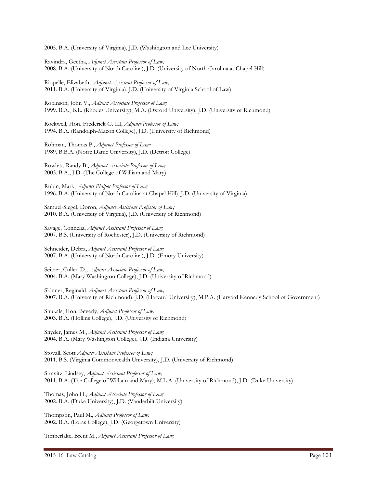2005. B.A. (University of Virginia), J.D. (Washington and Lee University)

Ravindra, Geetha, *Adjunct Assistant Professor of Law;* 2008. B.A. (University of North Carolina), J.D. (University of North Carolina at Chapel Hill)

Riopelle, Elizabeth, *Adjunct Assistant Professor of Law;* 2011. B.A. (University of Virginia), J.D. (University of Virginia School of Law)

Robinson, John V., *Adjunct Associate Professor of Law;* 1999. B.A., B.L. (Rhodes University), M.A. (Oxford University), J.D. (University of Richmond)

Rockwell, Hon. Frederick G. III, *Adjunct Professor of Law;* 1994. B.A. (Randolph-Macon College), J.D. (University of Richmond)

Rohman, Thomas P., *Adjunct Professor of Law;* 1989. B.B.A. (Notre Dame University), J.D. (Detroit College)

Rowlett, Randy B., *Adjunct Associate Professor of Law;* 2003. B.A., J.D. (The College of William and Mary)

Rubin, Mark, *Adjunct Philpot Professor of Law;* 1996. B.A. (University of North Carolina at Chapel Hill), J.D. (University of Virginia)

Samuel-Siegel, Doron, *Adjunct Assistant Professor of Law;* 2010. B.A. (University of Virginia), J.D. (University of Richmond)

Savage, Connelia, *Adjunct Assistant Professor of Law;* 2007. B.S. (University of Rochester), J.D. (University of Richmond)

Schneider, Debra, *Adjunct Assistant Professor of Law;* 2007. B.A. (University of North Carolina), J.D. (Emory University)

Seitzer, Cullen D., *Adjunct Associate Professor of Law;* 2004. B.A. (Mary Washington College), J.D. (University of Richmond)

Skinner, Reginald, *Adjunct Assistant Professor of Law;* 2007. B.A. (University of Richmond), J.D. (Harvard University), M.P.A. (Harvard Kennedy School of Government)

Snukals, Hon. Beverly, *Adjunct Professor of Law;* 2003. B.A. (Hollins College), J.D. (University of Richmond)

Snyder, James M., *Adjunct Assistant Professor of Law;* 2004. B.A. (Mary Washington College), J.D. (Indiana University)

Stovall, Scott *Adjunct Assistant Professor of Law;* 2011. B.S. (Virginia Commonwealth University), J.D. (University of Richmond)

Stravitz, Lindsey, *Adjunct Assistant Professor of Law;* 2011. B.A. (The College of William and Mary), M.L.A. (University of Richmond), J.D. (Duke University)

Thomas, John H., *Adjunct Associate Professor of Law;* 2002. B.A. (Duke University), J.D. (Vanderbilt University)

Thompson, Paul M., *Adjunct Professor of Law;* 2002. B.A. (Loras College), J.D. (Georgetown University)

Timberlake, Brent M., *Adjunct Assistant Professor of Law;*